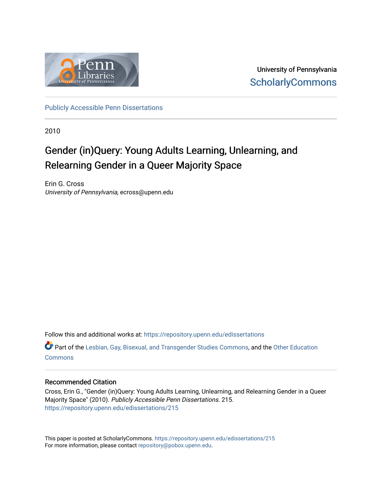

University of Pennsylvania **ScholarlyCommons** 

[Publicly Accessible Penn Dissertations](https://repository.upenn.edu/edissertations)

2010

# Gender (in)Query: Young Adults Learning, Unlearning, and Relearning Gender in a Queer Majority Space

Erin G. Cross University of Pennsylvania, ecross@upenn.edu

Follow this and additional works at: [https://repository.upenn.edu/edissertations](https://repository.upenn.edu/edissertations?utm_source=repository.upenn.edu%2Fedissertations%2F215&utm_medium=PDF&utm_campaign=PDFCoverPages) 

Part of the [Lesbian, Gay, Bisexual, and Transgender Studies Commons](http://network.bepress.com/hgg/discipline/560?utm_source=repository.upenn.edu%2Fedissertations%2F215&utm_medium=PDF&utm_campaign=PDFCoverPages), and the [Other Education](http://network.bepress.com/hgg/discipline/811?utm_source=repository.upenn.edu%2Fedissertations%2F215&utm_medium=PDF&utm_campaign=PDFCoverPages) **[Commons](http://network.bepress.com/hgg/discipline/811?utm_source=repository.upenn.edu%2Fedissertations%2F215&utm_medium=PDF&utm_campaign=PDFCoverPages)** 

### Recommended Citation

Cross, Erin G., "Gender (in)Query: Young Adults Learning, Unlearning, and Relearning Gender in a Queer Majority Space" (2010). Publicly Accessible Penn Dissertations. 215. [https://repository.upenn.edu/edissertations/215](https://repository.upenn.edu/edissertations/215?utm_source=repository.upenn.edu%2Fedissertations%2F215&utm_medium=PDF&utm_campaign=PDFCoverPages) 

This paper is posted at ScholarlyCommons.<https://repository.upenn.edu/edissertations/215> For more information, please contact [repository@pobox.upenn.edu.](mailto:repository@pobox.upenn.edu)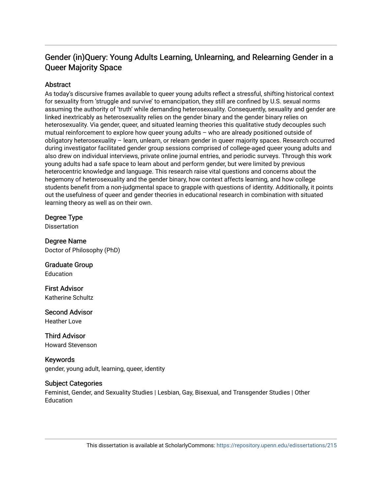# Gender (in)Query: Young Adults Learning, Unlearning, and Relearning Gender in a Queer Majority Space

# **Abstract**

As today's discursive frames available to queer young adults reflect a stressful, shifting historical context for sexuality from 'struggle and survive' to emancipation, they still are confined by U.S. sexual norms assuming the authority of 'truth' while demanding heterosexuality. Consequently, sexuality and gender are linked inextricably as heterosexuality relies on the gender binary and the gender binary relies on heterosexuality. Via gender, queer, and situated learning theories this qualitative study decouples such mutual reinforcement to explore how queer young adults – who are already positioned outside of obligatory heterosexuality – learn, unlearn, or relearn gender in queer majority spaces. Research occurred during investigator facilitated gender group sessions comprised of college-aged queer young adults and also drew on individual interviews, private online journal entries, and periodic surveys. Through this work young adults had a safe space to learn about and perform gender, but were limited by previous heterocentric knowledge and language. This research raise vital questions and concerns about the hegemony of heterosexuality and the gender binary, how context affects learning, and how college students benefit from a non-judgmental space to grapple with questions of identity. Additionally, it points out the usefulness of queer and gender theories in educational research in combination with situated learning theory as well as on their own.

### Degree Type

**Dissertation** 

Degree Name Doctor of Philosophy (PhD)

Graduate Group Education

First Advisor Katherine Schultz

Second Advisor Heather Love

Third Advisor Howard Stevenson

Keywords gender, young adult, learning, queer, identity

### Subject Categories

Feminist, Gender, and Sexuality Studies | Lesbian, Gay, Bisexual, and Transgender Studies | Other **Education**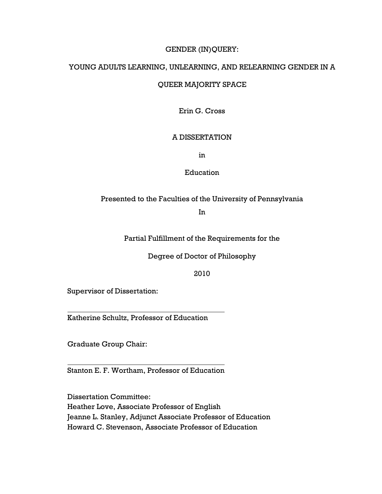# GENDER (IN)QUERY:

# YOUNG ADULTS LEARNING, UNLEARNING, AND RELEARNING GENDER IN A

# QUEER MAJORITY SPACE

Erin G. Cross

# A DISSERTATION

in

### Education

# Presented to the Faculties of the University of Pennsylvania

In

Partial Fulfillment of the Requirements for the

Degree of Doctor of Philosophy

2010

Supervisor of Dissertation:

Katherine Schultz, Professor of Education

Graduate Group Chair:

l

l

Stanton E. F. Wortham, Professor of Education

Dissertation Committee: Heather Love, Associate Professor of English Jeanne L. Stanley, Adjunct Associate Professor of Education Howard C. Stevenson, Associate Professor of Education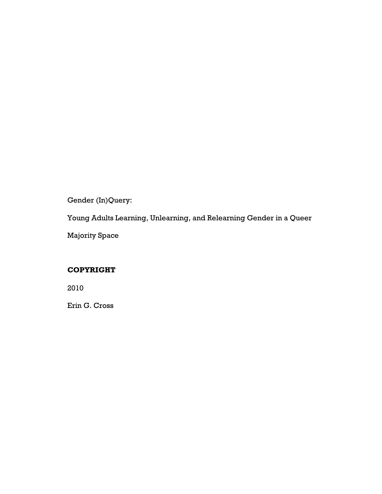Gender (In)Query:

Young Adults Learning, Unlearning, and Relearning Gender in a Queer

Majority Space

# COPYRIGHT

2010

Erin G. Cross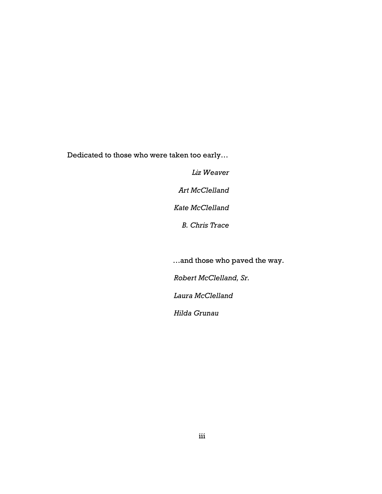Dedicated to those who were taken too early…

Liz Weaver

Art McClelland

Kate McClelland

B. Chris Trace

…and those who paved the way.

Robert McClelland, Sr.

Laura McClelland

Hilda Grunau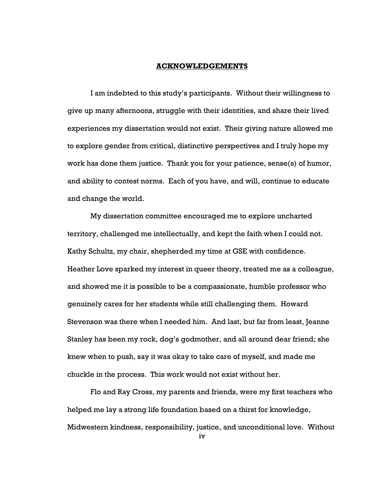#### ACKNOWLEDGEMENTS

I am indebted to this study's participants. Without their willingness to give up many afternoons, struggle with their identities, and share their lived experiences my dissertation would not exist. Their giving nature allowed me to explore gender from critical, distinctive perspectives and I truly hope my work has done them justice. Thank you for your patience, sense(s) of humor, and ability to contest norms. Each of you have, and will, continue to educate and change the world.

My dissertation committee encouraged me to explore uncharted territory, challenged me intellectually, and kept the faith when I could not. Kathy Schultz, my chair, shepherded my time at GSE with confidence. Heather Love sparked my interest in queer theory, treated me as a colleague, and showed me it is possible to be a compassionate, humble professor who genuinely cares for her students while still challenging them. Howard Stevenson was there when I needed him. And last, but far from least, Jeanne Stanley has been my rock, dog's godmother, and all around dear friend; she knew when to push, say it was okay to take care of myself, and made me chuckle in the process. This work would not exist without her.

Flo and Ray Cross, my parents and friends, were my first teachers who helped me lay a strong life foundation based on a thirst for knowledge, Midwestern kindness, responsibility, justice, and unconditional love. Without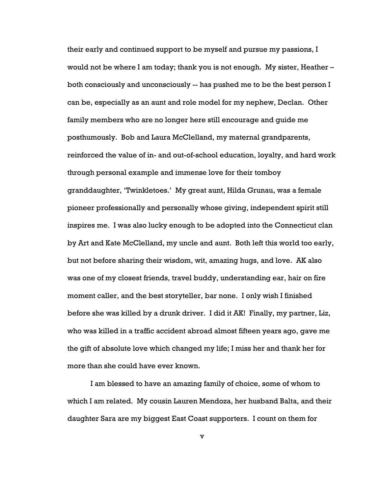their early and continued support to be myself and pursue my passions, I would not be where I am today; thank you is not enough. My sister, Heather – both consciously and unconsciously -- has pushed me to be the best person I can be, especially as an aunt and role model for my nephew, Declan. Other family members who are no longer here still encourage and guide me posthumously. Bob and Laura McClelland, my maternal grandparents, reinforced the value of in- and out-of-school education, loyalty, and hard work through personal example and immense love for their tomboy granddaughter, 'Twinkletoes.' My great aunt, Hilda Grunau, was a female pioneer professionally and personally whose giving, independent spirit still inspires me. I was also lucky enough to be adopted into the Connecticut clan by Art and Kate McClelland, my uncle and aunt. Both left this world too early, but not before sharing their wisdom, wit, amazing hugs, and love. AK also was one of my closest friends, travel buddy, understanding ear, hair on fire moment caller, and the best storyteller, bar none. I only wish I finished before she was killed by a drunk driver. I did it AK! Finally, my partner, Liz, who was killed in a traffic accident abroad almost fifteen years ago, gave me the gift of absolute love which changed my life; I miss her and thank her for more than she could have ever known.

I am blessed to have an amazing family of choice, some of whom to which I am related. My cousin Lauren Mendoza, her husband Balta, and their daughter Sara are my biggest East Coast supporters. I count on them for

v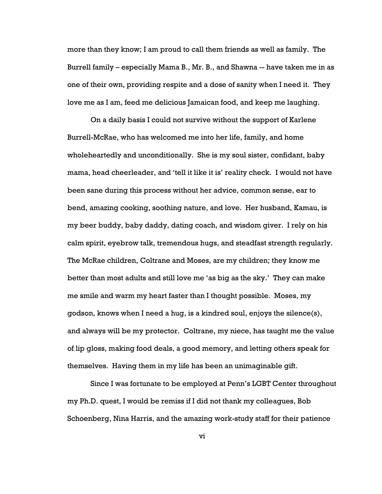more than they know; I am proud to call them friends as well as family. The Burrell family – especially Mama B., Mr. B., and Shawna -- have taken me in as one of their own, providing respite and a dose of sanity when I need it. They love me as I am, feed me delicious Jamaican food, and keep me laughing.

On a daily basis I could not survive without the support of Karlene Burrell-McRae, who has welcomed me into her life, family, and home wholeheartedly and unconditionally. She is my soul sister, confidant, baby mama, head cheerleader, and 'tell it like it is' reality check. I would not have been sane during this process without her advice, common sense, ear to bend, amazing cooking, soothing nature, and love. Her husband, Kamau, is my beer buddy, baby daddy, dating coach, and wisdom giver. I rely on his calm spirit, eyebrow talk, tremendous hugs, and steadfast strength regularly. The McRae children, Coltrane and Moses, are my children; they know me better than most adults and still love me 'as big as the sky.' They can make me smile and warm my heart faster than I thought possible. Moses, my godson, knows when I need a hug, is a kindred soul, enjoys the silence(s), and always will be my protector. Coltrane, my niece, has taught me the value of lip gloss, making food deals, a good memory, and letting others speak for themselves. Having them in my life has been an unimaginable gift.

Since I was fortunate to be employed at Penn's LGBT Center throughout my Ph.D. quest, I would be remiss if I did not thank my colleagues, Bob Schoenberg, Nina Harris, and the amazing work-study staff for their patience

vi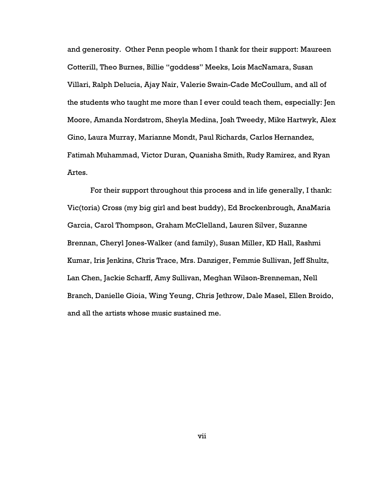and generosity. Other Penn people whom I thank for their support: Maureen Cotterill, Theo Burnes, Billie "goddess" Meeks, Lois MacNamara, Susan Villari, Ralph Delucia, Ajay Nair, Valerie Swain-Cade McCoullum, and all of the students who taught me more than I ever could teach them, especially: Jen Moore, Amanda Nordstrom, Sheyla Medina, Josh Tweedy, Mike Hartwyk, Alex Gino, Laura Murray, Marianne Mondt, Paul Richards, Carlos Hernandez, Fatimah Muhammad, Victor Duran, Quanisha Smith, Rudy Ramirez, and Ryan Artes.

For their support throughout this process and in life generally, I thank: Vic(toria) Cross (my big girl and best buddy), Ed Brockenbrough, AnaMaria Garcia, Carol Thompson, Graham McClelland, Lauren Silver, Suzanne Brennan, Cheryl Jones-Walker (and family), Susan Miller, KD Hall, Rashmi Kumar, Iris Jenkins, Chris Trace, Mrs. Danziger, Femmie Sullivan, Jeff Shultz, Lan Chen, Jackie Scharff, Amy Sullivan, Meghan Wilson-Brenneman, Nell Branch, Danielle Gioia, Wing Yeung, Chris Jethrow, Dale Masel, Ellen Broido, and all the artists whose music sustained me.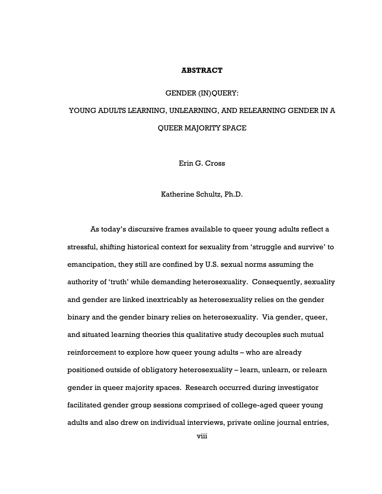#### ABSTRACT

### GENDER (IN)QUERY:

# YOUNG ADULTS LEARNING, UNLEARNING, AND RELEARNING GENDER IN A QUEER MAJORITY SPACE

Erin G. Cross

Katherine Schultz, Ph.D.

As today's discursive frames available to queer young adults reflect a stressful, shifting historical context for sexuality from 'struggle and survive' to emancipation, they still are confined by U.S. sexual norms assuming the authority of 'truth' while demanding heterosexuality. Consequently, sexuality and gender are linked inextricably as heterosexuality relies on the gender binary and the gender binary relies on heterosexuality. Via gender, queer, and situated learning theories this qualitative study decouples such mutual reinforcement to explore how queer young adults – who are already positioned outside of obligatory heterosexuality – learn, unlearn, or relearn gender in queer majority spaces. Research occurred during investigator facilitated gender group sessions comprised of college-aged queer young adults and also drew on individual interviews, private online journal entries,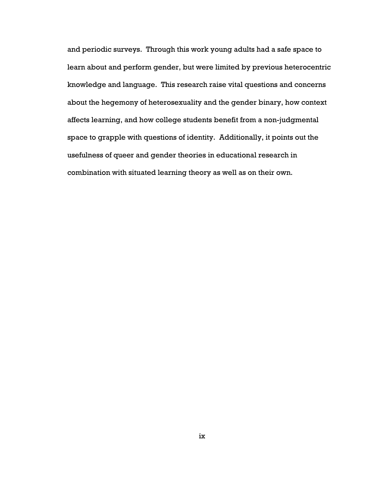and periodic surveys. Through this work young adults had a safe space to learn about and perform gender, but were limited by previous heterocentric knowledge and language. This research raise vital questions and concerns about the hegemony of heterosexuality and the gender binary, how context affects learning, and how college students benefit from a non-judgmental space to grapple with questions of identity. Additionally, it points out the usefulness of queer and gender theories in educational research in combination with situated learning theory as well as on their own.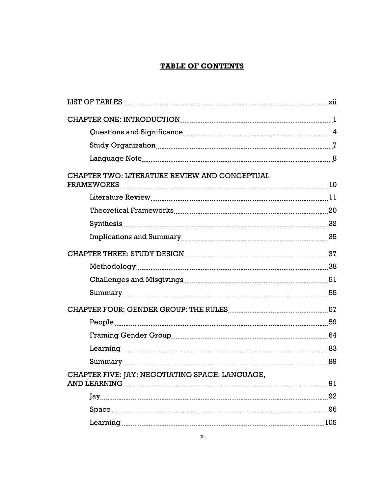# TABLE OF CONTENTS

| CHAPTER TWO: LITERATURE REVIEW AND CONCEPTUAL        |     |
|------------------------------------------------------|-----|
|                                                      |     |
|                                                      |     |
|                                                      |     |
|                                                      |     |
| CHAPTER THREE: STUDY DESIGN MARKET MARKET AND THE 37 |     |
|                                                      |     |
|                                                      |     |
|                                                      |     |
|                                                      |     |
|                                                      |     |
|                                                      |     |
|                                                      |     |
|                                                      |     |
| CHAPTER FIVE: IAY: NEGOTIATING SPACE, LANGUAGE.      | 91  |
|                                                      | 92  |
|                                                      | 96  |
|                                                      | 105 |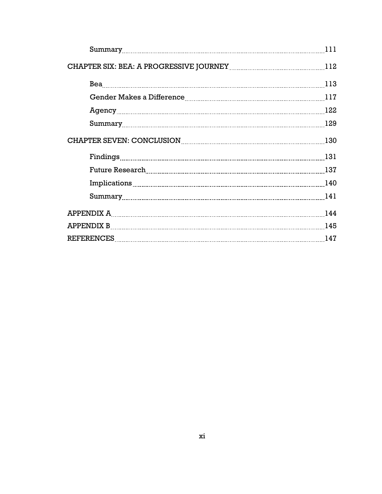| Summary 111                                         |  |
|-----------------------------------------------------|--|
|                                                     |  |
|                                                     |  |
|                                                     |  |
|                                                     |  |
|                                                     |  |
| CHAPTER SEVEN: CONCLUSION MARIE AND RESERVED TO 130 |  |
|                                                     |  |
| Future Research 137                                 |  |
|                                                     |  |
|                                                     |  |
|                                                     |  |
|                                                     |  |
|                                                     |  |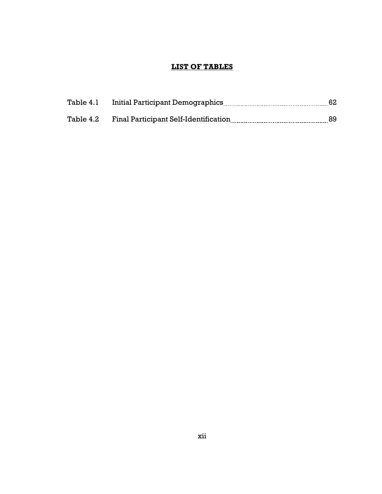# LIST OF TABLES

| Table 4.2 Final Participant Self-Identification |  |
|-------------------------------------------------|--|
|                                                 |  |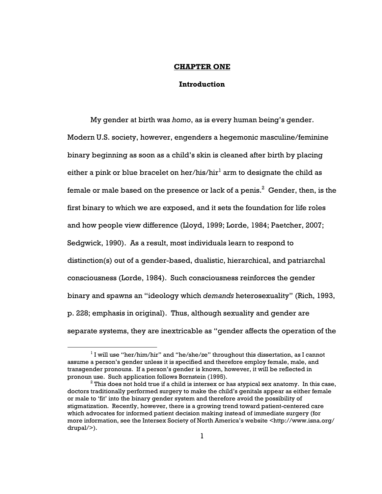### CHAPTER ONE

### Introduction

My gender at birth was homo, as is every human being's gender. Modern U.S. society, however, engenders a hegemonic masculine/feminine binary beginning as soon as a child's skin is cleaned after birth by placing either a pink or blue bracelet on her/his/hir $^{\rm l}$  arm to designate the child as female or male based on the presence or lack of a penis. $^{\rm 2}$  Gender, then, is the first binary to which we are exposed, and it sets the foundation for life roles and how people view difference (Lloyd, 1999; Lorde, 1984; Paetcher, 2007; Sedgwick, 1990). As a result, most individuals learn to respond to distinction(s) out of a gender-based, dualistic, hierarchical, and patriarchal consciousness (Lorde, 1984). Such consciousness reinforces the gender binary and spawns an "ideology which demands heterosexuality" (Rich, 1993, p. 228; emphasis in original). Thus, although sexuality and gender are separate systems, they are inextricable as "gender affects the operation of the

 $<sup>1</sup>$  I will use "her/him/hir" and "he/she/ze" throughout this dissertation, as I cannot</sup> assume a person's gender unless it is specified and therefore employ female, male, and transgender pronouns. If a person's gender is known, however, it will be reflected in pronoun use. Such application follows Bornstein (1995).

 $^{\rm 2}$  This does not hold true if a child is intersex or has atypical sex anatomy. In this case, doctors traditionally performed surgery to make the child's genitals appear as either female or male to 'fit' into the binary gender system and therefore avoid the possibility of stigmatization. Recently, however, there is a growing trend toward patient-centered care which advocates for informed patient decision making instead of immediate surgery (for more information, see the Intersex Society of North America's website <http://www.isna.org/ drupal/>).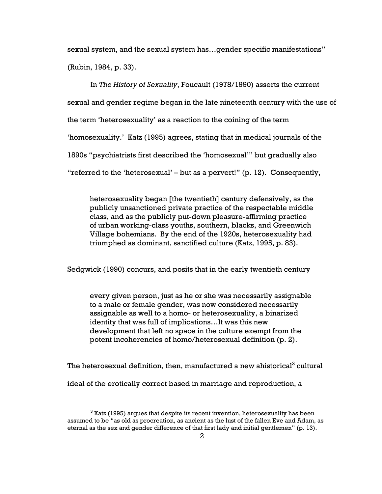sexual system, and the sexual system has…gender specific manifestations" (Rubin, 1984, p. 33).

In The History of Sexuality, Foucault (1978/1990) asserts the current sexual and gender regime began in the late nineteenth century with the use of the term 'heterosexuality' as a reaction to the coining of the term 'homosexuality.' Katz (1995) agrees, stating that in medical journals of the 1890s "psychiatrists first described the 'homosexual'" but gradually also "referred to the 'heterosexual' – but as a pervert!" (p. 12). Consequently,

heterosexuality began [the twentieth] century defensively, as the publicly unsanctioned private practice of the respectable middle class, and as the publicly put-down pleasure-affirming practice of urban working-class youths, southern, blacks, and Greenwich Village bohemians. By the end of the 1920s, heterosexuality had triumphed as dominant, sanctified culture (Katz, 1995, p. 83).

Sedgwick (1990) concurs, and posits that in the early twentieth century

every given person, just as he or she was necessarily assignable to a male or female gender, was now considered necessarily assignable as well to a homo- or heterosexuality, a binarized identity that was full of implications…It was this new development that left no space in the culture exempt from the potent incoherencies of homo/heterosexual definition (p. 2).

The heterosexual definition, then, manufactured a new ahistorical $^3$  cultural

ideal of the erotically correct based in marriage and reproduction, a

 $^3$  Katz (1995) argues that despite its recent invention, heterosexuality has been assumed to be "as old as procreation, as ancient as the lust of the fallen Eve and Adam, as eternal as the sex and gender difference of that first lady and initial gentlemen" (p. 13).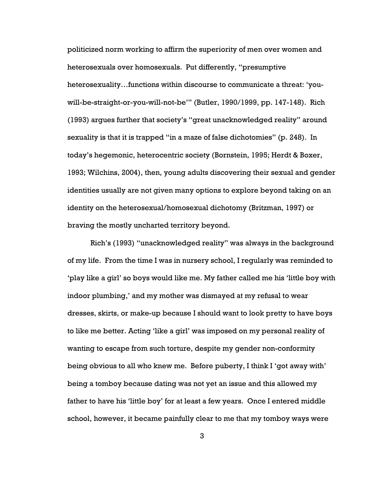politicized norm working to affirm the superiority of men over women and heterosexuals over homosexuals. Put differently, "presumptive heterosexuality…functions within discourse to communicate a threat: 'youwill-be-straight-or-you-will-not-be'" (Butler, 1990/1999, pp. 147-148). Rich (1993) argues further that society's "great unacknowledged reality" around sexuality is that it is trapped "in a maze of false dichotomies" (p. 248). In today's hegemonic, heterocentric society (Bornstein, 1995; Herdt & Boxer, 1993; Wilchins, 2004), then, young adults discovering their sexual and gender identities usually are not given many options to explore beyond taking on an identity on the heterosexual/homosexual dichotomy (Britzman, 1997) or braving the mostly uncharted territory beyond.

Rich's (1993) "unacknowledged reality" was always in the background of my life. From the time I was in nursery school, I regularly was reminded to 'play like a girl' so boys would like me. My father called me his 'little boy with indoor plumbing,' and my mother was dismayed at my refusal to wear dresses, skirts, or make-up because I should want to look pretty to have boys to like me better. Acting 'like a girl' was imposed on my personal reality of wanting to escape from such torture, despite my gender non-conformity being obvious to all who knew me. Before puberty, I think I 'got away with' being a tomboy because dating was not yet an issue and this allowed my father to have his 'little boy' for at least a few years. Once I entered middle school, however, it became painfully clear to me that my tomboy ways were

3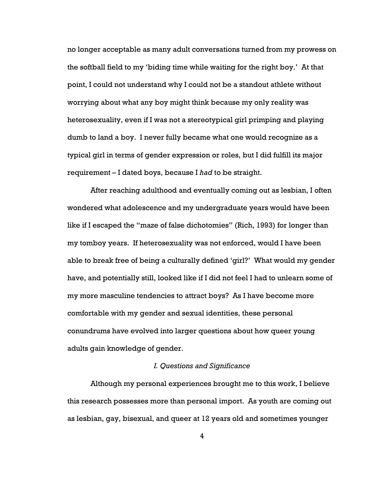no longer acceptable as many adult conversations turned from my prowess on the softball field to my 'biding time while waiting for the right boy.' At that point, I could not understand why I could not be a standout athlete without worrying about what any boy might think because my only reality was heterosexuality, even if I was not a stereotypical girl primping and playing dumb to land a boy. I never fully became what one would recognize as a typical girl in terms of gender expression or roles, but I did fulfill its major requirement – I dated boys, because I had to be straight.

After reaching adulthood and eventually coming out as lesbian, I often wondered what adolescence and my undergraduate years would have been like if I escaped the "maze of false dichotomies" (Rich, 1993) for longer than my tomboy years. If heterosexuality was not enforced, would I have been able to break free of being a culturally defined 'girl?' What would my gender have, and potentially still, looked like if I did not feel I had to unlearn some of my more masculine tendencies to attract boys? As I have become more comfortable with my gender and sexual identities, these personal conundrums have evolved into larger questions about how queer young adults gain knowledge of gender.

### I. Questions and Significance

Although my personal experiences brought me to this work, I believe this research possesses more than personal import. As youth are coming out as lesbian, gay, bisexual, and queer at 12 years old and sometimes younger

4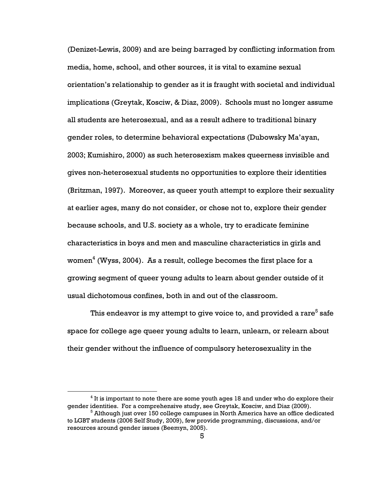(Denizet-Lewis, 2009) and are being barraged by conflicting information from media, home, school, and other sources, it is vital to examine sexual orientation's relationship to gender as it is fraught with societal and individual implications (Greytak, Kosciw, & Diaz, 2009). Schools must no longer assume all students are heterosexual, and as a result adhere to traditional binary gender roles, to determine behavioral expectations (Dubowsky Ma'ayan, 2003; Kumishiro, 2000) as such heterosexism makes queerness invisible and gives non-heterosexual students no opportunities to explore their identities (Britzman, 1997). Moreover, as queer youth attempt to explore their sexuality at earlier ages, many do not consider, or chose not to, explore their gender because schools, and U.S. society as a whole, try to eradicate feminine characteristics in boys and men and masculine characteristics in girls and women $^4$  (Wyss, 2004). As a result, college becomes the first place for a growing segment of queer young adults to learn about gender outside of it usual dichotomous confines, both in and out of the classroom.

This endeavor is my attempt to give voice to, and provided a rare $^{\rm 5}$  safe space for college age queer young adults to learn, unlearn, or relearn about their gender without the influence of compulsory heterosexuality in the

 $<sup>4</sup>$  It is important to note there are some youth ages 18 and under who do explore their</sup> gender identities. For a comprehensive study, see Greytak, Kosciw, and Diaz (2009).

 $^5$  Although just over 150 college campuses in North America have an office dedicated to LGBT students (2006 Self Study, 2009), few provide programming, discussions, and/or resources around gender issues (Beemyn, 2005).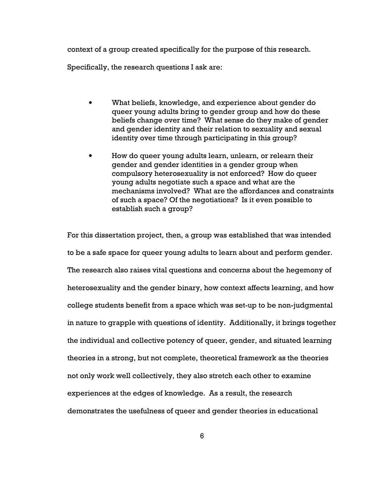context of a group created specifically for the purpose of this research.

Specifically, the research questions I ask are:

- What beliefs, knowledge, and experience about gender do queer young adults bring to gender group and how do these beliefs change over time? What sense do they make of gender and gender identity and their relation to sexuality and sexual identity over time through participating in this group?
- How do queer young adults learn, unlearn, or relearn their gender and gender identities in a gender group when compulsory heterosexuality is not enforced? How do queer young adults negotiate such a space and what are the mechanisms involved? What are the affordances and constraints of such a space? Of the negotiations? Is it even possible to establish such a group?

For this dissertation project, then, a group was established that was intended to be a safe space for queer young adults to learn about and perform gender. The research also raises vital questions and concerns about the hegemony of heterosexuality and the gender binary, how context affects learning, and how college students benefit from a space which was set-up to be non-judgmental in nature to grapple with questions of identity. Additionally, it brings together the individual and collective potency of queer, gender, and situated learning theories in a strong, but not complete, theoretical framework as the theories not only work well collectively, they also stretch each other to examine experiences at the edges of knowledge. As a result, the research demonstrates the usefulness of queer and gender theories in educational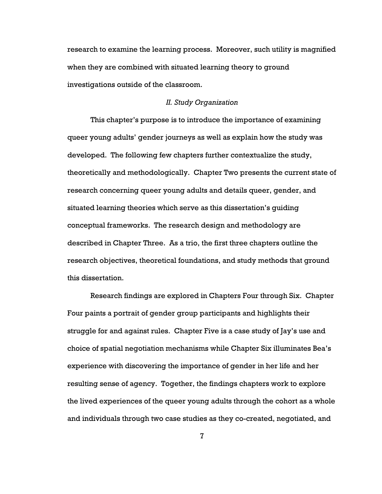research to examine the learning process. Moreover, such utility is magnified when they are combined with situated learning theory to ground investigations outside of the classroom.

### II. Study Organization

This chapter's purpose is to introduce the importance of examining queer young adults' gender journeys as well as explain how the study was developed. The following few chapters further contextualize the study, theoretically and methodologically. Chapter Two presents the current state of research concerning queer young adults and details queer, gender, and situated learning theories which serve as this dissertation's guiding conceptual frameworks. The research design and methodology are described in Chapter Three. As a trio, the first three chapters outline the research objectives, theoretical foundations, and study methods that ground this dissertation.

Research findings are explored in Chapters Four through Six. Chapter Four paints a portrait of gender group participants and highlights their struggle for and against rules. Chapter Five is a case study of Jay's use and choice of spatial negotiation mechanisms while Chapter Six illuminates Bea's experience with discovering the importance of gender in her life and her resulting sense of agency. Together, the findings chapters work to explore the lived experiences of the queer young adults through the cohort as a whole and individuals through two case studies as they co-created, negotiated, and

7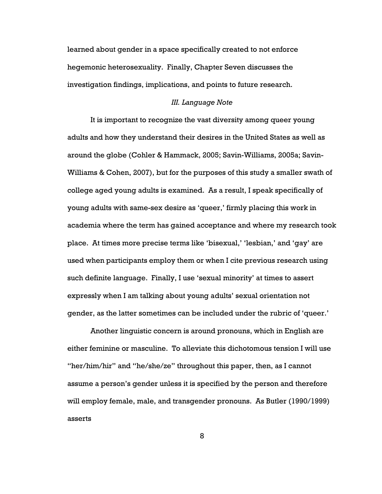learned about gender in a space specifically created to not enforce hegemonic heterosexuality. Finally, Chapter Seven discusses the investigation findings, implications, and points to future research.

### III. Language Note

It is important to recognize the vast diversity among queer young adults and how they understand their desires in the United States as well as around the globe (Cohler & Hammack, 2005; Savin-Williams, 2005a; Savin-Williams & Cohen, 2007), but for the purposes of this study a smaller swath of college aged young adults is examined. As a result, I speak specifically of young adults with same-sex desire as 'queer,' firmly placing this work in academia where the term has gained acceptance and where my research took place. At times more precise terms like 'bisexual,' 'lesbian,' and 'gay' are used when participants employ them or when I cite previous research using such definite language. Finally, I use 'sexual minority' at times to assert expressly when I am talking about young adults' sexual orientation not gender, as the latter sometimes can be included under the rubric of 'queer.'

Another linguistic concern is around pronouns, which in English are either feminine or masculine. To alleviate this dichotomous tension I will use "her/him/hir" and "he/she/ze" throughout this paper, then, as I cannot assume a person's gender unless it is specified by the person and therefore will employ female, male, and transgender pronouns. As Butler (1990/1999) asserts

8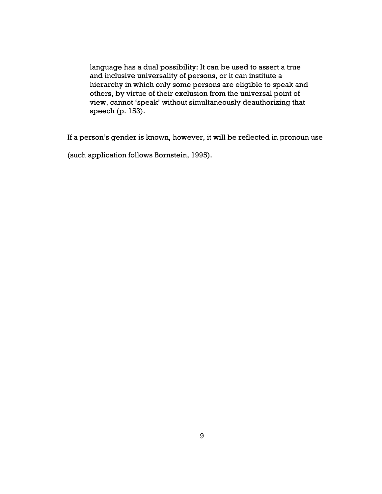language has a dual possibility: It can be used to assert a true and inclusive universality of persons, or it can institute a hierarchy in which only some persons are eligible to speak and others, by virtue of their exclusion from the universal point of view, cannot 'speak' without simultaneously deauthorizing that speech (p. 153).

If a person's gender is known, however, it will be reflected in pronoun use

(such application follows Bornstein, 1995).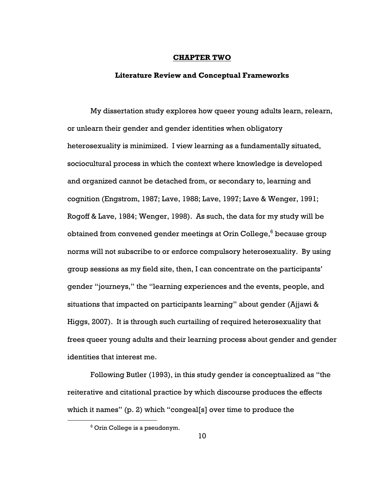#### CHAPTER TWO

### Literature Review and Conceptual Frameworks

My dissertation study explores how queer young adults learn, relearn, or unlearn their gender and gender identities when obligatory heterosexuality is minimized. I view learning as a fundamentally situated, sociocultural process in which the context where knowledge is developed and organized cannot be detached from, or secondary to, learning and cognition (Engstrom, 1987; Lave, 1988; Lave, 1997; Lave & Wenger, 1991; Rogoff & Lave, 1984; Wenger, 1998). As such, the data for my study will be obtained from convened gender meetings at Orin College, $^6$  because group norms will not subscribe to or enforce compulsory heterosexuality. By using group sessions as my field site, then, I can concentrate on the participants' gender "journeys," the "learning experiences and the events, people, and situations that impacted on participants learning" about gender (Ajjawi & Higgs, 2007). It is through such curtailing of required heterosexuality that frees queer young adults and their learning process about gender and gender identities that interest me.

Following Butler (1993), in this study gender is conceptualized as "the reiterative and citational practice by which discourse produces the effects which it names" (p. 2) which "congeal[s] over time to produce the

 $6$  Orin College is a pseudonym.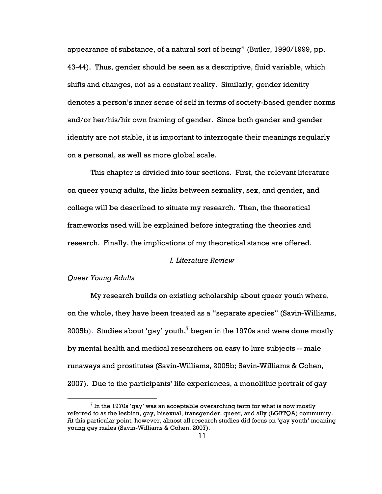appearance of substance, of a natural sort of being" (Butler, 1990/1999, pp. 43-44). Thus, gender should be seen as a descriptive, fluid variable, which shifts and changes, not as a constant reality. Similarly, gender identity denotes a person's inner sense of self in terms of society-based gender norms and/or her/his/hir own framing of gender. Since both gender and gender identity are not stable, it is important to interrogate their meanings regularly on a personal, as well as more global scale.

This chapter is divided into four sections. First, the relevant literature on queer young adults, the links between sexuality, sex, and gender, and college will be described to situate my research. Then, the theoretical frameworks used will be explained before integrating the theories and research. Finally, the implications of my theoretical stance are offered.

### I. Literature Review

### Queer Young Adults

 $\overline{a}$ 

My research builds on existing scholarship about queer youth where, on the whole, they have been treated as a "separate species" (Savin-Williams, 2005b). Studies about 'gay' youth, $^7$  began in the 1970s and were done mostly by mental health and medical researchers on easy to lure subjects -- male runaways and prostitutes (Savin-Williams, 2005b; Savin-Williams & Cohen, 2007). Due to the participants' life experiences, a monolithic portrait of gay

 $^7$  In the 1970s 'gay' was an acceptable overarching term for what is now mostly referred to as the lesbian, gay, bisexual, transgender, queer, and ally (LGBTQA) community. At this particular point, however, almost all research studies did focus on 'gay youth' meaning young gay males (Savin-Williams & Cohen, 2007).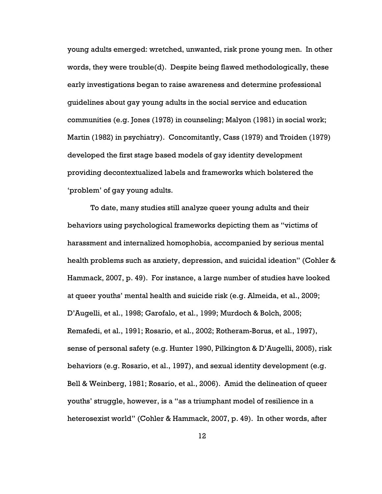young adults emerged: wretched, unwanted, risk prone young men. In other words, they were trouble(d). Despite being flawed methodologically, these early investigations began to raise awareness and determine professional guidelines about gay young adults in the social service and education communities (e.g. Jones (1978) in counseling; Malyon (1981) in social work; Martin (1982) in psychiatry). Concomitantly, Cass (1979) and Troiden (1979) developed the first stage based models of gay identity development providing decontextualized labels and frameworks which bolstered the 'problem' of gay young adults.

To date, many studies still analyze queer young adults and their behaviors using psychological frameworks depicting them as "victims of harassment and internalized homophobia, accompanied by serious mental health problems such as anxiety, depression, and suicidal ideation" (Cohler & Hammack, 2007, p. 49). For instance, a large number of studies have looked at queer youths' mental health and suicide risk (e.g. Almeida, et al., 2009; D'Augelli, et al., 1998; Garofalo, et al., 1999; Murdoch & Bolch, 2005; Remafedi, et al., 1991; Rosario, et al., 2002; Rotheram-Borus, et al., 1997), sense of personal safety (e.g. Hunter 1990, Pilkington & D'Augelli, 2005), risk behaviors (e.g. Rosario, et al., 1997), and sexual identity development (e.g. Bell & Weinberg, 1981; Rosario, et al., 2006). Amid the delineation of queer youths' struggle, however, is a "as a triumphant model of resilience in a heterosexist world" (Cohler & Hammack, 2007, p. 49). In other words, after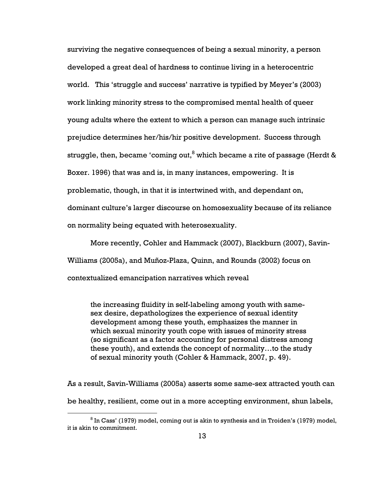surviving the negative consequences of being a sexual minority, a person developed a great deal of hardness to continue living in a heterocentric world. This 'struggle and success' narrative is typified by Meyer's (2003) work linking minority stress to the compromised mental health of queer young adults where the extent to which a person can manage such intrinsic prejudice determines her/his/hir positive development. Success through struggle, then, became 'coming out, $^8$  which became a rite of passage (Herdt & Boxer. 1996) that was and is, in many instances, empowering. It is problematic, though, in that it is intertwined with, and dependant on, dominant culture's larger discourse on homosexuality because of its reliance on normality being equated with heterosexuality.

More recently, Cohler and Hammack (2007), Blackburn (2007), Savin-Williams (2005a), and Muñoz-Plaza, Quinn, and Rounds (2002) focus on contextualized emancipation narratives which reveal

the increasing fluidity in self-labeling among youth with samesex desire, depathologizes the experience of sexual identity development among these youth, emphasizes the manner in which sexual minority youth cope with issues of minority stress (so significant as a factor accounting for personal distress among these youth), and extends the concept of normality…to the study of sexual minority youth (Cohler & Hammack, 2007, p. 49).

As a result, Savin-Williams (2005a) asserts some same-sex attracted youth can be healthy, resilient, come out in a more accepting environment, shun labels,

 $^8$  In Cass' (1979) model, coming out is akin to synthesis and in Troiden's (1979) model, it is akin to commitment.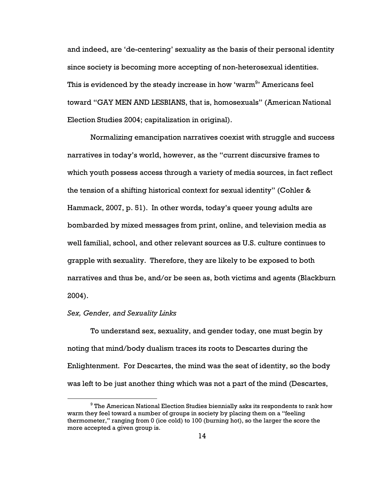and indeed, are 'de-centering' sexuality as the basis of their personal identity since society is becoming more accepting of non-heterosexual identities. This is evidenced by the steady increase in how 'warm $^\mathrm{9}$ ' Americans feel toward "GAY MEN AND LESBIANS, that is, homosexuals" (American National Election Studies 2004; capitalization in original).

Normalizing emancipation narratives coexist with struggle and success narratives in today's world, however, as the "current discursive frames to which youth possess access through a variety of media sources, in fact reflect the tension of a shifting historical context for sexual identity" (Cohler & Hammack, 2007, p. 51). In other words, today's queer young adults are bombarded by mixed messages from print, online, and television media as well familial, school, and other relevant sources as U.S. culture continues to grapple with sexuality. Therefore, they are likely to be exposed to both narratives and thus be, and/or be seen as, both victims and agents (Blackburn 2004).

### Sex, Gender, and Sexuality Links

 $\overline{a}$ 

To understand sex, sexuality, and gender today, one must begin by noting that mind/body dualism traces its roots to Descartes during the Enlightenment. For Descartes, the mind was the seat of identity, so the body was left to be just another thing which was not a part of the mind (Descartes,

 $^9$  The American National Election Studies biennially asks its respondents to rank how warm they feel toward a number of groups in society by placing them on a "feeling thermometer," ranging from 0 (ice cold) to 100 (burning hot), so the larger the score the more accepted a given group is.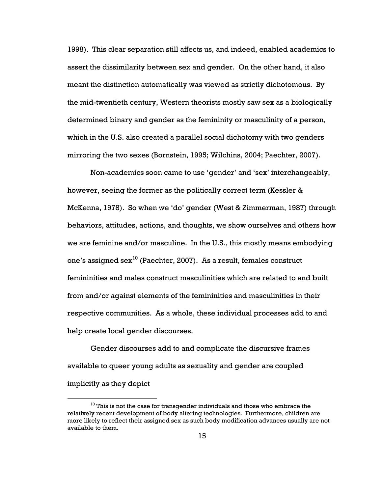1998). This clear separation still affects us, and indeed, enabled academics to assert the dissimilarity between sex and gender. On the other hand, it also meant the distinction automatically was viewed as strictly dichotomous. By the mid-twentieth century, Western theorists mostly saw sex as a biologically determined binary and gender as the femininity or masculinity of a person, which in the U.S. also created a parallel social dichotomy with two genders mirroring the two sexes (Bornstein, 1995; Wilchins, 2004; Paechter, 2007).

Non-academics soon came to use 'gender' and 'sex' interchangeably, however, seeing the former as the politically correct term (Kessler & McKenna, 1978). So when we 'do' gender (West & Zimmerman, 1987) through behaviors, attitudes, actions, and thoughts, we show ourselves and others how we are feminine and/or masculine. In the U.S., this mostly means embodying one's assigned sex<sup>10</sup> (Paechter, 2007). As a result, females construct femininities and males construct masculinities which are related to and built from and/or against elements of the femininities and masculinities in their respective communities. As a whole, these individual processes add to and help create local gender discourses.

Gender discourses add to and complicate the discursive frames available to queer young adults as sexuality and gender are coupled implicitly as they depict

 $10$  This is not the case for transgender individuals and those who embrace the relatively recent development of body altering technologies. Furthermore, children are more likely to reflect their assigned sex as such body modification advances usually are not available to them.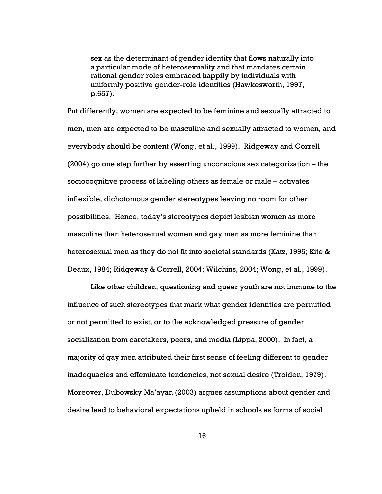sex as the determinant of gender identity that flows naturally into a particular mode of heterosexuality and that mandates certain rational gender roles embraced happily by individuals with uniformly positive gender-role identities (Hawkesworth, 1997, p.657).

Put differently, women are expected to be feminine and sexually attracted to men, men are expected to be masculine and sexually attracted to women, and everybody should be content (Wong, et al., 1999). Ridgeway and Correll (2004) go one step further by asserting unconscious sex categorization – the sociocognitive process of labeling others as female or male – activates inflexible, dichotomous gender stereotypes leaving no room for other possibilities. Hence, today's stereotypes depict lesbian women as more masculine than heterosexual women and gay men as more feminine than heterosexual men as they do not fit into societal standards (Katz, 1995; Kite & Deaux, 1984; Ridgeway & Correll, 2004; Wilchins, 2004; Wong, et al., 1999).

Like other children, questioning and queer youth are not immune to the influence of such stereotypes that mark what gender identities are permitted or not permitted to exist, or to the acknowledged pressure of gender socialization from caretakers, peers, and media (Lippa, 2000). In fact, a majority of gay men attributed their first sense of feeling different to gender inadequacies and effeminate tendencies, not sexual desire (Troiden, 1979). Moreover, Dubowsky Ma'ayan (2003) argues assumptions about gender and desire lead to behavioral expectations upheld in schools as forms of social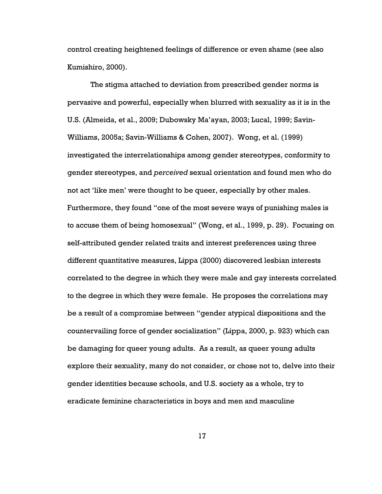control creating heightened feelings of difference or even shame (see also Kumishiro, 2000).

The stigma attached to deviation from prescribed gender norms is pervasive and powerful, especially when blurred with sexuality as it is in the U.S. (Almeida, et al., 2009; Dubowsky Ma'ayan, 2003; Lucal, 1999; Savin-Williams, 2005a; Savin-Williams & Cohen, 2007). Wong, et al. (1999) investigated the interrelationships among gender stereotypes, conformity to gender stereotypes, and perceived sexual orientation and found men who do not act 'like men' were thought to be queer, especially by other males. Furthermore, they found "one of the most severe ways of punishing males is to accuse them of being homosexual" (Wong, et al., 1999, p. 29). Focusing on self-attributed gender related traits and interest preferences using three different quantitative measures, Lippa (2000) discovered lesbian interests correlated to the degree in which they were male and gay interests correlated to the degree in which they were female. He proposes the correlations may be a result of a compromise between "gender atypical dispositions and the countervailing force of gender socialization" (Lippa, 2000, p. 923) which can be damaging for queer young adults. As a result, as queer young adults explore their sexuality, many do not consider, or chose not to, delve into their gender identities because schools, and U.S. society as a whole, try to eradicate feminine characteristics in boys and men and masculine

17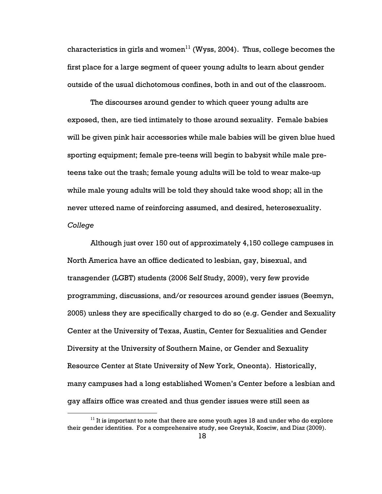characteristics in girls and women<sup>11</sup> (Wyss, 2004). Thus, college becomes the first place for a large segment of queer young adults to learn about gender outside of the usual dichotomous confines, both in and out of the classroom.

The discourses around gender to which queer young adults are exposed, then, are tied intimately to those around sexuality. Female babies will be given pink hair accessories while male babies will be given blue hued sporting equipment; female pre-teens will begin to babysit while male preteens take out the trash; female young adults will be told to wear make-up while male young adults will be told they should take wood shop; all in the never uttered name of reinforcing assumed, and desired, heterosexuality. College

Although just over 150 out of approximately 4,150 college campuses in North America have an office dedicated to lesbian, gay, bisexual, and transgender (LGBT) students (2006 Self Study, 2009), very few provide programming, discussions, and/or resources around gender issues (Beemyn, 2005) unless they are specifically charged to do so (e.g. Gender and Sexuality Center at the University of Texas, Austin, Center for Sexualities and Gender Diversity at the University of Southern Maine, or Gender and Sexuality Resource Center at State University of New York, Oneonta). Historically, many campuses had a long established Women's Center before a lesbian and gay affairs office was created and thus gender issues were still seen as

 $11$  It is important to note that there are some youth ages 18 and under who do explore their gender identities. For a comprehensive study, see Greytak, Kosciw, and Diaz (2009).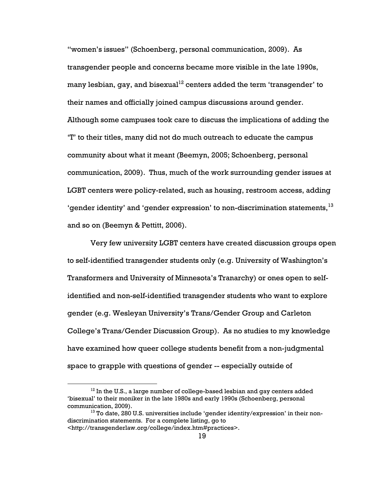"women's issues" (Schoenberg, personal communication, 2009). As transgender people and concerns became more visible in the late 1990s, many lesbian, gay, and bisexual<sup>12</sup> centers added the term 'transgender' to their names and officially joined campus discussions around gender. Although some campuses took care to discuss the implications of adding the 'T' to their titles, many did not do much outreach to educate the campus community about what it meant (Beemyn, 2005; Schoenberg, personal communication, 2009). Thus, much of the work surrounding gender issues at LGBT centers were policy-related, such as housing, restroom access, adding 'gender identity' and 'gender expression' to non-discrimination statements,  $13$ and so on (Beemyn & Pettitt, 2006).

Very few university LGBT centers have created discussion groups open to self-identified transgender students only (e.g. University of Washington's Transformers and University of Minnesota's Tranarchy) or ones open to selfidentified and non-self-identified transgender students who want to explore gender (e.g. Wesleyan University's Trans/Gender Group and Carleton College's Trans/Gender Discussion Group). As no studies to my knowledge have examined how queer college students benefit from a non-judgmental space to grapple with questions of gender -- especially outside of

 $12$  In the U.S., a large number of college-based lesbian and gay centers added 'bisexual' to their moniker in the late 1980s and early 1990s (Schoenberg, personal communication, 2009).

<sup>&</sup>lt;sup>13</sup> To date, 280 U.S. universities include 'gender identity/expression' in their nondiscrimination statements. For a complete listing, go to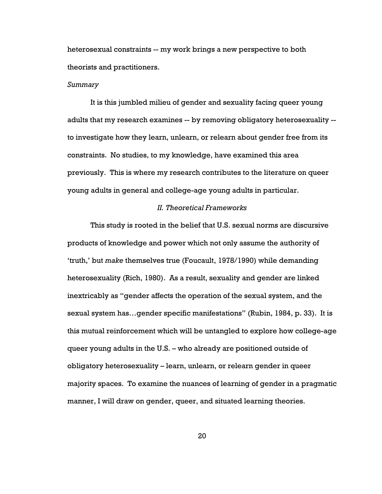heterosexual constraints -- my work brings a new perspective to both theorists and practitioners.

#### Summary

It is this jumbled milieu of gender and sexuality facing queer young adults that my research examines -- by removing obligatory heterosexuality - to investigate how they learn, unlearn, or relearn about gender free from its constraints. No studies, to my knowledge, have examined this area previously. This is where my research contributes to the literature on queer young adults in general and college-age young adults in particular.

### II. Theoretical Frameworks

This study is rooted in the belief that U.S. sexual norms are discursive products of knowledge and power which not only assume the authority of 'truth,' but make themselves true (Foucault, 1978/1990) while demanding heterosexuality (Rich, 1980). As a result, sexuality and gender are linked inextricably as "gender affects the operation of the sexual system, and the sexual system has…gender specific manifestations" (Rubin, 1984, p. 33). It is this mutual reinforcement which will be untangled to explore how college-age queer young adults in the U.S. – who already are positioned outside of obligatory heterosexuality – learn, unlearn, or relearn gender in queer majority spaces. To examine the nuances of learning of gender in a pragmatic manner, I will draw on gender, queer, and situated learning theories.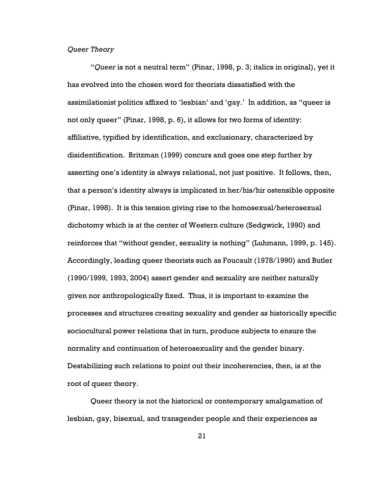### Queer Theory

"Queer is not a neutral term" (Pinar, 1998, p. 3; italics in original), yet it has evolved into the chosen word for theorists dissatisfied with the assimilationist politics affixed to 'lesbian' and 'gay.' In addition, as "queer is not only queer" (Pinar, 1998, p. 6), it allows for two forms of identity: affiliative, typified by identification, and exclusionary, characterized by disidentification. Britzman (1999) concurs and goes one step further by asserting one's identity is always relational, not just positive. It follows, then, that a person's identity always is implicated in her/his/hir ostensible opposite (Pinar, 1998). It is this tension giving rise to the homosexual/heterosexual dichotomy which is at the center of Western culture (Sedgwick, 1990) and reinforces that "without gender, sexuality is nothing" (Luhmann, 1999, p. 145). Accordingly, leading queer theorists such as Foucault (1978/1990) and Butler (1990/1999, 1993, 2004) assert gender and sexuality are neither naturally given nor anthropologically fixed. Thus, it is important to examine the processes and structures creating sexuality and gender as historically specific sociocultural power relations that in turn, produce subjects to ensure the normality and continuation of heterosexuality and the gender binary. Destabilizing such relations to point out their incoherencies, then, is at the root of queer theory.

Queer theory is not the historical or contemporary amalgamation of lesbian, gay, bisexual, and transgender people and their experiences as

21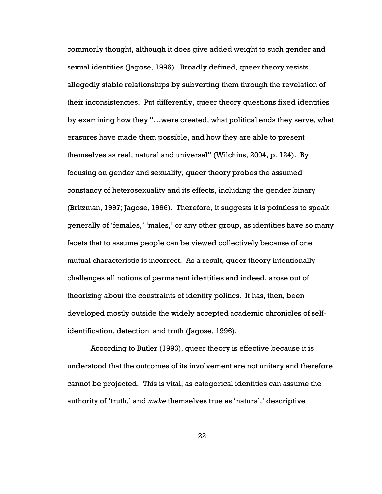commonly thought, although it does give added weight to such gender and sexual identities (Jagose, 1996). Broadly defined, queer theory resists allegedly stable relationships by subverting them through the revelation of their inconsistencies. Put differently, queer theory questions fixed identities by examining how they "…were created, what political ends they serve, what erasures have made them possible, and how they are able to present themselves as real, natural and universal" (Wilchins, 2004, p. 124). By focusing on gender and sexuality, queer theory probes the assumed constancy of heterosexuality and its effects, including the gender binary (Britzman, 1997; Jagose, 1996). Therefore, it suggests it is pointless to speak generally of 'females,' 'males,' or any other group, as identities have so many facets that to assume people can be viewed collectively because of one mutual characteristic is incorrect. As a result, queer theory intentionally challenges all notions of permanent identities and indeed, arose out of theorizing about the constraints of identity politics. It has, then, been developed mostly outside the widely accepted academic chronicles of selfidentification, detection, and truth (Jagose, 1996).

According to Butler (1993), queer theory is effective because it is understood that the outcomes of its involvement are not unitary and therefore cannot be projected. This is vital, as categorical identities can assume the authority of 'truth,' and make themselves true as 'natural,' descriptive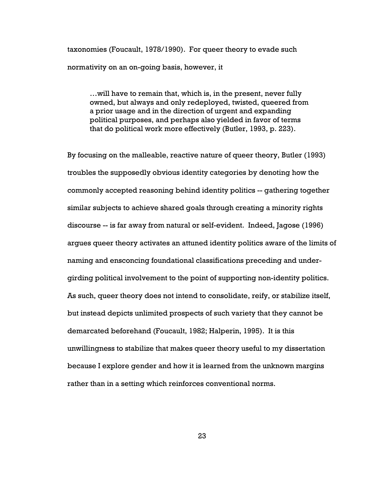taxonomies (Foucault, 1978/1990). For queer theory to evade such normativity on an on-going basis, however, it

…will have to remain that, which is, in the present, never fully owned, but always and only redeployed, twisted, queered from a prior usage and in the direction of urgent and expanding political purposes, and perhaps also yielded in favor of terms that do political work more effectively (Butler, 1993, p. 223).

By focusing on the malleable, reactive nature of queer theory, Butler (1993) troubles the supposedly obvious identity categories by denoting how the commonly accepted reasoning behind identity politics -- gathering together similar subjects to achieve shared goals through creating a minority rights discourse -- is far away from natural or self-evident. Indeed, Jagose (1996) argues queer theory activates an attuned identity politics aware of the limits of naming and ensconcing foundational classifications preceding and undergirding political involvement to the point of supporting non-identity politics. As such, queer theory does not intend to consolidate, reify, or stabilize itself, but instead depicts unlimited prospects of such variety that they cannot be demarcated beforehand (Foucault, 1982; Halperin, 1995). It is this unwillingness to stabilize that makes queer theory useful to my dissertation because I explore gender and how it is learned from the unknown margins rather than in a setting which reinforces conventional norms.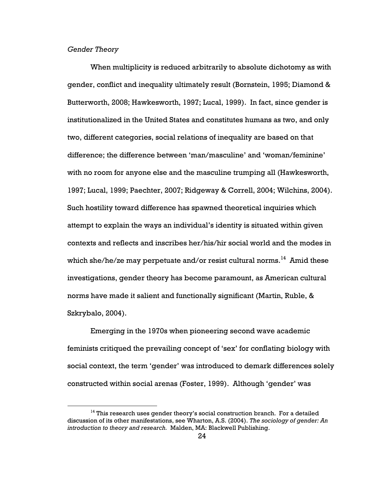# Gender Theory

 $\overline{a}$ 

When multiplicity is reduced arbitrarily to absolute dichotomy as with gender, conflict and inequality ultimately result (Bornstein, 1995; Diamond & Butterworth, 2008; Hawkesworth, 1997; Lucal, 1999). In fact, since gender is institutionalized in the United States and constitutes humans as two, and only two, different categories, social relations of inequality are based on that difference; the difference between 'man/masculine' and 'woman/feminine' with no room for anyone else and the masculine trumping all (Hawkesworth, 1997; Lucal, 1999; Paechter, 2007; Ridgeway & Correll, 2004; Wilchins, 2004). Such hostility toward difference has spawned theoretical inquiries which attempt to explain the ways an individual's identity is situated within given contexts and reflects and inscribes her/his/hir social world and the modes in which she/he/ze may perpetuate and/or resist cultural norms.<sup>14</sup> Amid these investigations, gender theory has become paramount, as American cultural norms have made it salient and functionally significant (Martin, Ruble, & Szkrybalo, 2004).

Emerging in the 1970s when pioneering second wave academic feminists critiqued the prevailing concept of 'sex' for conflating biology with social context, the term 'gender' was introduced to demark differences solely constructed within social arenas (Foster, 1999). Although 'gender' was

 $14$  This research uses gender theory's social construction branch. For a detailed discussion of its other manifestations, see Wharton, A.S. (2004). The sociology of gender: An introduction to theory and research. Malden, MA: Blackwell Publishing.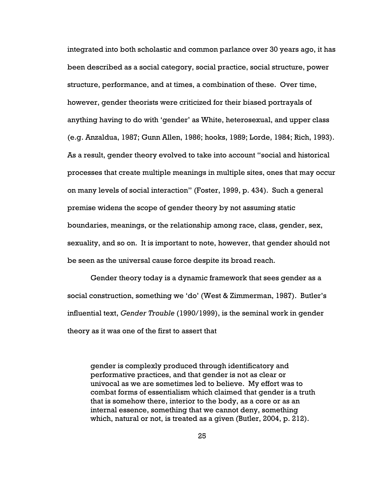integrated into both scholastic and common parlance over 30 years ago, it has been described as a social category, social practice, social structure, power structure, performance, and at times, a combination of these. Over time, however, gender theorists were criticized for their biased portrayals of anything having to do with 'gender' as White, heterosexual, and upper class (e.g. Anzaldua, 1987; Gunn Allen, 1986; hooks, 1989; Lorde, 1984; Rich, 1993). As a result, gender theory evolved to take into account "social and historical processes that create multiple meanings in multiple sites, ones that may occur on many levels of social interaction" (Foster, 1999, p. 434). Such a general premise widens the scope of gender theory by not assuming static boundaries, meanings, or the relationship among race, class, gender, sex, sexuality, and so on. It is important to note, however, that gender should not be seen as the universal cause force despite its broad reach.

Gender theory today is a dynamic framework that sees gender as a social construction, something we 'do' (West & Zimmerman, 1987). Butler's influential text, Gender Trouble (1990/1999), is the seminal work in gender theory as it was one of the first to assert that

gender is complexly produced through identificatory and performative practices, and that gender is not as clear or univocal as we are sometimes led to believe. My effort was to combat forms of essentialism which claimed that gender is a truth that is somehow there, interior to the body, as a core or as an internal essence, something that we cannot deny, something which, natural or not, is treated as a given (Butler, 2004, p. 212).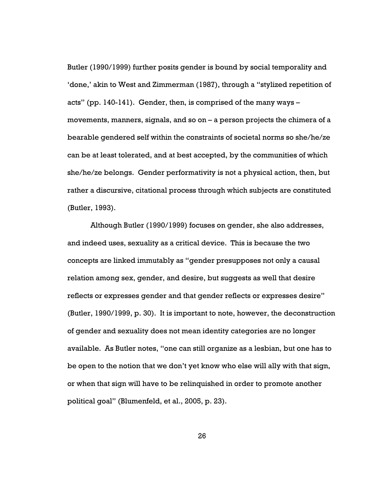Butler (1990/1999) further posits gender is bound by social temporality and 'done,' akin to West and Zimmerman (1987), through a "stylized repetition of acts" (pp. 140-141). Gender, then, is comprised of the many ways – movements, manners, signals, and so on – a person projects the chimera of a bearable gendered self within the constraints of societal norms so she/he/ze can be at least tolerated, and at best accepted, by the communities of which she/he/ze belongs. Gender performativity is not a physical action, then, but rather a discursive, citational process through which subjects are constituted (Butler, 1993).

Although Butler (1990/1999) focuses on gender, she also addresses, and indeed uses, sexuality as a critical device. This is because the two concepts are linked immutably as "gender presupposes not only a causal relation among sex, gender, and desire, but suggests as well that desire reflects or expresses gender and that gender reflects or expresses desire" (Butler, 1990/1999, p. 30). It is important to note, however, the deconstruction of gender and sexuality does not mean identity categories are no longer available. As Butler notes, "one can still organize as a lesbian, but one has to be open to the notion that we don't yet know who else will ally with that sign, or when that sign will have to be relinquished in order to promote another political goal" (Blumenfeld, et al., 2005, p. 23).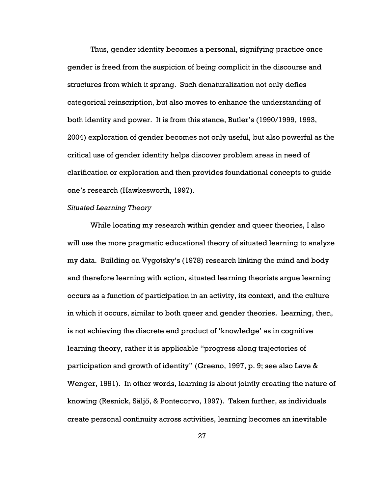Thus, gender identity becomes a personal, signifying practice once gender is freed from the suspicion of being complicit in the discourse and structures from which it sprang. Such denaturalization not only defies categorical reinscription, but also moves to enhance the understanding of both identity and power. It is from this stance, Butler's (1990/1999, 1993, 2004) exploration of gender becomes not only useful, but also powerful as the critical use of gender identity helps discover problem areas in need of clarification or exploration and then provides foundational concepts to guide one's research (Hawkesworth, 1997).

#### Situated Learning Theory

While locating my research within gender and queer theories, I also will use the more pragmatic educational theory of situated learning to analyze my data. Building on Vygotsky's (1978) research linking the mind and body and therefore learning with action, situated learning theorists argue learning occurs as a function of participation in an activity, its context, and the culture in which it occurs, similar to both queer and gender theories. Learning, then, is not achieving the discrete end product of 'knowledge' as in cognitive learning theory, rather it is applicable "progress along trajectories of participation and growth of identity" (Greeno, 1997, p. 9; see also Lave & Wenger, 1991). In other words, learning is about jointly creating the nature of knowing (Resnick, Säljő, & Pontecorvo, 1997). Taken further, as individuals create personal continuity across activities, learning becomes an inevitable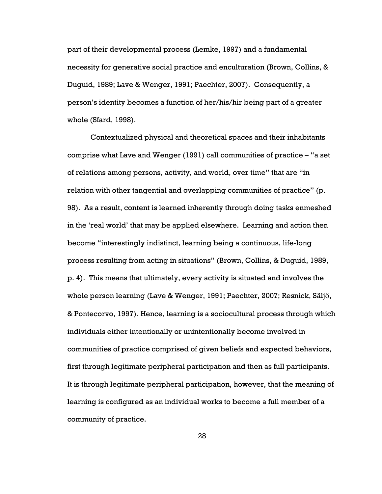part of their developmental process (Lemke, 1997) and a fundamental necessity for generative social practice and enculturation (Brown, Collins, & Duguid, 1989; Lave & Wenger, 1991; Paechter, 2007). Consequently, a person's identity becomes a function of her/his/hir being part of a greater whole (Sfard, 1998).

Contextualized physical and theoretical spaces and their inhabitants comprise what Lave and Wenger (1991) call communities of practice – "a set of relations among persons, activity, and world, over time" that are "in relation with other tangential and overlapping communities of practice" (p. 98). As a result, content is learned inherently through doing tasks enmeshed in the 'real world' that may be applied elsewhere. Learning and action then become "interestingly indistinct, learning being a continuous, life-long process resulting from acting in situations" (Brown, Collins, & Duguid, 1989, p. 4). This means that ultimately, every activity is situated and involves the whole person learning (Lave & Wenger, 1991; Paechter, 2007; Resnick, Säljő, & Pontecorvo, 1997). Hence, learning is a sociocultural process through which individuals either intentionally or unintentionally become involved in communities of practice comprised of given beliefs and expected behaviors, first through legitimate peripheral participation and then as full participants. It is through legitimate peripheral participation, however, that the meaning of learning is configured as an individual works to become a full member of a community of practice.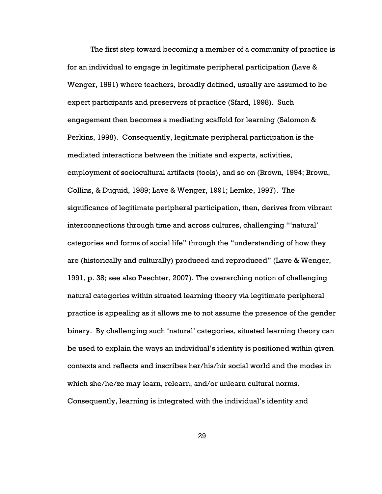The first step toward becoming a member of a community of practice is for an individual to engage in legitimate peripheral participation (Lave & Wenger, 1991) where teachers, broadly defined, usually are assumed to be expert participants and preservers of practice (Sfard, 1998). Such engagement then becomes a mediating scaffold for learning (Salomon & Perkins, 1998). Consequently, legitimate peripheral participation is the mediated interactions between the initiate and experts, activities, employment of sociocultural artifacts (tools), and so on (Brown, 1994; Brown, Collins, & Duguid, 1989; Lave & Wenger, 1991; Lemke, 1997). The significance of legitimate peripheral participation, then, derives from vibrant interconnections through time and across cultures, challenging "'natural' categories and forms of social life" through the "understanding of how they are (historically and culturally) produced and reproduced" (Lave & Wenger, 1991, p. 38; see also Paechter, 2007). The overarching notion of challenging natural categories within situated learning theory via legitimate peripheral practice is appealing as it allows me to not assume the presence of the gender binary. By challenging such 'natural' categories, situated learning theory can be used to explain the ways an individual's identity is positioned within given contexts and reflects and inscribes her/his/hir social world and the modes in which she/he/ze may learn, relearn, and/or unlearn cultural norms. Consequently, learning is integrated with the individual's identity and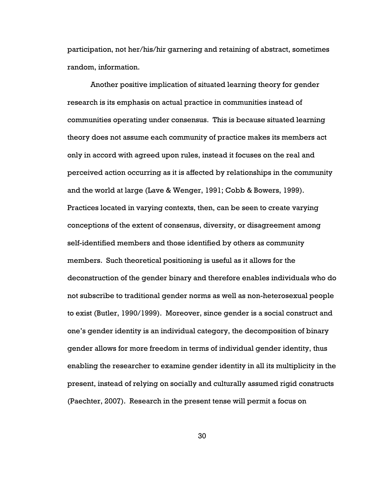participation, not her/his/hir garnering and retaining of abstract, sometimes random, information.

Another positive implication of situated learning theory for gender research is its emphasis on actual practice in communities instead of communities operating under consensus. This is because situated learning theory does not assume each community of practice makes its members act only in accord with agreed upon rules, instead it focuses on the real and perceived action occurring as it is affected by relationships in the community and the world at large (Lave & Wenger, 1991; Cobb & Bowers, 1999). Practices located in varying contexts, then, can be seen to create varying conceptions of the extent of consensus, diversity, or disagreement among self-identified members and those identified by others as community members. Such theoretical positioning is useful as it allows for the deconstruction of the gender binary and therefore enables individuals who do not subscribe to traditional gender norms as well as non-heterosexual people to exist (Butler, 1990/1999). Moreover, since gender is a social construct and one's gender identity is an individual category, the decomposition of binary gender allows for more freedom in terms of individual gender identity, thus enabling the researcher to examine gender identity in all its multiplicity in the present, instead of relying on socially and culturally assumed rigid constructs (Paechter, 2007). Research in the present tense will permit a focus on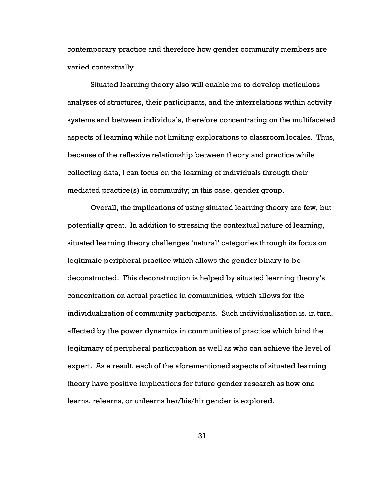contemporary practice and therefore how gender community members are varied contextually.

Situated learning theory also will enable me to develop meticulous analyses of structures, their participants, and the interrelations within activity systems and between individuals, therefore concentrating on the multifaceted aspects of learning while not limiting explorations to classroom locales. Thus, because of the reflexive relationship between theory and practice while collecting data, I can focus on the learning of individuals through their mediated practice(s) in community; in this case, gender group.

Overall, the implications of using situated learning theory are few, but potentially great. In addition to stressing the contextual nature of learning, situated learning theory challenges 'natural' categories through its focus on legitimate peripheral practice which allows the gender binary to be deconstructed. This deconstruction is helped by situated learning theory's concentration on actual practice in communities, which allows for the individualization of community participants. Such individualization is, in turn, affected by the power dynamics in communities of practice which bind the legitimacy of peripheral participation as well as who can achieve the level of expert. As a result, each of the aforementioned aspects of situated learning theory have positive implications for future gender research as how one learns, relearns, or unlearns her/his/hir gender is explored.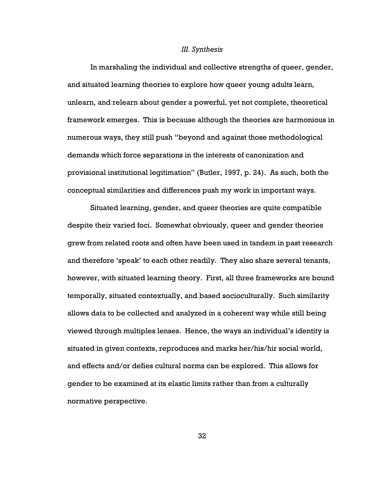#### III. Synthesis

In marshaling the individual and collective strengths of queer, gender, and situated learning theories to explore how queer young adults learn, unlearn, and relearn about gender a powerful, yet not complete, theoretical framework emerges. This is because although the theories are harmonious in numerous ways, they still push "beyond and against those methodological demands which force separations in the interests of canonization and provisional institutional legitimation" (Butler, 1997, p. 24). As such, both the conceptual similarities and differences push my work in important ways.

Situated learning, gender, and queer theories are quite compatible despite their varied foci. Somewhat obviously, queer and gender theories grew from related roots and often have been used in tandem in past research and therefore 'speak' to each other readily. They also share several tenants, however, with situated learning theory. First, all three frameworks are bound temporally, situated contextually, and based socioculturally. Such similarity allows data to be collected and analyzed in a coherent way while still being viewed through multiples lenses. Hence, the ways an individual's identity is situated in given contexts, reproduces and marks her/his/hir social world, and effects and/or defies cultural norms can be explored. This allows for gender to be examined at its elastic limits rather than from a culturally normative perspective.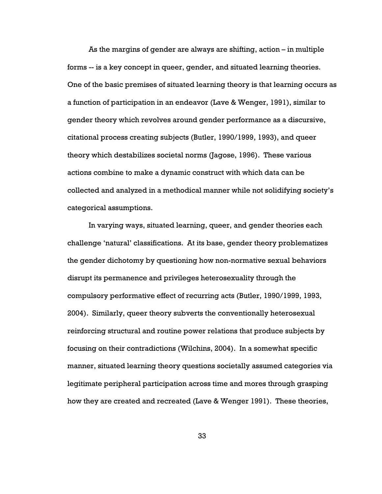As the margins of gender are always are shifting, action – in multiple forms -- is a key concept in queer, gender, and situated learning theories. One of the basic premises of situated learning theory is that learning occurs as a function of participation in an endeavor (Lave & Wenger, 1991), similar to gender theory which revolves around gender performance as a discursive, citational process creating subjects (Butler, 1990/1999, 1993), and queer theory which destabilizes societal norms (Jagose, 1996). These various actions combine to make a dynamic construct with which data can be collected and analyzed in a methodical manner while not solidifying society's categorical assumptions.

In varying ways, situated learning, queer, and gender theories each challenge 'natural' classifications. At its base, gender theory problematizes the gender dichotomy by questioning how non-normative sexual behaviors disrupt its permanence and privileges heterosexuality through the compulsory performative effect of recurring acts (Butler, 1990/1999, 1993, 2004). Similarly, queer theory subverts the conventionally heterosexual reinforcing structural and routine power relations that produce subjects by focusing on their contradictions (Wilchins, 2004). In a somewhat specific manner, situated learning theory questions societally assumed categories via legitimate peripheral participation across time and mores through grasping how they are created and recreated (Lave & Wenger 1991). These theories,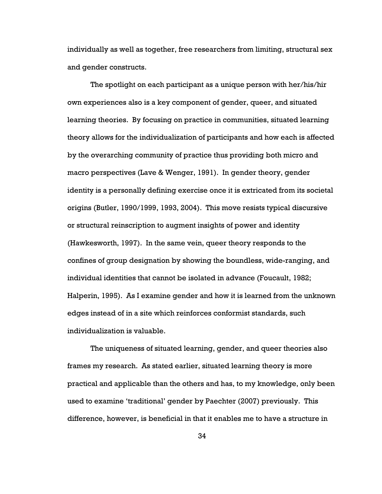individually as well as together, free researchers from limiting, structural sex and gender constructs.

The spotlight on each participant as a unique person with her/his/hir own experiences also is a key component of gender, queer, and situated learning theories. By focusing on practice in communities, situated learning theory allows for the individualization of participants and how each is affected by the overarching community of practice thus providing both micro and macro perspectives (Lave & Wenger, 1991). In gender theory, gender identity is a personally defining exercise once it is extricated from its societal origins (Butler, 1990/1999, 1993, 2004). This move resists typical discursive or structural reinscription to augment insights of power and identity (Hawkesworth, 1997). In the same vein, queer theory responds to the confines of group designation by showing the boundless, wide-ranging, and individual identities that cannot be isolated in advance (Foucault, 1982; Halperin, 1995). As I examine gender and how it is learned from the unknown edges instead of in a site which reinforces conformist standards, such individualization is valuable.

The uniqueness of situated learning, gender, and queer theories also frames my research. As stated earlier, situated learning theory is more practical and applicable than the others and has, to my knowledge, only been used to examine 'traditional' gender by Paechter (2007) previously. This difference, however, is beneficial in that it enables me to have a structure in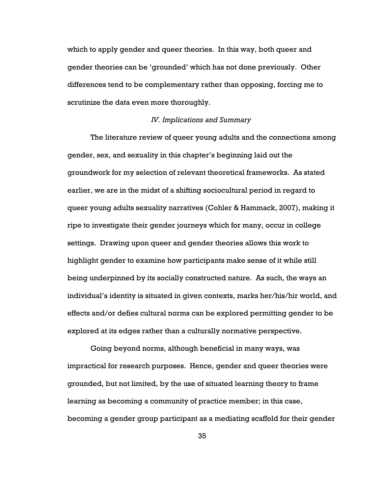which to apply gender and queer theories. In this way, both queer and gender theories can be 'grounded' which has not done previously. Other differences tend to be complementary rather than opposing, forcing me to scrutinize the data even more thoroughly.

# IV. Implications and Summary

The literature review of queer young adults and the connections among gender, sex, and sexuality in this chapter's beginning laid out the groundwork for my selection of relevant theoretical frameworks. As stated earlier, we are in the midst of a shifting sociocultural period in regard to queer young adults sexuality narratives (Cohler & Hammack, 2007), making it ripe to investigate their gender journeys which for many, occur in college settings. Drawing upon queer and gender theories allows this work to highlight gender to examine how participants make sense of it while still being underpinned by its socially constructed nature. As such, the ways an individual's identity is situated in given contexts, marks her/his/hir world, and effects and/or defies cultural norms can be explored permitting gender to be explored at its edges rather than a culturally normative perspective.

Going beyond norms, although beneficial in many ways, was impractical for research purposes. Hence, gender and queer theories were grounded, but not limited, by the use of situated learning theory to frame learning as becoming a community of practice member; in this case, becoming a gender group participant as a mediating scaffold for their gender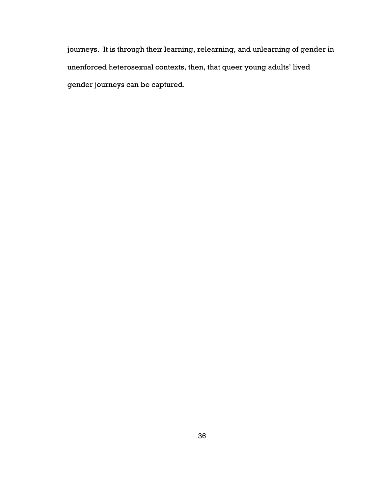journeys. It is through their learning, relearning, and unlearning of gender in unenforced heterosexual contexts, then, that queer young adults' lived gender journeys can be captured.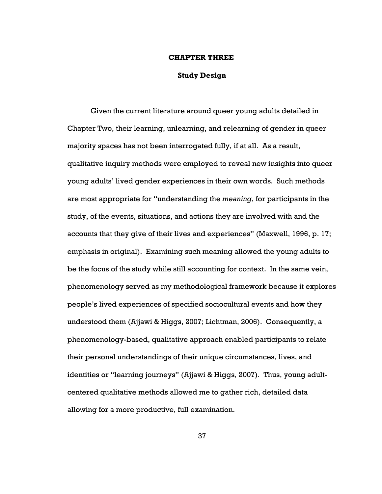#### CHAPTER THREE

# Study Design

Given the current literature around queer young adults detailed in Chapter Two, their learning, unlearning, and relearning of gender in queer majority spaces has not been interrogated fully, if at all. As a result, qualitative inquiry methods were employed to reveal new insights into queer young adults' lived gender experiences in their own words. Such methods are most appropriate for "understanding the meaning, for participants in the study, of the events, situations, and actions they are involved with and the accounts that they give of their lives and experiences" (Maxwell, 1996, p. 17; emphasis in original). Examining such meaning allowed the young adults to be the focus of the study while still accounting for context. In the same vein, phenomenology served as my methodological framework because it explores people's lived experiences of specified sociocultural events and how they understood them (Ajjawi & Higgs, 2007; Lichtman, 2006). Consequently, a phenomenology-based, qualitative approach enabled participants to relate their personal understandings of their unique circumstances, lives, and identities or "learning journeys" (Ajjawi & Higgs, 2007). Thus, young adultcentered qualitative methods allowed me to gather rich, detailed data allowing for a more productive, full examination.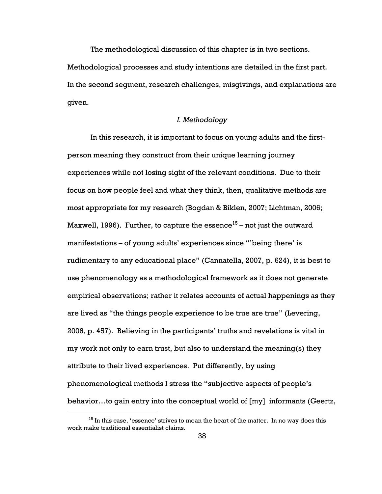The methodological discussion of this chapter is in two sections.

Methodological processes and study intentions are detailed in the first part. In the second segment, research challenges, misgivings, and explanations are given.

# I. Methodology

In this research, it is important to focus on young adults and the firstperson meaning they construct from their unique learning journey experiences while not losing sight of the relevant conditions. Due to their focus on how people feel and what they think, then, qualitative methods are most appropriate for my research (Bogdan & Biklen, 2007; Lichtman, 2006; Maxwell, 1996). Further, to capture the essence<sup>15</sup> – not just the outward manifestations – of young adults' experiences since "'being there' is rudimentary to any educational place" (Cannatella, 2007, p. 624), it is best to use phenomenology as a methodological framework as it does not generate empirical observations; rather it relates accounts of actual happenings as they are lived as "the things people experience to be true are true" (Levering, 2006, p. 457). Believing in the participants' truths and revelations is vital in my work not only to earn trust, but also to understand the meaning(s) they attribute to their lived experiences. Put differently, by using phenomenological methods I stress the "subjective aspects of people's behavior…to gain entry into the conceptual world of [my] informants (Geertz,

 $\overline{a}$ 

 $^{15}$  In this case, 'essence' strives to mean the heart of the matter. In no way does this work make traditional essentialist claims.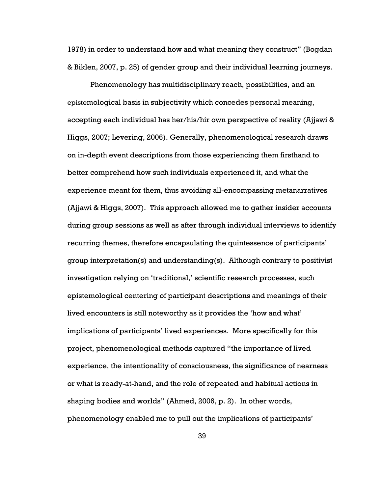1978) in order to understand how and what meaning they construct" (Bogdan & Biklen, 2007, p. 25) of gender group and their individual learning journeys.

Phenomenology has multidisciplinary reach, possibilities, and an epistemological basis in subjectivity which concedes personal meaning, accepting each individual has her/his/hir own perspective of reality (Ajjawi & Higgs, 2007; Levering, 2006). Generally, phenomenological research draws on in-depth event descriptions from those experiencing them firsthand to better comprehend how such individuals experienced it, and what the experience meant for them, thus avoiding all-encompassing metanarratives (Ajjawi & Higgs, 2007). This approach allowed me to gather insider accounts during group sessions as well as after through individual interviews to identify recurring themes, therefore encapsulating the quintessence of participants' group interpretation(s) and understanding(s). Although contrary to positivist investigation relying on 'traditional,' scientific research processes, such epistemological centering of participant descriptions and meanings of their lived encounters is still noteworthy as it provides the 'how and what' implications of participants' lived experiences. More specifically for this project, phenomenological methods captured "the importance of lived experience, the intentionality of consciousness, the significance of nearness or what is ready-at-hand, and the role of repeated and habitual actions in shaping bodies and worlds" (Ahmed, 2006, p. 2). In other words, phenomenology enabled me to pull out the implications of participants'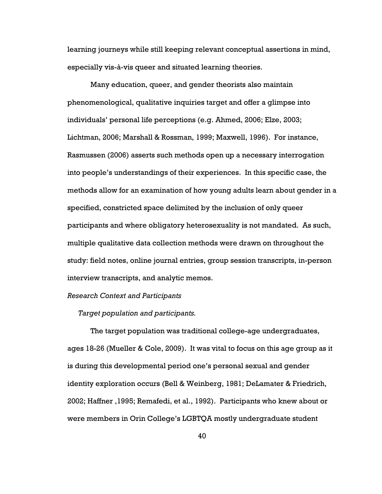learning journeys while still keeping relevant conceptual assertions in mind, especially vis-à-vis queer and situated learning theories.

Many education, queer, and gender theorists also maintain phenomenological, qualitative inquiries target and offer a glimpse into individuals' personal life perceptions (e.g. Ahmed, 2006; Elze, 2003; Lichtman, 2006; Marshall & Rossman, 1999; Maxwell, 1996). For instance, Rasmussen (2006) asserts such methods open up a necessary interrogation into people's understandings of their experiences. In this specific case, the methods allow for an examination of how young adults learn about gender in a specified, constricted space delimited by the inclusion of only queer participants and where obligatory heterosexuality is not mandated. As such, multiple qualitative data collection methods were drawn on throughout the study: field notes, online journal entries, group session transcripts, in-person interview transcripts, and analytic memos.

# Research Context and Participants

### Target population and participants.

The target population was traditional college-age undergraduates, ages 18-26 (Mueller & Cole, 2009). It was vital to focus on this age group as it is during this developmental period one's personal sexual and gender identity exploration occurs (Bell & Weinberg, 1981; DeLamater & Friedrich, 2002; Haffner ,1995; Remafedi, et al., 1992). Participants who knew about or were members in Orin College's LGBTQA mostly undergraduate student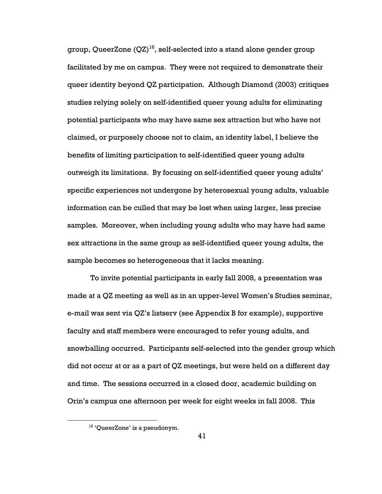group, QueerZone  $(QZ)^{16}$ , self-selected into a stand alone gender group facilitated by me on campus. They were not required to demonstrate their queer identity beyond QZ participation. Although Diamond (2003) critiques studies relying solely on self-identified queer young adults for eliminating potential participants who may have same sex attraction but who have not claimed, or purposely choose not to claim, an identity label, I believe the benefits of limiting participation to self-identified queer young adults outweigh its limitations. By focusing on self-identified queer young adults' specific experiences not undergone by heterosexual young adults, valuable information can be culled that may be lost when using larger, less precise samples. Moreover, when including young adults who may have had same sex attractions in the same group as self-identified queer young adults, the sample becomes so heterogeneous that it lacks meaning.

To invite potential participants in early fall 2008, a presentation was made at a QZ meeting as well as in an upper-level Women's Studies seminar, e-mail was sent via QZ's listserv (see Appendix B for example), supportive faculty and staff members were encouraged to refer young adults, and snowballing occurred. Participants self-selected into the gender group which did not occur at or as a part of QZ meetings, but were held on a different day and time. The sessions occurred in a closed door, academic building on Orin's campus one afternoon per week for eight weeks in fall 2008. This

 $\overline{a}$ 

<sup>16</sup> 'QueerZone' is a pseudonym.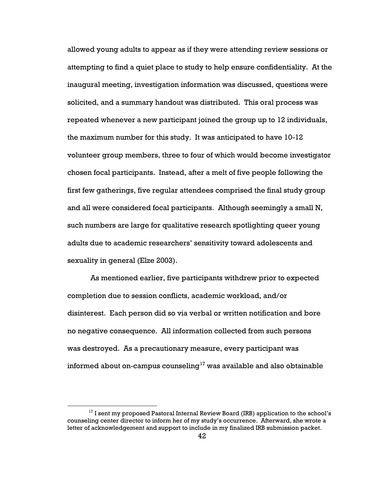allowed young adults to appear as if they were attending review sessions or attempting to find a quiet place to study to help ensure confidentiality. At the inaugural meeting, investigation information was discussed, questions were solicited, and a summary handout was distributed. This oral process was repeated whenever a new participant joined the group up to 12 individuals, the maximum number for this study. It was anticipated to have 10-12 volunteer group members, three to four of which would become investigator chosen focal participants. Instead, after a melt of five people following the first few gatherings, five regular attendees comprised the final study group and all were considered focal participants. Although seemingly a small N, such numbers are large for qualitative research spotlighting queer young adults due to academic researchers' sensitivity toward adolescents and sexuality in general (Elze 2003).

As mentioned earlier, five participants withdrew prior to expected completion due to session conflicts, academic workload, and/or disinterest. Each person did so via verbal or written notification and bore no negative consequence. All information collected from such persons was destroyed. As a precautionary measure, every participant was informed about on-campus counseling<sup>17</sup> was available and also obtainable

 $\overline{a}$ 

 $17$  I sent my proposed Pastoral Internal Review Board (IRB) application to the school's counseling center director to inform her of my study's occurrence. Afterward, she wrote a letter of acknowledgement and support to include in my finalized IRB submission packet.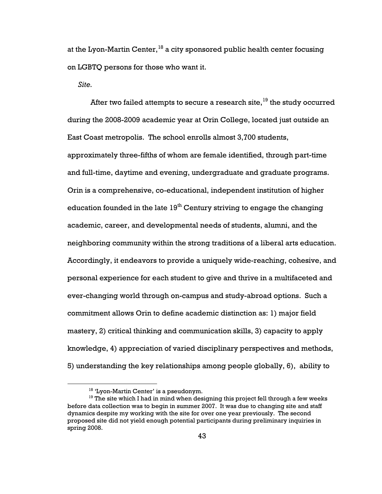at the Lyon-Martin Center,  $18$  a city sponsored public health center focusing on LGBTQ persons for those who want it.

Site.

 $\overline{a}$ 

After two failed attempts to secure a research site,  $19$  the study occurred during the 2008-2009 academic year at Orin College, located just outside an East Coast metropolis. The school enrolls almost 3,700 students, approximately three-fifths of whom are female identified, through part-time and full-time, daytime and evening, undergraduate and graduate programs. Orin is a comprehensive, co-educational, independent institution of higher education founded in the late  $19<sup>th</sup>$  Century striving to engage the changing academic, career, and developmental needs of students, alumni, and the neighboring community within the strong traditions of a liberal arts education. Accordingly, it endeavors to provide a uniquely wide-reaching, cohesive, and personal experience for each student to give and thrive in a multifaceted and ever-changing world through on-campus and study-abroad options. Such a commitment allows Orin to define academic distinction as: 1) major field mastery, 2) critical thinking and communication skills, 3) capacity to apply knowledge, 4) appreciation of varied disciplinary perspectives and methods, 5) understanding the key relationships among people globally, 6), ability to

<sup>&</sup>lt;sup>18</sup> 'Lyon-Martin Center' is a pseudonym.

<sup>&</sup>lt;sup>19</sup> The site which I had in mind when designing this project fell through a few weeks before data collection was to begin in summer 2007. It was due to changing site and staff dynamics despite my working with the site for over one year previously. The second proposed site did not yield enough potential participants during preliminary inquiries in spring 2008.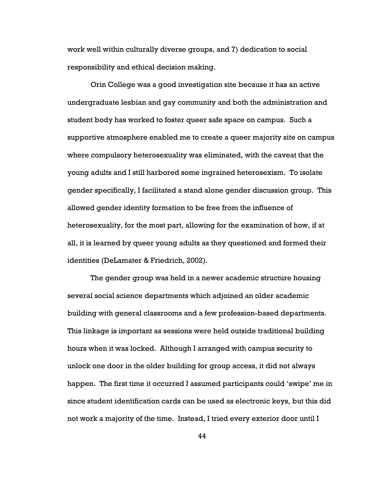work well within culturally diverse groups, and 7) dedication to social responsibility and ethical decision making.

Orin College was a good investigation site because it has an active undergraduate lesbian and gay community and both the administration and student body has worked to foster queer safe space on campus. Such a supportive atmosphere enabled me to create a queer majority site on campus where compulsory heterosexuality was eliminated, with the caveat that the young adults and I still harbored some ingrained heterosexism. To isolate gender specifically, I facilitated a stand alone gender discussion group. This allowed gender identity formation to be free from the influence of heterosexuality, for the most part, allowing for the examination of how, if at all, it is learned by queer young adults as they questioned and formed their identities (DeLamater & Friedrich, 2002).

The gender group was held in a newer academic structure housing several social science departments which adjoined an older academic building with general classrooms and a few profession-based departments. This linkage is important as sessions were held outside traditional building hours when it was locked. Although I arranged with campus security to unlock one door in the older building for group access, it did not always happen. The first time it occurred I assumed participants could 'swipe' me in since student identification cards can be used as electronic keys, but this did not work a majority of the time. Instead, I tried every exterior door until I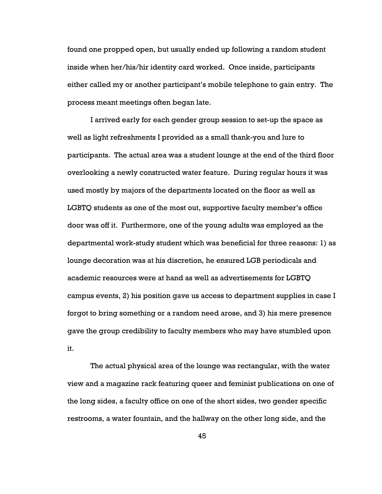found one propped open, but usually ended up following a random student inside when her/his/hir identity card worked. Once inside, participants either called my or another participant's mobile telephone to gain entry. The process meant meetings often began late.

I arrived early for each gender group session to set-up the space as well as light refreshments I provided as a small thank-you and lure to participants. The actual area was a student lounge at the end of the third floor overlooking a newly constructed water feature. During regular hours it was used mostly by majors of the departments located on the floor as well as LGBTQ students as one of the most out, supportive faculty member's office door was off it. Furthermore, one of the young adults was employed as the departmental work-study student which was beneficial for three reasons: 1) as lounge decoration was at his discretion, he ensured LGB periodicals and academic resources were at hand as well as advertisements for LGBTQ campus events, 2) his position gave us access to department supplies in case I forgot to bring something or a random need arose, and 3) his mere presence gave the group credibility to faculty members who may have stumbled upon it.

The actual physical area of the lounge was rectangular, with the water view and a magazine rack featuring queer and feminist publications on one of the long sides, a faculty office on one of the short sides, two gender specific restrooms, a water fountain, and the hallway on the other long side, and the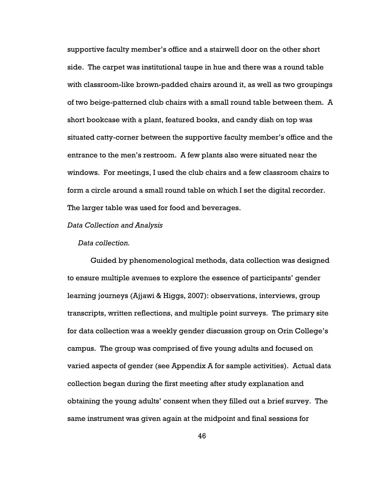supportive faculty member's office and a stairwell door on the other short side. The carpet was institutional taupe in hue and there was a round table with classroom-like brown-padded chairs around it, as well as two groupings of two beige-patterned club chairs with a small round table between them. A short bookcase with a plant, featured books, and candy dish on top was situated catty-corner between the supportive faculty member's office and the entrance to the men's restroom. A few plants also were situated near the windows. For meetings, I used the club chairs and a few classroom chairs to form a circle around a small round table on which I set the digital recorder. The larger table was used for food and beverages.

#### Data Collection and Analysis

#### Data collection.

Guided by phenomenological methods, data collection was designed to ensure multiple avenues to explore the essence of participants' gender learning journeys (Ajjawi & Higgs, 2007): observations, interviews, group transcripts, written reflections, and multiple point surveys. The primary site for data collection was a weekly gender discussion group on Orin College's campus. The group was comprised of five young adults and focused on varied aspects of gender (see Appendix A for sample activities). Actual data collection began during the first meeting after study explanation and obtaining the young adults' consent when they filled out a brief survey. The same instrument was given again at the midpoint and final sessions for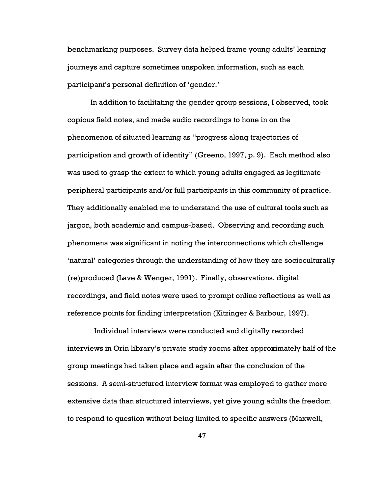benchmarking purposes. Survey data helped frame young adults' learning journeys and capture sometimes unspoken information, such as each participant's personal definition of 'gender.'

In addition to facilitating the gender group sessions, I observed, took copious field notes, and made audio recordings to hone in on the phenomenon of situated learning as "progress along trajectories of participation and growth of identity" (Greeno, 1997, p. 9). Each method also was used to grasp the extent to which young adults engaged as legitimate peripheral participants and/or full participants in this community of practice. They additionally enabled me to understand the use of cultural tools such as jargon, both academic and campus-based. Observing and recording such phenomena was significant in noting the interconnections which challenge 'natural' categories through the understanding of how they are socioculturally (re)produced (Lave & Wenger, 1991). Finally, observations, digital recordings, and field notes were used to prompt online reflections as well as reference points for finding interpretation (Kitzinger & Barbour, 1997).

 Individual interviews were conducted and digitally recorded interviews in Orin library's private study rooms after approximately half of the group meetings had taken place and again after the conclusion of the sessions. A semi-structured interview format was employed to gather more extensive data than structured interviews, yet give young adults the freedom to respond to question without being limited to specific answers (Maxwell,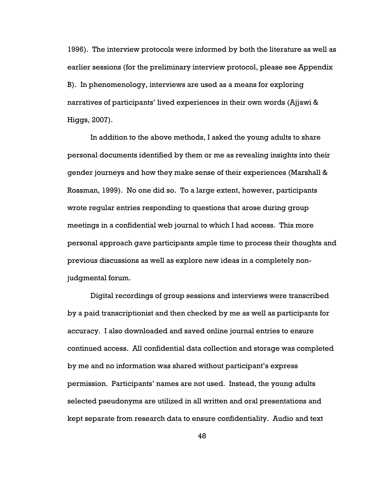1996). The interview protocols were informed by both the literature as well as earlier sessions (for the preliminary interview protocol, please see Appendix B). In phenomenology, interviews are used as a means for exploring narratives of participants' lived experiences in their own words (Ajjawi & Higgs, 2007).

In addition to the above methods, I asked the young adults to share personal documents identified by them or me as revealing insights into their gender journeys and how they make sense of their experiences (Marshall & Rossman, 1999). No one did so. To a large extent, however, participants wrote regular entries responding to questions that arose during group meetings in a confidential web journal to which I had access. This more personal approach gave participants ample time to process their thoughts and previous discussions as well as explore new ideas in a completely nonjudgmental forum.

Digital recordings of group sessions and interviews were transcribed by a paid transcriptionist and then checked by me as well as participants for accuracy. I also downloaded and saved online journal entries to ensure continued access. All confidential data collection and storage was completed by me and no information was shared without participant's express permission. Participants' names are not used. Instead, the young adults selected pseudonyms are utilized in all written and oral presentations and kept separate from research data to ensure confidentiality. Audio and text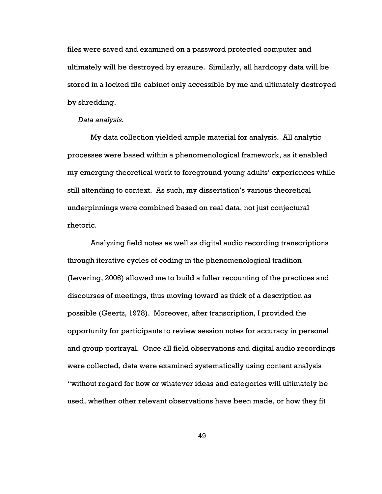files were saved and examined on a password protected computer and ultimately will be destroyed by erasure. Similarly, all hardcopy data will be stored in a locked file cabinet only accessible by me and ultimately destroyed by shredding.

#### Data analysis.

My data collection yielded ample material for analysis. All analytic processes were based within a phenomenological framework, as it enabled my emerging theoretical work to foreground young adults' experiences while still attending to context. As such, my dissertation's various theoretical underpinnings were combined based on real data, not just conjectural rhetoric.

Analyzing field notes as well as digital audio recording transcriptions through iterative cycles of coding in the phenomenological tradition (Levering, 2006) allowed me to build a fuller recounting of the practices and discourses of meetings, thus moving toward as thick of a description as possible (Geertz, 1978). Moreover, after transcription, I provided the opportunity for participants to review session notes for accuracy in personal and group portrayal. Once all field observations and digital audio recordings were collected, data were examined systematically using content analysis "without regard for how or whatever ideas and categories will ultimately be used, whether other relevant observations have been made, or how they fit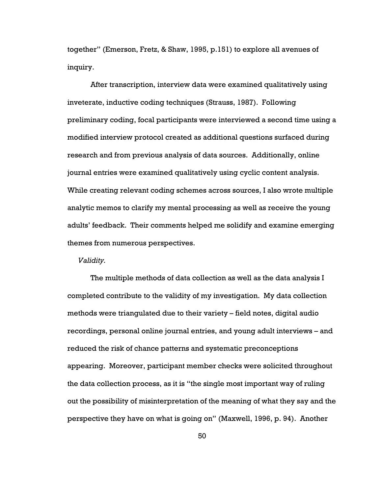together" (Emerson, Fretz, & Shaw, 1995, p.151) to explore all avenues of inquiry.

After transcription, interview data were examined qualitatively using inveterate, inductive coding techniques (Strauss, 1987). Following preliminary coding, focal participants were interviewed a second time using a modified interview protocol created as additional questions surfaced during research and from previous analysis of data sources. Additionally, online journal entries were examined qualitatively using cyclic content analysis. While creating relevant coding schemes across sources, I also wrote multiple analytic memos to clarify my mental processing as well as receive the young adults' feedback. Their comments helped me solidify and examine emerging themes from numerous perspectives.

### Validity.

The multiple methods of data collection as well as the data analysis I completed contribute to the validity of my investigation. My data collection methods were triangulated due to their variety – field notes, digital audio recordings, personal online journal entries, and young adult interviews – and reduced the risk of chance patterns and systematic preconceptions appearing. Moreover, participant member checks were solicited throughout the data collection process, as it is "the single most important way of ruling out the possibility of misinterpretation of the meaning of what they say and the perspective they have on what is going on" (Maxwell, 1996, p. 94). Another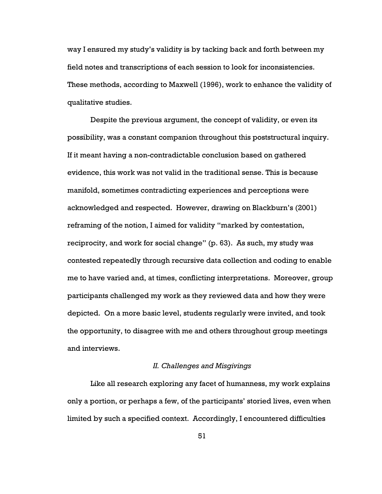way I ensured my study's validity is by tacking back and forth between my field notes and transcriptions of each session to look for inconsistencies. These methods, according to Maxwell (1996), work to enhance the validity of qualitative studies.

Despite the previous argument, the concept of validity, or even its possibility, was a constant companion throughout this poststructural inquiry. If it meant having a non-contradictable conclusion based on gathered evidence, this work was not valid in the traditional sense. This is because manifold, sometimes contradicting experiences and perceptions were acknowledged and respected. However, drawing on Blackburn's (2001) reframing of the notion, I aimed for validity "marked by contestation, reciprocity, and work for social change" (p. 63). As such, my study was contested repeatedly through recursive data collection and coding to enable me to have varied and, at times, conflicting interpretations. Moreover, group participants challenged my work as they reviewed data and how they were depicted. On a more basic level, students regularly were invited, and took the opportunity, to disagree with me and others throughout group meetings and interviews.

# II. Challenges and Misgivings

Like all research exploring any facet of humanness, my work explains only a portion, or perhaps a few, of the participants' storied lives, even when limited by such a specified context. Accordingly, I encountered difficulties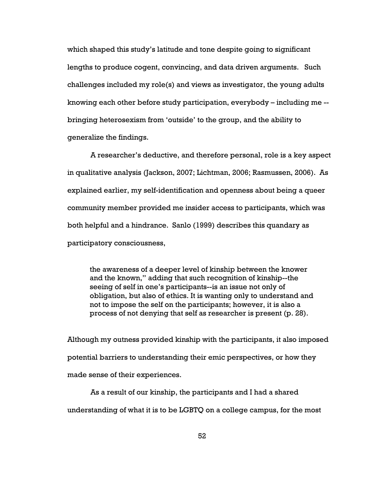which shaped this study's latitude and tone despite going to significant lengths to produce cogent, convincing, and data driven arguments. Such challenges included my role(s) and views as investigator, the young adults knowing each other before study participation, everybody – including me - bringing heterosexism from 'outside' to the group, and the ability to generalize the findings.

A researcher's deductive, and therefore personal, role is a key aspect in qualitative analysis (Jackson, 2007; Lichtman, 2006; Rasmussen, 2006). As explained earlier, my self-identification and openness about being a queer community member provided me insider access to participants, which was both helpful and a hindrance. Sanlo (1999) describes this quandary as participatory consciousness,

the awareness of a deeper level of kinship between the knower and the known," adding that such recognition of kinship--the seeing of self in one's participants--is an issue not only of obligation, but also of ethics. It is wanting only to understand and not to impose the self on the participants; however, it is also a process of not denying that self as researcher is present (p. 28).

Although my outness provided kinship with the participants, it also imposed potential barriers to understanding their emic perspectives, or how they made sense of their experiences.

As a result of our kinship, the participants and I had a shared understanding of what it is to be LGBTQ on a college campus, for the most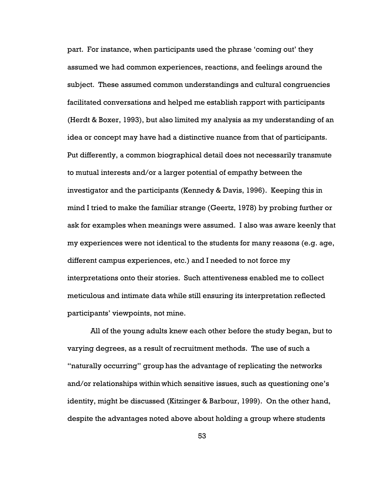part. For instance, when participants used the phrase 'coming out' they assumed we had common experiences, reactions, and feelings around the subject. These assumed common understandings and cultural congruencies facilitated conversations and helped me establish rapport with participants (Herdt & Boxer, 1993), but also limited my analysis as my understanding of an idea or concept may have had a distinctive nuance from that of participants. Put differently, a common biographical detail does not necessarily transmute to mutual interests and/or a larger potential of empathy between the investigator and the participants (Kennedy & Davis, 1996). Keeping this in mind I tried to make the familiar strange (Geertz, 1978) by probing further or ask for examples when meanings were assumed. I also was aware keenly that my experiences were not identical to the students for many reasons (e.g. age, different campus experiences, etc.) and I needed to not force my interpretations onto their stories. Such attentiveness enabled me to collect meticulous and intimate data while still ensuring its interpretation reflected participants' viewpoints, not mine.

All of the young adults knew each other before the study began, but to varying degrees, as a result of recruitment methods. The use of such a "naturally occurring" group has the advantage of replicating the networks and/or relationships within which sensitive issues, such as questioning one's identity, might be discussed (Kitzinger & Barbour, 1999). On the other hand, despite the advantages noted above about holding a group where students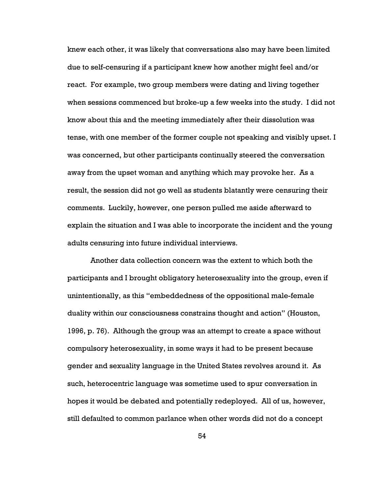knew each other, it was likely that conversations also may have been limited due to self-censuring if a participant knew how another might feel and/or react. For example, two group members were dating and living together when sessions commenced but broke-up a few weeks into the study. I did not know about this and the meeting immediately after their dissolution was tense, with one member of the former couple not speaking and visibly upset. I was concerned, but other participants continually steered the conversation away from the upset woman and anything which may provoke her. As a result, the session did not go well as students blatantly were censuring their comments. Luckily, however, one person pulled me aside afterward to explain the situation and I was able to incorporate the incident and the young adults censuring into future individual interviews.

Another data collection concern was the extent to which both the participants and I brought obligatory heterosexuality into the group, even if unintentionally, as this "embeddedness of the oppositional male-female duality within our consciousness constrains thought and action" (Houston, 1996, p. 76). Although the group was an attempt to create a space without compulsory heterosexuality, in some ways it had to be present because gender and sexuality language in the United States revolves around it. As such, heterocentric language was sometime used to spur conversation in hopes it would be debated and potentially redeployed. All of us, however, still defaulted to common parlance when other words did not do a concept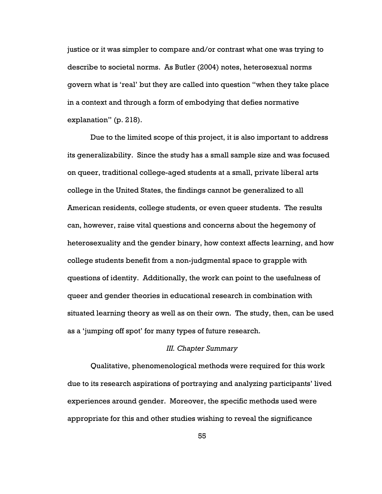justice or it was simpler to compare and/or contrast what one was trying to describe to societal norms. As Butler (2004) notes, heterosexual norms govern what is 'real' but they are called into question "when they take place in a context and through a form of embodying that defies normative explanation" (p. 218).

Due to the limited scope of this project, it is also important to address its generalizability. Since the study has a small sample size and was focused on queer, traditional college-aged students at a small, private liberal arts college in the United States, the findings cannot be generalized to all American residents, college students, or even queer students. The results can, however, raise vital questions and concerns about the hegemony of heterosexuality and the gender binary, how context affects learning, and how college students benefit from a non-judgmental space to grapple with questions of identity. Additionally, the work can point to the usefulness of queer and gender theories in educational research in combination with situated learning theory as well as on their own. The study, then, can be used as a 'jumping off spot' for many types of future research.

# III. Chapter Summary

Qualitative, phenomenological methods were required for this work due to its research aspirations of portraying and analyzing participants' lived experiences around gender. Moreover, the specific methods used were appropriate for this and other studies wishing to reveal the significance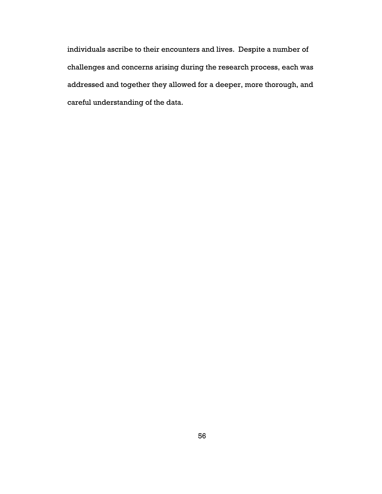individuals ascribe to their encounters and lives. Despite a number of challenges and concerns arising during the research process, each was addressed and together they allowed for a deeper, more thorough, and careful understanding of the data.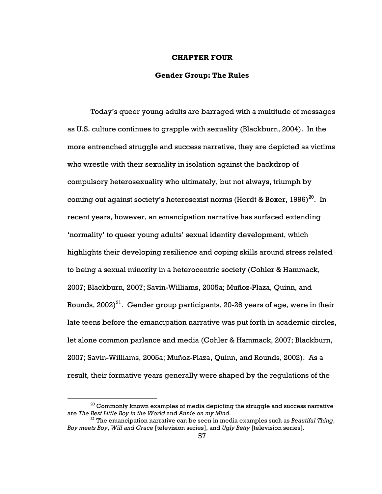### CHAPTER FOUR

# Gender Group: The Rules

Today's queer young adults are barraged with a multitude of messages as U.S. culture continues to grapple with sexuality (Blackburn, 2004). In the more entrenched struggle and success narrative, they are depicted as victims who wrestle with their sexuality in isolation against the backdrop of compulsory heterosexuality who ultimately, but not always, triumph by coming out against society's heterosexist norms (Herdt & Boxer,  $1996)^{20}$ . In recent years, however, an emancipation narrative has surfaced extending 'normality' to queer young adults' sexual identity development, which highlights their developing resilience and coping skills around stress related to being a sexual minority in a heterocentric society (Cohler & Hammack, 2007; Blackburn, 2007; Savin-Williams, 2005a; Muñoz-Plaza, Quinn, and Rounds,  $2002)^{21}$ . Gender group participants, 20-26 years of age, were in their late teens before the emancipation narrative was put forth in academic circles, let alone common parlance and media (Cohler & Hammack, 2007; Blackburn, 2007; Savin-Williams, 2005a; Muñoz-Plaza, Quinn, and Rounds, 2002). As a result, their formative years generally were shaped by the regulations of the

 $\overline{a}$ 

 $^{20}$  Commonly known examples of media depicting the struggle and success narrative are The Best Little Boy in the World and Annie on my Mind.

 $21$  The emancipation narrative can be seen in media examples such as Beautiful Thing, Boy meets Boy, Will and Grace [television series], and Ugly Betty [television series].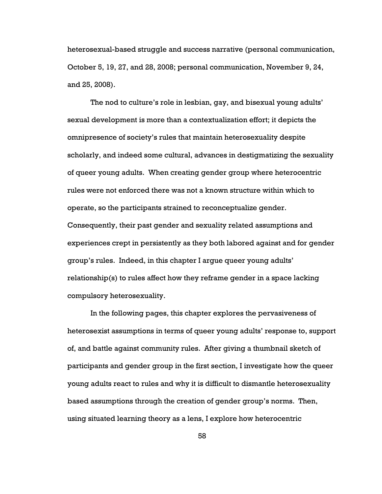heterosexual-based struggle and success narrative (personal communication, October 5, 19, 27, and 28, 2008; personal communication, November 9, 24, and 25, 2008).

The nod to culture's role in lesbian, gay, and bisexual young adults' sexual development is more than a contextualization effort; it depicts the omnipresence of society's rules that maintain heterosexuality despite scholarly, and indeed some cultural, advances in destigmatizing the sexuality of queer young adults. When creating gender group where heterocentric rules were not enforced there was not a known structure within which to operate, so the participants strained to reconceptualize gender.

Consequently, their past gender and sexuality related assumptions and experiences crept in persistently as they both labored against and for gender group's rules. Indeed, in this chapter I argue queer young adults' relationship(s) to rules affect how they reframe gender in a space lacking compulsory heterosexuality.

In the following pages, this chapter explores the pervasiveness of heterosexist assumptions in terms of queer young adults' response to, support of, and battle against community rules. After giving a thumbnail sketch of participants and gender group in the first section, I investigate how the queer young adults react to rules and why it is difficult to dismantle heterosexuality based assumptions through the creation of gender group's norms. Then, using situated learning theory as a lens, I explore how heterocentric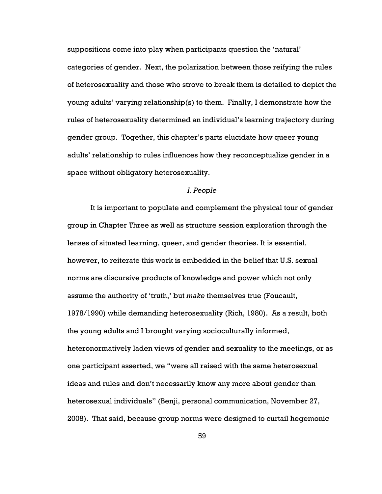suppositions come into play when participants question the 'natural' categories of gender. Next, the polarization between those reifying the rules of heterosexuality and those who strove to break them is detailed to depict the young adults' varying relationship(s) to them. Finally, I demonstrate how the rules of heterosexuality determined an individual's learning trajectory during gender group. Together, this chapter's parts elucidate how queer young adults' relationship to rules influences how they reconceptualize gender in a space without obligatory heterosexuality.

# I. People

It is important to populate and complement the physical tour of gender group in Chapter Three as well as structure session exploration through the lenses of situated learning, queer, and gender theories. It is essential, however, to reiterate this work is embedded in the belief that U.S. sexual norms are discursive products of knowledge and power which not only assume the authority of 'truth,' but make themselves true (Foucault, 1978/1990) while demanding heterosexuality (Rich, 1980). As a result, both the young adults and I brought varying socioculturally informed, heteronormatively laden views of gender and sexuality to the meetings, or as one participant asserted, we "were all raised with the same heterosexual ideas and rules and don't necessarily know any more about gender than heterosexual individuals" (Benji, personal communication, November 27, 2008). That said, because group norms were designed to curtail hegemonic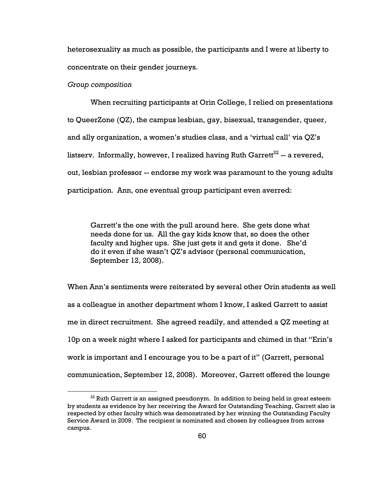heterosexuality as much as possible, the participants and I were at liberty to concentrate on their gender journeys.

#### Group composition

 $\overline{a}$ 

When recruiting participants at Orin College, I relied on presentations to QueerZone (QZ), the campus lesbian, gay, bisexual, transgender, queer, and ally organization, a women's studies class, and a 'virtual call' via QZ's listserv. Informally, however, I realized having Ruth Garrett<sup>22</sup> -- a revered, out, lesbian professor -- endorse my work was paramount to the young adults participation. Ann, one eventual group participant even averred:

Garrett's the one with the pull around here. She gets done what needs done for us. All the gay kids know that, so does the other faculty and higher ups. She just gets it and gets it done. She'd do it even if she wasn't QZ's advisor (personal communication, September 12, 2008).

When Ann's sentiments were reiterated by several other Orin students as well as a colleague in another department whom I know, I asked Garrett to assist me in direct recruitment. She agreed readily, and attended a QZ meeting at 10p on a week night where I asked for participants and chimed in that "Erin's work is important and I encourage you to be a part of it" (Garrett, personal communication, September 12, 2008). Moreover, Garrett offered the lounge

<sup>&</sup>lt;sup>22</sup> Ruth Garrett is an assigned pseudonym. In addition to being held in great esteem by students as evidence by her receiving the Award for Outstanding Teaching, Garrett also is respected by other faculty which was demonstrated by her winning the Outstanding Faculty Service Award in 2009. The recipient is nominated and chosen by colleagues from across campus.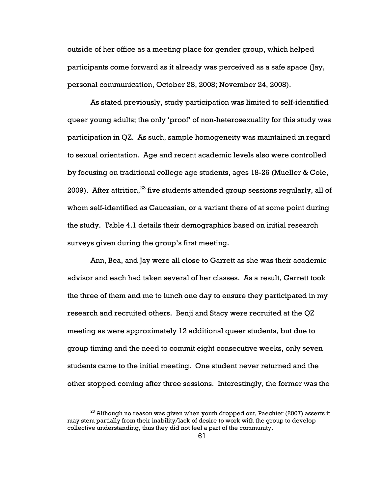outside of her office as a meeting place for gender group, which helped participants come forward as it already was perceived as a safe space (Jay, personal communication, October 28, 2008; November 24, 2008).

As stated previously, study participation was limited to self-identified queer young adults; the only 'proof' of non-heterosexuality for this study was participation in QZ. As such, sample homogeneity was maintained in regard to sexual orientation. Age and recent academic levels also were controlled by focusing on traditional college age students, ages 18-26 (Mueller & Cole, 2009). After attrition,  $23$  five students attended group sessions regularly, all of whom self-identified as Caucasian, or a variant there of at some point during the study. Table 4.1 details their demographics based on initial research surveys given during the group's first meeting.

Ann, Bea, and Jay were all close to Garrett as she was their academic advisor and each had taken several of her classes. As a result, Garrett took the three of them and me to lunch one day to ensure they participated in my research and recruited others. Benji and Stacy were recruited at the QZ meeting as were approximately 12 additional queer students, but due to group timing and the need to commit eight consecutive weeks, only seven students came to the initial meeting. One student never returned and the other stopped coming after three sessions. Interestingly, the former was the

 $\overline{a}$ 

 $^{23}$  Although no reason was given when youth dropped out, Paechter (2007) asserts it may stem partially from their inability/lack of desire to work with the group to develop collective understanding, thus they did not feel a part of the community.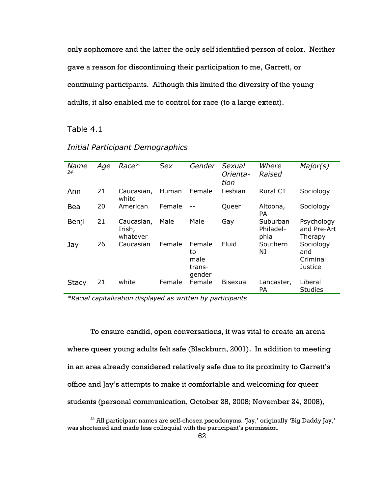only sophomore and the latter the only self identified person of color. Neither gave a reason for discontinuing their participation to me, Garrett, or continuing participants. Although this limited the diversity of the young adults, it also enabled me to control for race (to a large extent).

Table 4.1

 $\overline{a}$ 

| Name<br>24   | Age | $Race*$                          | <b>Sex</b> | Gender                                   | Sexual<br>Orienta-<br>tion | Where<br>Raised               | Major(s)                                |
|--------------|-----|----------------------------------|------------|------------------------------------------|----------------------------|-------------------------------|-----------------------------------------|
| Ann          | 21  | Caucasian,<br>white              | Human      | Female                                   | Lesbian                    | Rural CT                      | Sociology                               |
| Bea          | 20  | American                         | Female     |                                          | Queer                      | Altoona,<br><b>PA</b>         | Sociology                               |
| Benji        | 21  | Caucasian,<br>Irish,<br>whatever | Male       | Male                                     | Gay                        | Suburban<br>Philadel-<br>phia | Psychology<br>and Pre-Art<br>Therapy    |
| Jay          | 26  | Caucasian                        | Female     | Female<br>to<br>male<br>trans-<br>gender | Fluid                      | Southern<br>NJ                | Sociology<br>and<br>Criminal<br>Justice |
| <b>Stacy</b> | 21  | white                            | Female     | Female                                   | <b>Bisexual</b>            | Lancaster,<br>PA              | Liberal<br><b>Studies</b>               |

# Initial Participant Demographics

 $\overline{\text{``Racial capitalization displayed as written by participants}}$ 

To ensure candid, open conversations, it was vital to create an arena where queer young adults felt safe (Blackburn, 2001). In addition to meeting in an area already considered relatively safe due to its proximity to Garrett's office and Jay's attempts to make it comfortable and welcoming for queer students (personal communication, October 28, 2008; November 24, 2008),

 $24$  All participant names are self-chosen pseudonyms. 'Jay,' originally 'Big Daddy Jay,' was shortened and made less colloquial with the participant's permission.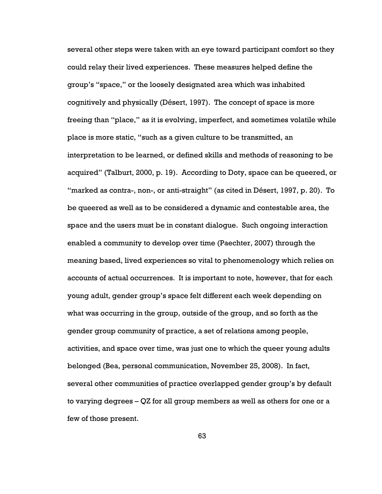several other steps were taken with an eye toward participant comfort so they could relay their lived experiences. These measures helped define the group's "space," or the loosely designated area which was inhabited cognitively and physically (Désert, 1997). The concept of space is more freeing than "place," as it is evolving, imperfect, and sometimes volatile while place is more static, "such as a given culture to be transmitted, an interpretation to be learned, or defined skills and methods of reasoning to be acquired" (Talburt, 2000, p. 19). According to Doty, space can be queered, or "marked as contra-, non-, or anti-straight" (as cited in Désert, 1997, p. 20). To be queered as well as to be considered a dynamic and contestable area, the space and the users must be in constant dialogue. Such ongoing interaction enabled a community to develop over time (Paechter, 2007) through the meaning based, lived experiences so vital to phenomenology which relies on accounts of actual occurrences. It is important to note, however, that for each young adult, gender group's space felt different each week depending on what was occurring in the group, outside of the group, and so forth as the gender group community of practice, a set of relations among people, activities, and space over time, was just one to which the queer young adults belonged (Bea, personal communication, November 25, 2008). In fact, several other communities of practice overlapped gender group's by default to varying degrees – QZ for all group members as well as others for one or a few of those present.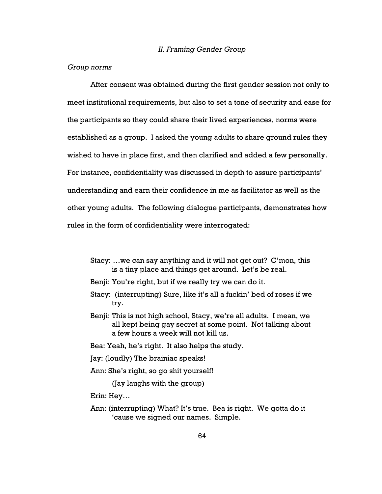#### II. Framing Gender Group

#### Group norms

After consent was obtained during the first gender session not only to meet institutional requirements, but also to set a tone of security and ease for the participants so they could share their lived experiences, norms were established as a group. I asked the young adults to share ground rules they wished to have in place first, and then clarified and added a few personally. For instance, confidentiality was discussed in depth to assure participants' understanding and earn their confidence in me as facilitator as well as the other young adults. The following dialogue participants, demonstrates how rules in the form of confidentiality were interrogated:

- Stacy: …we can say anything and it will not get out? C'mon, this is a tiny place and things get around. Let's be real.
- Benji: You're right, but if we really try we can do it.
- Stacy: (interrupting) Sure, like it's all a fuckin' bed of roses if we try.
- Benji: This is not high school, Stacy, we're all adults. I mean, we all kept being gay secret at some point. Not talking about a few hours a week will not kill us.
- Bea: Yeah, he's right. It also helps the study.
- Jay: (loudly) The brainiac speaks!
- Ann: She's right, so go shit yourself!

(Jay laughs with the group)

Erin: Hey…

Ann: (interrupting) What? It's true. Bea is right. We gotta do it 'cause we signed our names. Simple.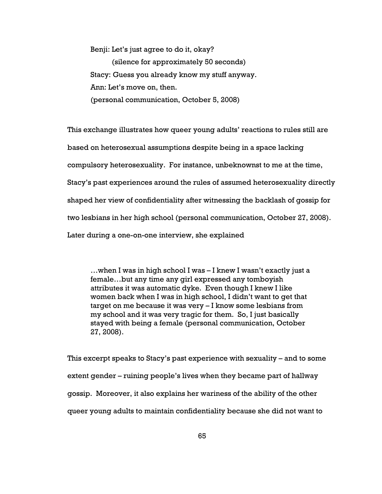Benji: Let's just agree to do it, okay? (silence for approximately 50 seconds) Stacy: Guess you already know my stuff anyway. Ann: Let's move on, then. (personal communication, October 5, 2008)

This exchange illustrates how queer young adults' reactions to rules still are based on heterosexual assumptions despite being in a space lacking compulsory heterosexuality. For instance, unbeknownst to me at the time, Stacy's past experiences around the rules of assumed heterosexuality directly shaped her view of confidentiality after witnessing the backlash of gossip for two lesbians in her high school (personal communication, October 27, 2008). Later during a one-on-one interview, she explained

…when I was in high school I was – I knew I wasn't exactly just a female…but any time any girl expressed any tomboyish attributes it was automatic dyke. Even though I knew I like women back when I was in high school, I didn't want to get that target on me because it was very – I know some lesbians from my school and it was very tragic for them. So, I just basically stayed with being a female (personal communication, October 27, 2008).

This excerpt speaks to Stacy's past experience with sexuality – and to some extent gender – ruining people's lives when they became part of hallway gossip. Moreover, it also explains her wariness of the ability of the other queer young adults to maintain confidentiality because she did not want to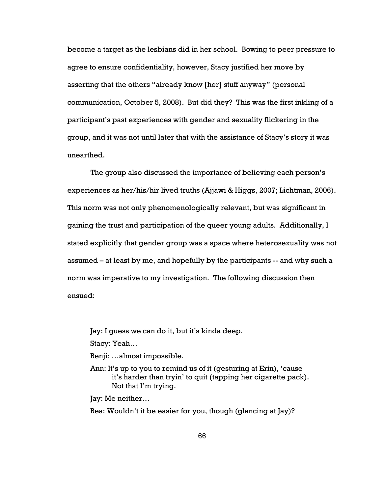become a target as the lesbians did in her school. Bowing to peer pressure to agree to ensure confidentiality, however, Stacy justified her move by asserting that the others "already know [her] stuff anyway" (personal communication, October 5, 2008). But did they? This was the first inkling of a participant's past experiences with gender and sexuality flickering in the group, and it was not until later that with the assistance of Stacy's story it was unearthed.

The group also discussed the importance of believing each person's experiences as her/his/hir lived truths (Ajjawi & Higgs, 2007; Lichtman, 2006). This norm was not only phenomenologically relevant, but was significant in gaining the trust and participation of the queer young adults. Additionally, I stated explicitly that gender group was a space where heterosexuality was not assumed – at least by me, and hopefully by the participants -- and why such a norm was imperative to my investigation. The following discussion then ensued:

Jay: I guess we can do it, but it's kinda deep.

Stacy: Yeah…

Benji: …almost impossible.

Ann: It's up to you to remind us of it (gesturing at Erin), 'cause it's harder than tryin' to quit (tapping her cigarette pack). Not that I'm trying.

Jay: Me neither…

Bea: Wouldn't it be easier for you, though (glancing at Jay)?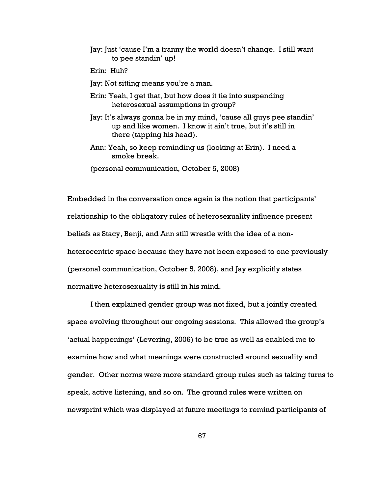- Jay: Just 'cause I'm a tranny the world doesn't change. I still want to pee standin' up!
- Erin: Huh?
- Jay: Not sitting means you're a man.
- Erin: Yeah, I get that, but how does it tie into suspending heterosexual assumptions in group?
- Jay: It's always gonna be in my mind, 'cause all guys pee standin' up and like women. I know it ain't true, but it's still in there (tapping his head).
- Ann: Yeah, so keep reminding us (looking at Erin). I need a smoke break.
- (personal communication, October 5, 2008)

Embedded in the conversation once again is the notion that participants' relationship to the obligatory rules of heterosexuality influence present beliefs as Stacy, Benji, and Ann still wrestle with the idea of a nonheterocentric space because they have not been exposed to one previously (personal communication, October 5, 2008), and Jay explicitly states normative heterosexuality is still in his mind.

I then explained gender group was not fixed, but a jointly created space evolving throughout our ongoing sessions. This allowed the group's 'actual happenings' (Levering, 2006) to be true as well as enabled me to examine how and what meanings were constructed around sexuality and gender. Other norms were more standard group rules such as taking turns to speak, active listening, and so on. The ground rules were written on newsprint which was displayed at future meetings to remind participants of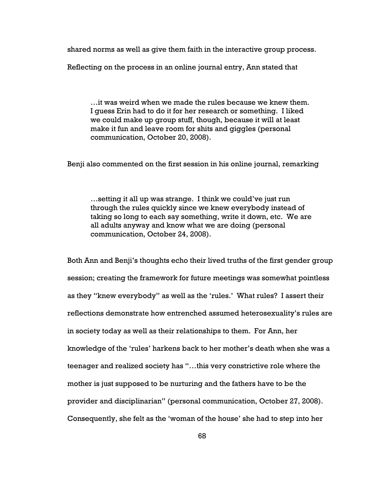shared norms as well as give them faith in the interactive group process.

Reflecting on the process in an online journal entry, Ann stated that

…it was weird when we made the rules because we knew them. I guess Erin had to do it for her research or something. I liked we could make up group stuff, though, because it will at least make it fun and leave room for shits and giggles (personal communication, October 20, 2008).

Benji also commented on the first session in his online journal, remarking

…setting it all up was strange. I think we could've just run through the rules quickly since we knew everybody instead of taking so long to each say something, write it down, etc. We are all adults anyway and know what we are doing (personal communication, October 24, 2008).

Both Ann and Benji's thoughts echo their lived truths of the first gender group session; creating the framework for future meetings was somewhat pointless as they "knew everybody" as well as the 'rules.' What rules? I assert their reflections demonstrate how entrenched assumed heterosexuality's rules are in society today as well as their relationships to them. For Ann, her knowledge of the 'rules' harkens back to her mother's death when she was a teenager and realized society has "…this very constrictive role where the mother is just supposed to be nurturing and the fathers have to be the provider and disciplinarian" (personal communication, October 27, 2008). Consequently, she felt as the 'woman of the house' she had to step into her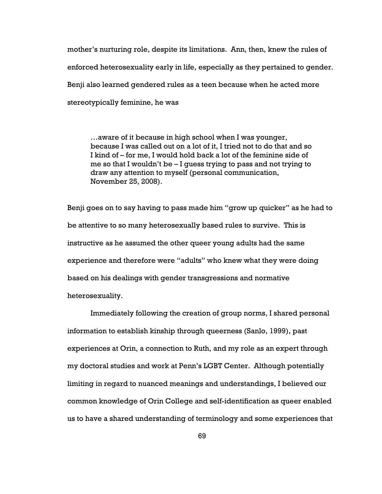mother's nurturing role, despite its limitations. Ann, then, knew the rules of enforced heterosexuality early in life, especially as they pertained to gender. Benji also learned gendered rules as a teen because when he acted more stereotypically feminine, he was

…aware of it because in high school when I was younger, because I was called out on a lot of it, I tried not to do that and so I kind of – for me, I would hold back a lot of the feminine side of me so that I wouldn't be – I guess trying to pass and not trying to draw any attention to myself (personal communication, November 25, 2008).

Benji goes on to say having to pass made him "grow up quicker" as he had to be attentive to so many heterosexually based rules to survive. This is instructive as he assumed the other queer young adults had the same experience and therefore were "adults" who knew what they were doing based on his dealings with gender transgressions and normative heterosexuality.

Immediately following the creation of group norms, I shared personal information to establish kinship through queerness (Sanlo, 1999), past experiences at Orin, a connection to Ruth, and my role as an expert through my doctoral studies and work at Penn's LGBT Center. Although potentially limiting in regard to nuanced meanings and understandings, I believed our common knowledge of Orin College and self-identification as queer enabled us to have a shared understanding of terminology and some experiences that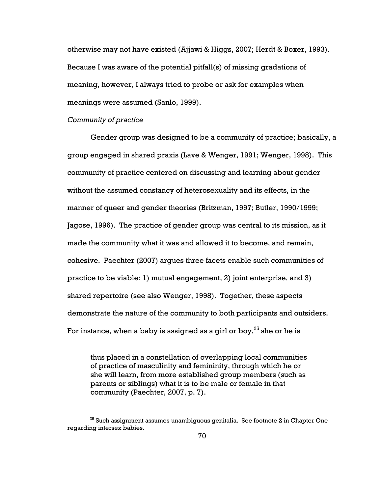otherwise may not have existed (Ajjawi & Higgs, 2007; Herdt & Boxer, 1993). Because I was aware of the potential pitfall(s) of missing gradations of meaning, however, I always tried to probe or ask for examples when meanings were assumed (Sanlo, 1999).

## Community of practice

 $\overline{a}$ 

Gender group was designed to be a community of practice; basically, a group engaged in shared praxis (Lave & Wenger, 1991; Wenger, 1998). This community of practice centered on discussing and learning about gender without the assumed constancy of heterosexuality and its effects, in the manner of queer and gender theories (Britzman, 1997; Butler, 1990/1999; Jagose, 1996). The practice of gender group was central to its mission, as it made the community what it was and allowed it to become, and remain, cohesive. Paechter (2007) argues three facets enable such communities of practice to be viable: 1) mutual engagement, 2) joint enterprise, and 3) shared repertoire (see also Wenger, 1998). Together, these aspects demonstrate the nature of the community to both participants and outsiders. For instance, when a baby is assigned as a girl or boy,  $25$  she or he is

thus placed in a constellation of overlapping local communities of practice of masculinity and femininity, through which he or she will learn, from more established group members (such as parents or siblings) what it is to be male or female in that community (Paechter, 2007, p. 7).

 $25$  Such assignment assumes unambiguous genitalia. See footnote 2 in Chapter One regarding intersex babies.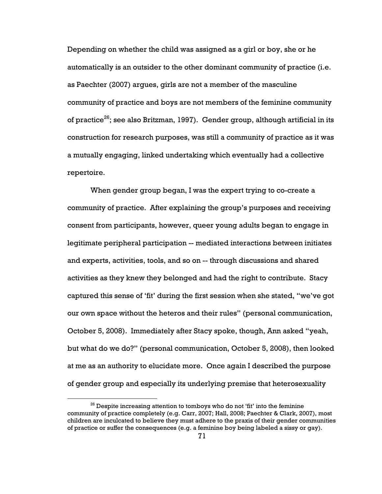Depending on whether the child was assigned as a girl or boy, she or he automatically is an outsider to the other dominant community of practice (i.e. as Paechter (2007) argues, girls are not a member of the masculine community of practice and boys are not members of the feminine community of practice<sup>26</sup>; see also Britzman, 1997). Gender group, although artificial in its construction for research purposes, was still a community of practice as it was a mutually engaging, linked undertaking which eventually had a collective repertoire.

When gender group began, I was the expert trying to co-create a community of practice. After explaining the group's purposes and receiving consent from participants, however, queer young adults began to engage in legitimate peripheral participation -- mediated interactions between initiates and experts, activities, tools, and so on -- through discussions and shared activities as they knew they belonged and had the right to contribute. Stacy captured this sense of 'fit' during the first session when she stated, "we've got our own space without the heteros and their rules" (personal communication, October 5, 2008). Immediately after Stacy spoke, though, Ann asked "yeah, but what do we do?" (personal communication, October 5, 2008), then looked at me as an authority to elucidate more. Once again I described the purpose of gender group and especially its underlying premise that heterosexuality

 $\overline{a}$ 

 $26$  Despite increasing attention to tomboys who do not 'fit' into the feminine community of practice completely (e.g. Carr, 2007; Hall, 2008; Paechter & Clark, 2007), most children are inculcated to believe they must adhere to the praxis of their gender communities of practice or suffer the consequences (e.g. a feminine boy being labeled a sissy or gay).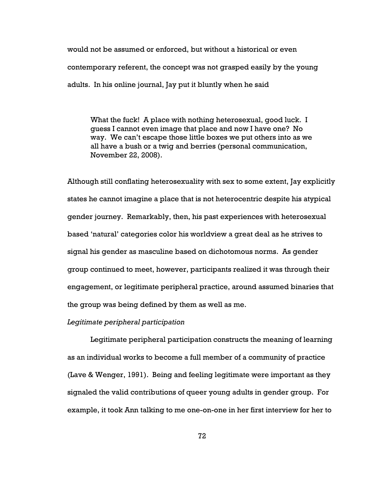would not be assumed or enforced, but without a historical or even contemporary referent, the concept was not grasped easily by the young adults. In his online journal, Jay put it bluntly when he said

What the fuck! A place with nothing heterosexual, good luck. I guess I cannot even image that place and now I have one? No way. We can't escape those little boxes we put others into as we all have a bush or a twig and berries (personal communication, November 22, 2008).

Although still conflating heterosexuality with sex to some extent, Jay explicitly states he cannot imagine a place that is not heterocentric despite his atypical gender journey. Remarkably, then, his past experiences with heterosexual based 'natural' categories color his worldview a great deal as he strives to signal his gender as masculine based on dichotomous norms. As gender group continued to meet, however, participants realized it was through their engagement, or legitimate peripheral practice, around assumed binaries that the group was being defined by them as well as me.

# Legitimate peripheral participation

Legitimate peripheral participation constructs the meaning of learning as an individual works to become a full member of a community of practice (Lave & Wenger, 1991). Being and feeling legitimate were important as they signaled the valid contributions of queer young adults in gender group. For example, it took Ann talking to me one-on-one in her first interview for her to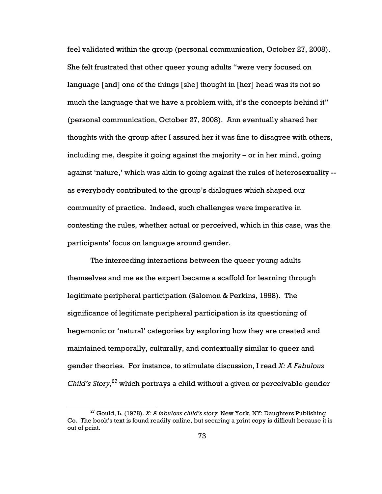feel validated within the group (personal communication, October 27, 2008). She felt frustrated that other queer young adults "were very focused on language [and] one of the things [she] thought in [her] head was its not so much the language that we have a problem with, it's the concepts behind it" (personal communication, October 27, 2008). Ann eventually shared her thoughts with the group after I assured her it was fine to disagree with others, including me, despite it going against the majority – or in her mind, going against 'nature,' which was akin to going against the rules of heterosexuality - as everybody contributed to the group's dialogues which shaped our community of practice. Indeed, such challenges were imperative in contesting the rules, whether actual or perceived, which in this case, was the participants' focus on language around gender.

The interceding interactions between the queer young adults themselves and me as the expert became a scaffold for learning through legitimate peripheral participation (Salomon & Perkins, 1998). The significance of legitimate peripheral participation is its questioning of hegemonic or 'natural' categories by exploring how they are created and maintained temporally, culturally, and contextually similar to queer and gender theories. For instance, to stimulate discussion, I read  $X: A$  Fabulous Child's Story, $^{27}$  which portrays a child without a given or perceivable gender

 $\overline{a}$ 

<sup>&</sup>lt;sup>27</sup> Gould, L. (1978). X: A fabulous child's story. New York, NY: Daughters Publishing Co. The book's text is found readily online, but securing a print copy is difficult because it is out of print.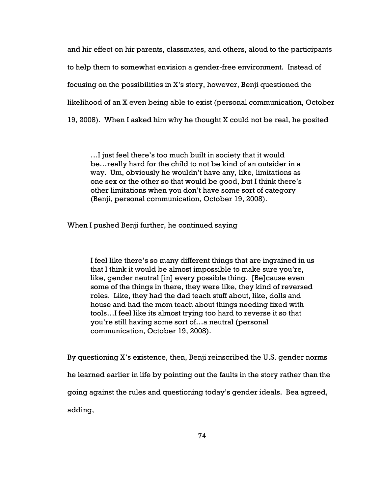and hir effect on hir parents, classmates, and others, aloud to the participants to help them to somewhat envision a gender-free environment. Instead of focusing on the possibilities in X's story, however, Benji questioned the likelihood of an X even being able to exist (personal communication, October 19, 2008). When I asked him why he thought X could not be real, he posited

…I just feel there's too much built in society that it would be…really hard for the child to not be kind of an outsider in a way. Um, obviously he wouldn't have any, like, limitations as one sex or the other so that would be good, but I think there's other limitations when you don't have some sort of category (Benji, personal communication, October 19, 2008).

When I pushed Benji further, he continued saying

I feel like there's so many different things that are ingrained in us that I think it would be almost impossible to make sure you're, like, gender neutral [in] every possible thing. [Be]cause even some of the things in there, they were like, they kind of reversed roles. Like, they had the dad teach stuff about, like, dolls and house and had the mom teach about things needing fixed with tools…I feel like its almost trying too hard to reverse it so that you're still having some sort of…a neutral (personal communication, October 19, 2008).

By questioning X's existence, then, Benji reinscribed the U.S. gender norms

he learned earlier in life by pointing out the faults in the story rather than the

going against the rules and questioning today's gender ideals. Bea agreed,

adding,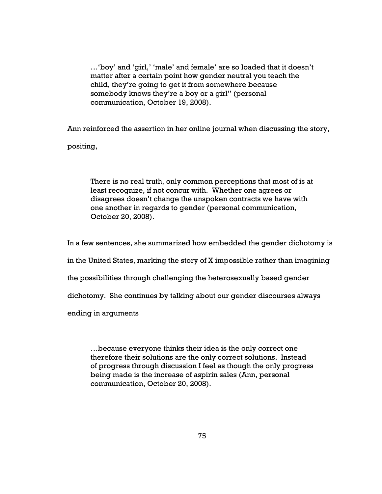…'boy' and 'girl,' 'male' and female' are so loaded that it doesn't matter after a certain point how gender neutral you teach the child, they're going to get it from somewhere because somebody knows they're a boy or a girl" (personal communication, October 19, 2008).

Ann reinforced the assertion in her online journal when discussing the story,

positing,

There is no real truth, only common perceptions that most of is at least recognize, if not concur with. Whether one agrees or disagrees doesn't change the unspoken contracts we have with one another in regards to gender (personal communication, October 20, 2008).

In a few sentences, she summarized how embedded the gender dichotomy is

in the United States, marking the story of X impossible rather than imagining

the possibilities through challenging the heterosexually based gender

dichotomy. She continues by talking about our gender discourses always

ending in arguments

…because everyone thinks their idea is the only correct one therefore their solutions are the only correct solutions. Instead of progress through discussion I feel as though the only progress being made is the increase of aspirin sales (Ann, personal communication, October 20, 2008).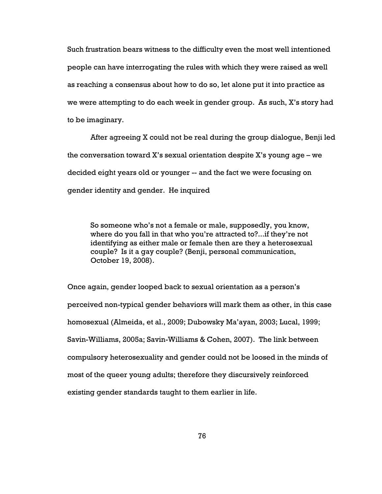Such frustration bears witness to the difficulty even the most well intentioned people can have interrogating the rules with which they were raised as well as reaching a consensus about how to do so, let alone put it into practice as we were attempting to do each week in gender group. As such, X's story had to be imaginary.

After agreeing X could not be real during the group dialogue, Benji led the conversation toward  $X$ 's sexual orientation despite  $X$ 's young age – we decided eight years old or younger -- and the fact we were focusing on gender identity and gender. He inquired

So someone who's not a female or male, supposedly, you know, where do you fall in that who you're attracted to?...if they're not identifying as either male or female then are they a heterosexual couple? Is it a gay couple? (Benji, personal communication, October 19, 2008).

Once again, gender looped back to sexual orientation as a person's perceived non-typical gender behaviors will mark them as other, in this case homosexual (Almeida, et al., 2009; Dubowsky Ma'ayan, 2003; Lucal, 1999; Savin-Williams, 2005a; Savin-Williams & Cohen, 2007). The link between compulsory heterosexuality and gender could not be loosed in the minds of most of the queer young adults; therefore they discursively reinforced existing gender standards taught to them earlier in life.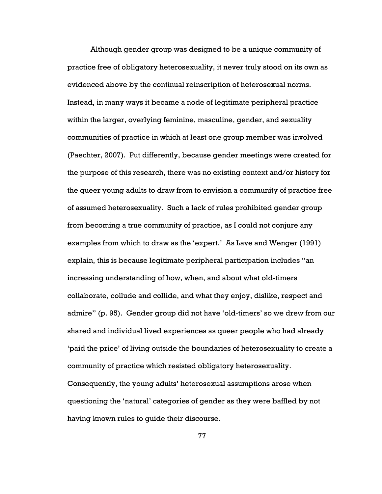Although gender group was designed to be a unique community of practice free of obligatory heterosexuality, it never truly stood on its own as evidenced above by the continual reinscription of heterosexual norms. Instead, in many ways it became a node of legitimate peripheral practice within the larger, overlying feminine, masculine, gender, and sexuality communities of practice in which at least one group member was involved (Paechter, 2007). Put differently, because gender meetings were created for the purpose of this research, there was no existing context and/or history for the queer young adults to draw from to envision a community of practice free of assumed heterosexuality. Such a lack of rules prohibited gender group from becoming a true community of practice, as I could not conjure any examples from which to draw as the 'expert.' As Lave and Wenger (1991) explain, this is because legitimate peripheral participation includes "an increasing understanding of how, when, and about what old-timers collaborate, collude and collide, and what they enjoy, dislike, respect and admire" (p. 95). Gender group did not have 'old-timers' so we drew from our shared and individual lived experiences as queer people who had already 'paid the price' of living outside the boundaries of heterosexuality to create a community of practice which resisted obligatory heterosexuality. Consequently, the young adults' heterosexual assumptions arose when questioning the 'natural' categories of gender as they were baffled by not having known rules to guide their discourse.

77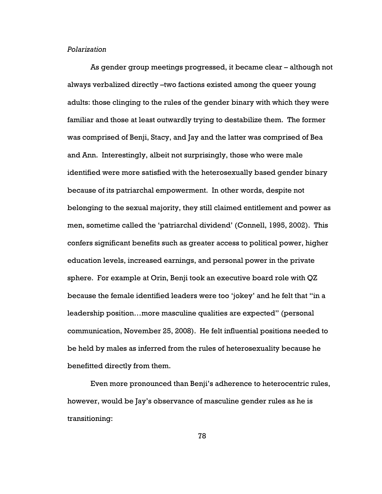### Polarization

As gender group meetings progressed, it became clear – although not always verbalized directly –two factions existed among the queer young adults: those clinging to the rules of the gender binary with which they were familiar and those at least outwardly trying to destabilize them. The former was comprised of Benji, Stacy, and Jay and the latter was comprised of Bea and Ann. Interestingly, albeit not surprisingly, those who were male identified were more satisfied with the heterosexually based gender binary because of its patriarchal empowerment. In other words, despite not belonging to the sexual majority, they still claimed entitlement and power as men, sometime called the 'patriarchal dividend' (Connell, 1995, 2002). This confers significant benefits such as greater access to political power, higher education levels, increased earnings, and personal power in the private sphere. For example at Orin, Benji took an executive board role with QZ because the female identified leaders were too 'jokey' and he felt that "in a leadership position…more masculine qualities are expected" (personal communication, November 25, 2008). He felt influential positions needed to be held by males as inferred from the rules of heterosexuality because he benefitted directly from them.

Even more pronounced than Benji's adherence to heterocentric rules, however, would be Jay's observance of masculine gender rules as he is transitioning: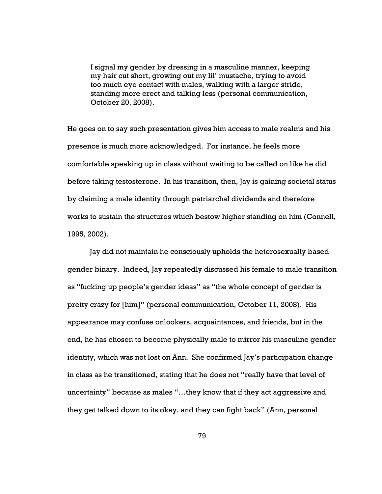I signal my gender by dressing in a masculine manner, keeping my hair cut short, growing out my lil' mustache, trying to avoid too much eye contact with males, walking with a larger stride, standing more erect and talking less (personal communication, October 20, 2008).

He goes on to say such presentation gives him access to male realms and his presence is much more acknowledged. For instance, he feels more comfortable speaking up in class without waiting to be called on like he did before taking testosterone. In his transition, then, Jay is gaining societal status by claiming a male identity through patriarchal dividends and therefore works to sustain the structures which bestow higher standing on him (Connell, 1995, 2002).

Jay did not maintain he consciously upholds the heterosexually based gender binary. Indeed, Jay repeatedly discussed his female to male transition as "fucking up people's gender ideas" as "the whole concept of gender is pretty crazy for [him]" (personal communication, October 11, 2008). His appearance may confuse onlookers, acquaintances, and friends, but in the end, he has chosen to become physically male to mirror his masculine gender identity, which was not lost on Ann. She confirmed Jay's participation change in class as he transitioned, stating that he does not "really have that level of uncertainty" because as males "…they know that if they act aggressive and they get talked down to its okay, and they can fight back" (Ann, personal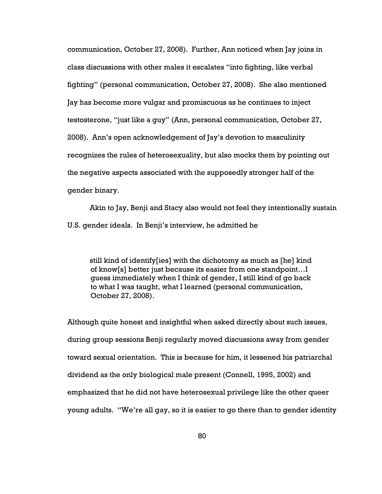communication, October 27, 2008). Further, Ann noticed when Jay joins in class discussions with other males it escalates "into fighting, like verbal fighting" (personal communication, October 27, 2008). She also mentioned Jay has become more vulgar and promiscuous as he continues to inject testosterone, "just like a guy" (Ann, personal communication, October 27, 2008). Ann's open acknowledgement of Jay's devotion to masculinity recognizes the rules of heterosexuality, but also mocks them by pointing out the negative aspects associated with the supposedly stronger half of the gender binary.

Akin to Jay, Benji and Stacy also would not feel they intentionally sustain U.S. gender ideals. In Benji's interview, he admitted he

still kind of identify[ies] with the dichotomy as much as [he] kind of know[s] better just because its easier from one standpoint…I guess immediately when I think of gender, I still kind of go back to what I was taught, what I learned (personal communication, October 27, 2008).

Although quite honest and insightful when asked directly about such issues, during group sessions Benji regularly moved discussions away from gender toward sexual orientation. This is because for him, it lessened his patriarchal dividend as the only biological male present (Connell, 1995, 2002) and emphasized that he did not have heterosexual privilege like the other queer young adults. "We're all gay, so it is easier to go there than to gender identity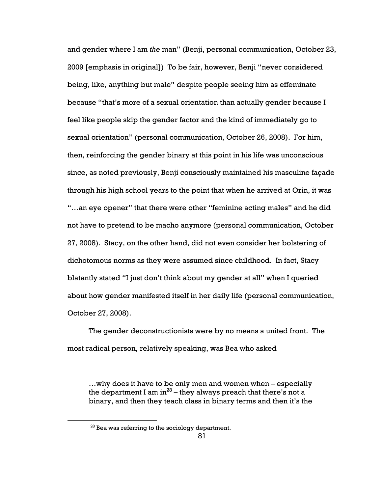and gender where I am the man" (Benji, personal communication, October 23, 2009 [emphasis in original]) To be fair, however, Benji "never considered being, like, anything but male" despite people seeing him as effeminate because "that's more of a sexual orientation than actually gender because I feel like people skip the gender factor and the kind of immediately go to sexual orientation" (personal communication, October 26, 2008). For him, then, reinforcing the gender binary at this point in his life was unconscious since, as noted previously, Benji consciously maintained his masculine façade through his high school years to the point that when he arrived at Orin, it was "…an eye opener" that there were other "feminine acting males" and he did not have to pretend to be macho anymore (personal communication, October 27, 2008). Stacy, on the other hand, did not even consider her bolstering of dichotomous norms as they were assumed since childhood. In fact, Stacy blatantly stated "I just don't think about my gender at all" when I queried about how gender manifested itself in her daily life (personal communication, October 27, 2008).

The gender deconstructionists were by no means a united front. The most radical person, relatively speaking, was Bea who asked

…why does it have to be only men and women when – especially the department I am  $in^{28}$  – they always preach that there's not a binary, and then they teach class in binary terms and then it's the

 $\overline{a}$ 

<sup>&</sup>lt;sup>28</sup> Bea was referring to the sociology department.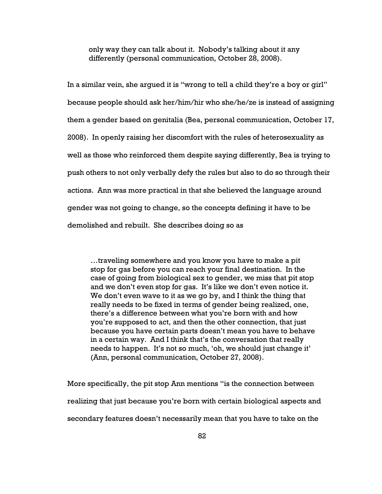only way they can talk about it. Nobody's talking about it any differently (personal communication, October 28, 2008).

In a similar vein, she argued it is "wrong to tell a child they're a boy or girl" because people should ask her/him/hir who she/he/ze is instead of assigning them a gender based on genitalia (Bea, personal communication, October 17, 2008). In openly raising her discomfort with the rules of heterosexuality as well as those who reinforced them despite saying differently, Bea is trying to push others to not only verbally defy the rules but also to do so through their actions. Ann was more practical in that she believed the language around gender was not going to change, so the concepts defining it have to be demolished and rebuilt. She describes doing so as

…traveling somewhere and you know you have to make a pit stop for gas before you can reach your final destination. In the case of going from biological sex to gender, we miss that pit stop and we don't even stop for gas. It's like we don't even notice it. We don't even wave to it as we go by, and I think the thing that really needs to be fixed in terms of gender being realized, one, there's a difference between what you're born with and how you're supposed to act, and then the other connection, that just because you have certain parts doesn't mean you have to behave in a certain way. And I think that's the conversation that really needs to happen. It's not so much, 'oh, we should just change it' (Ann, personal communication, October 27, 2008).

More specifically, the pit stop Ann mentions "is the connection between realizing that just because you're born with certain biological aspects and secondary features doesn't necessarily mean that you have to take on the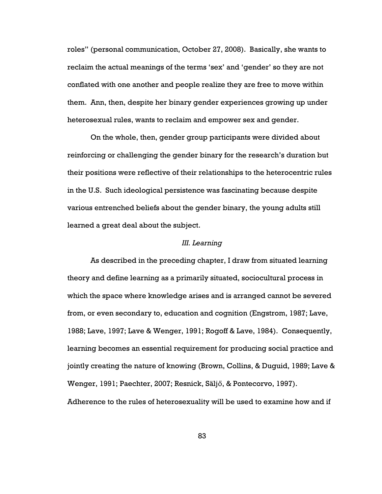roles" (personal communication, October 27, 2008). Basically, she wants to reclaim the actual meanings of the terms 'sex' and 'gender' so they are not conflated with one another and people realize they are free to move within them. Ann, then, despite her binary gender experiences growing up under heterosexual rules, wants to reclaim and empower sex and gender.

On the whole, then, gender group participants were divided about reinforcing or challenging the gender binary for the research's duration but their positions were reflective of their relationships to the heterocentric rules in the U.S. Such ideological persistence was fascinating because despite various entrenched beliefs about the gender binary, the young adults still learned a great deal about the subject.

## III. Learning

As described in the preceding chapter, I draw from situated learning theory and define learning as a primarily situated, sociocultural process in which the space where knowledge arises and is arranged cannot be severed from, or even secondary to, education and cognition (Engstrom, 1987; Lave, 1988; Lave, 1997; Lave & Wenger, 1991; Rogoff & Lave, 1984). Consequently, learning becomes an essential requirement for producing social practice and jointly creating the nature of knowing (Brown, Collins, & Duguid, 1989; Lave & Wenger, 1991; Paechter, 2007; Resnick, Säljő, & Pontecorvo, 1997).

Adherence to the rules of heterosexuality will be used to examine how and if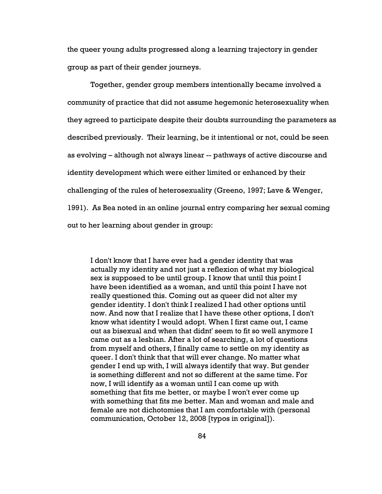the queer young adults progressed along a learning trajectory in gender group as part of their gender journeys.

Together, gender group members intentionally became involved a community of practice that did not assume hegemonic heterosexuality when they agreed to participate despite their doubts surrounding the parameters as described previously. Their learning, be it intentional or not, could be seen as evolving – although not always linear -- pathways of active discourse and identity development which were either limited or enhanced by their challenging of the rules of heterosexuality (Greeno, 1997; Lave & Wenger, 1991). As Bea noted in an online journal entry comparing her sexual coming out to her learning about gender in group:

I don't know that I have ever had a gender identity that was actually my identity and not just a reflexion of what my biological sex is supposed to be until group. I know that until this point I have been identified as a woman, and until this point I have not really questioned this. Coming out as queer did not alter my gender identity. I don't think I realized I had other options until now. And now that I realize that I have these other options, I don't know what identity I would adopt. When I first came out, I came out as bisexual and when that didnt' seem to fit so well anymore I came out as a lesbian. After a lot of searching, a lot of questions from myself and others, I finally came to settle on my identity as queer. I don't think that that will ever change. No matter what gender I end up with, I will always identify that way. But gender is something different and not so different at the same time. For now, I will identify as a woman until I can come up with something that fits me better, or maybe I won't ever come up with something that fits me better. Man and woman and male and female are not dichotomies that I am comfortable with (personal communication, October 12, 2008 [typos in original]).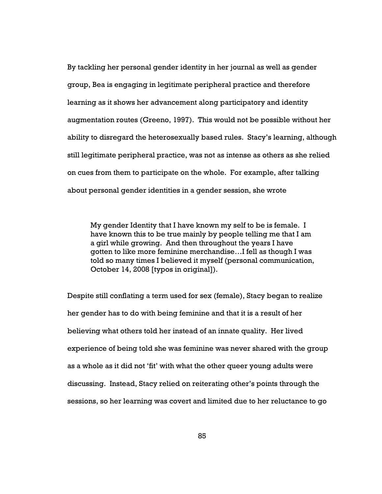By tackling her personal gender identity in her journal as well as gender group, Bea is engaging in legitimate peripheral practice and therefore learning as it shows her advancement along participatory and identity augmentation routes (Greeno, 1997). This would not be possible without her ability to disregard the heterosexually based rules. Stacy's learning, although still legitimate peripheral practice, was not as intense as others as she relied on cues from them to participate on the whole. For example, after talking about personal gender identities in a gender session, she wrote

My gender Identity that I have known my self to be is female. I have known this to be true mainly by people telling me that I am a girl while growing. And then throughout the years I have gotten to like more feminine merchandise…I fell as though I was told so many times I believed it myself (personal communication, October 14, 2008 [typos in original]).

Despite still conflating a term used for sex (female), Stacy began to realize her gender has to do with being feminine and that it is a result of her believing what others told her instead of an innate quality. Her lived experience of being told she was feminine was never shared with the group as a whole as it did not 'fit' with what the other queer young adults were discussing. Instead, Stacy relied on reiterating other's points through the sessions, so her learning was covert and limited due to her reluctance to go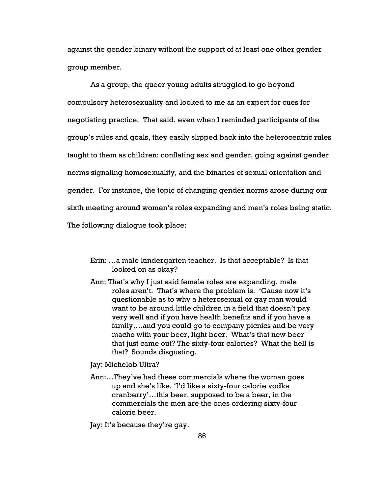against the gender binary without the support of at least one other gender group member.

As a group, the queer young adults struggled to go beyond compulsory heterosexuality and looked to me as an expert for cues for negotiating practice. That said, even when I reminded participants of the group's rules and goals, they easily slipped back into the heterocentric rules taught to them as children: conflating sex and gender, going against gender norms signaling homosexuality, and the binaries of sexual orientation and gender. For instance, the topic of changing gender norms arose during our sixth meeting around women's roles expanding and men's roles being static. The following dialogue took place:

- Erin: …a male kindergarten teacher. Is that acceptable? Is that looked on as okay?
- Ann: That's why I just said female roles are expanding, male roles aren't. That's where the problem is. 'Cause now it's questionable as to why a heterosexual or gay man would want to be around little children in a field that doesn't pay very well and if you have health benefits and if you have a family….and you could go to company picnics and be very macho with your beer, light beer. What's that new beer that just came out? The sixty-four calories? What the hell is that? Sounds disgusting.

Jay: Michelob Ultra?

- Ann:…They've had these commercials where the woman goes up and she's like, 'I'd like a sixty-four calorie vodka cranberry'…this beer, supposed to be a beer, in the commercials the men are the ones ordering sixty-four calorie beer.
- Jay: It's because they're gay.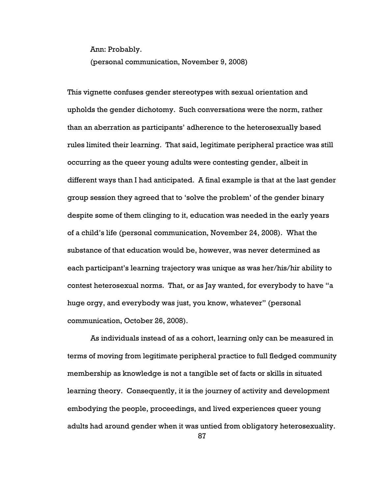Ann: Probably.

(personal communication, November 9, 2008)

This vignette confuses gender stereotypes with sexual orientation and upholds the gender dichotomy. Such conversations were the norm, rather than an aberration as participants' adherence to the heterosexually based rules limited their learning. That said, legitimate peripheral practice was still occurring as the queer young adults were contesting gender, albeit in different ways than I had anticipated. A final example is that at the last gender group session they agreed that to 'solve the problem' of the gender binary despite some of them clinging to it, education was needed in the early years of a child's life (personal communication, November 24, 2008). What the substance of that education would be, however, was never determined as each participant's learning trajectory was unique as was her/his/hir ability to contest heterosexual norms. That, or as Jay wanted, for everybody to have "a huge orgy, and everybody was just, you know, whatever" (personal communication, October 26, 2008).

As individuals instead of as a cohort, learning only can be measured in terms of moving from legitimate peripheral practice to full fledged community membership as knowledge is not a tangible set of facts or skills in situated learning theory. Consequently, it is the journey of activity and development embodying the people, proceedings, and lived experiences queer young adults had around gender when it was untied from obligatory heterosexuality.

87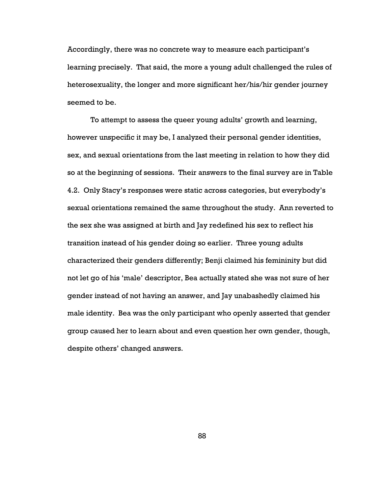Accordingly, there was no concrete way to measure each participant's learning precisely. That said, the more a young adult challenged the rules of heterosexuality, the longer and more significant her/his/hir gender journey seemed to be.

To attempt to assess the queer young adults' growth and learning, however unspecific it may be, I analyzed their personal gender identities, sex, and sexual orientations from the last meeting in relation to how they did so at the beginning of sessions. Their answers to the final survey are in Table 4.2. Only Stacy's responses were static across categories, but everybody's sexual orientations remained the same throughout the study. Ann reverted to the sex she was assigned at birth and Jay redefined his sex to reflect his transition instead of his gender doing so earlier. Three young adults characterized their genders differently; Benji claimed his femininity but did not let go of his 'male' descriptor, Bea actually stated she was not sure of her gender instead of not having an answer, and Jay unabashedly claimed his male identity. Bea was the only participant who openly asserted that gender group caused her to learn about and even question her own gender, though, despite others' changed answers.

88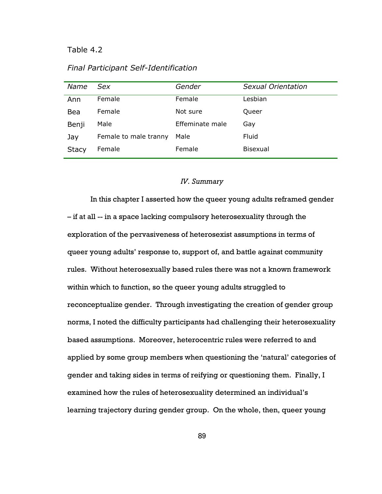Table 4.2

Final Participant Self-Identification

| Name         | Sex                   | Gender          | Sexual Orientation |
|--------------|-----------------------|-----------------|--------------------|
| Ann          | Female                | Female          | Lesbian            |
| Bea          | Female                | Not sure        | Queer              |
| Benji        | Male                  | Effeminate male | Gay                |
| Jay          | Female to male tranny | Male            | Fluid              |
| <b>Stacy</b> | Female                | Female          | <b>Bisexual</b>    |

# IV. Summary

In this chapter I asserted how the queer young adults reframed gender – if at all -- in a space lacking compulsory heterosexuality through the exploration of the pervasiveness of heterosexist assumptions in terms of queer young adults' response to, support of, and battle against community rules. Without heterosexually based rules there was not a known framework within which to function, so the queer young adults struggled to reconceptualize gender. Through investigating the creation of gender group norms, I noted the difficulty participants had challenging their heterosexuality based assumptions. Moreover, heterocentric rules were referred to and applied by some group members when questioning the 'natural' categories of gender and taking sides in terms of reifying or questioning them. Finally, I examined how the rules of heterosexuality determined an individual's learning trajectory during gender group. On the whole, then, queer young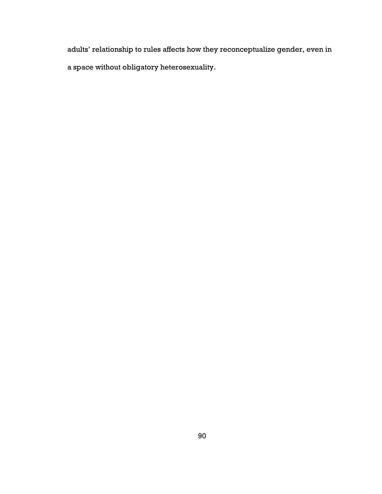adults' relationship to rules affects how they reconceptualize gender, even in a space without obligatory heterosexuality.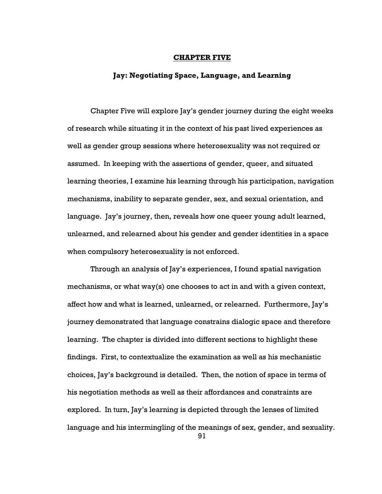#### CHAPTER FIVE

## Jay: Negotiating Space, Language, and Learning

Chapter Five will explore Jay's gender journey during the eight weeks of research while situating it in the context of his past lived experiences as well as gender group sessions where heterosexuality was not required or assumed. In keeping with the assertions of gender, queer, and situated learning theories, I examine his learning through his participation, navigation mechanisms, inability to separate gender, sex, and sexual orientation, and language. Jay's journey, then, reveals how one queer young adult learned, unlearned, and relearned about his gender and gender identities in a space when compulsory heterosexuality is not enforced.

Through an analysis of Jay's experiences, I found spatial navigation mechanisms, or what way(s) one chooses to act in and with a given context, affect how and what is learned, unlearned, or relearned. Furthermore, Jay's journey demonstrated that language constrains dialogic space and therefore learning. The chapter is divided into different sections to highlight these findings. First, to contextualize the examination as well as his mechanistic choices, Jay's background is detailed. Then, the notion of space in terms of his negotiation methods as well as their affordances and constraints are explored. In turn, Jay's learning is depicted through the lenses of limited language and his intermingling of the meanings of sex, gender, and sexuality.

91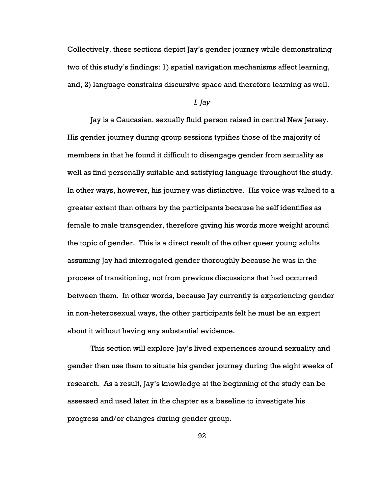Collectively, these sections depict Jay's gender journey while demonstrating two of this study's findings: 1) spatial navigation mechanisms affect learning, and, 2) language constrains discursive space and therefore learning as well.

### I. Jay

Jay is a Caucasian, sexually fluid person raised in central New Jersey. His gender journey during group sessions typifies those of the majority of members in that he found it difficult to disengage gender from sexuality as well as find personally suitable and satisfying language throughout the study. In other ways, however, his journey was distinctive. His voice was valued to a greater extent than others by the participants because he self identifies as female to male transgender, therefore giving his words more weight around the topic of gender. This is a direct result of the other queer young adults assuming Jay had interrogated gender thoroughly because he was in the process of transitioning, not from previous discussions that had occurred between them. In other words, because Jay currently is experiencing gender in non-heterosexual ways, the other participants felt he must be an expert about it without having any substantial evidence.

This section will explore Jay's lived experiences around sexuality and gender then use them to situate his gender journey during the eight weeks of research. As a result, Jay's knowledge at the beginning of the study can be assessed and used later in the chapter as a baseline to investigate his progress and/or changes during gender group.

92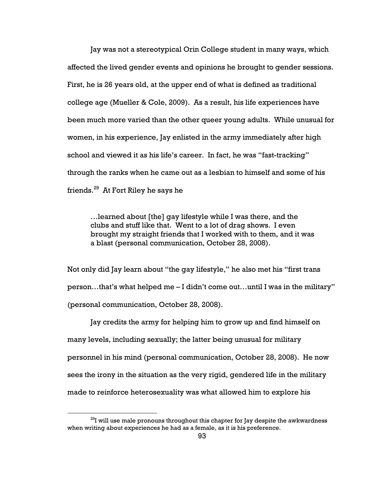Jay was not a stereotypical Orin College student in many ways, which affected the lived gender events and opinions he brought to gender sessions. First, he is 26 years old, at the upper end of what is defined as traditional college age (Mueller & Cole, 2009). As a result, his life experiences have been much more varied than the other queer young adults. While unusual for women, in his experience, Jay enlisted in the army immediately after high school and viewed it as his life's career. In fact, he was "fast-tracking" through the ranks when he came out as a lesbian to himself and some of his friends.<sup>29</sup> At Fort Riley he says he

…learned about [the] gay lifestyle while I was there, and the clubs and stuff like that. Went to a lot of drag shows. I even brought my straight friends that I worked with to them, and it was a blast (personal communication, October 28, 2008).

Not only did Jay learn about "the gay lifestyle," he also met his "first trans person…that's what helped me – I didn't come out…until I was in the military" (personal communication, October 28, 2008).

Jay credits the army for helping him to grow up and find himself on many levels, including sexually; the latter being unusual for military personnel in his mind (personal communication, October 28, 2008). He now sees the irony in the situation as the very rigid, gendered life in the military made to reinforce heterosexuality was what allowed him to explore his

 $\overline{a}$ 

 $^{29}$ I will use male pronouns throughout this chapter for Jay despite the awkwardness when writing about experiences he had as a female, as it is his preference.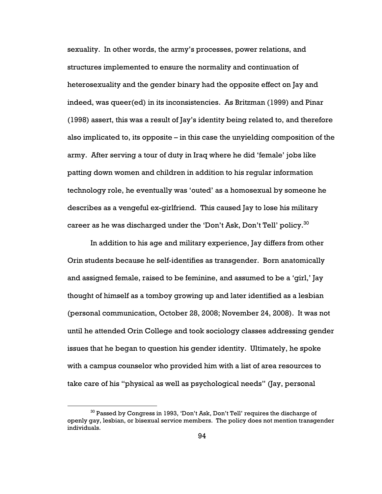sexuality. In other words, the army's processes, power relations, and structures implemented to ensure the normality and continuation of heterosexuality and the gender binary had the opposite effect on Jay and indeed, was queer(ed) in its inconsistencies. As Britzman (1999) and Pinar (1998) assert, this was a result of Jay's identity being related to, and therefore also implicated to, its opposite – in this case the unyielding composition of the army. After serving a tour of duty in Iraq where he did 'female' jobs like patting down women and children in addition to his regular information technology role, he eventually was 'outed' as a homosexual by someone he describes as a vengeful ex-girlfriend. This caused Jay to lose his military career as he was discharged under the 'Don't Ask, Don't Tell' policy. $^{30}$ 

In addition to his age and military experience, Jay differs from other Orin students because he self-identifies as transgender. Born anatomically and assigned female, raised to be feminine, and assumed to be a 'girl,' Jay thought of himself as a tomboy growing up and later identified as a lesbian (personal communication, October 28, 2008; November 24, 2008). It was not until he attended Orin College and took sociology classes addressing gender issues that he began to question his gender identity. Ultimately, he spoke with a campus counselor who provided him with a list of area resources to take care of his "physical as well as psychological needs" (Jay, personal

 $\overline{a}$ 

 $30$  Passed by Congress in 1993, 'Don't Ask, Don't Tell' requires the discharge of openly gay, lesbian, or bisexual service members. The policy does not mention transgender individuals.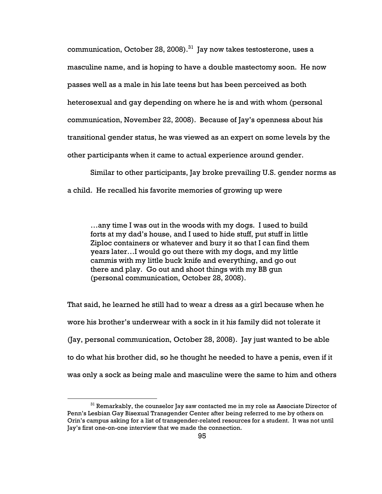communication, October 28, 2008).<sup>31</sup> Jay now takes testosterone, uses a masculine name, and is hoping to have a double mastectomy soon. He now passes well as a male in his late teens but has been perceived as both heterosexual and gay depending on where he is and with whom (personal communication, November 22, 2008). Because of Jay's openness about his transitional gender status, he was viewed as an expert on some levels by the other participants when it came to actual experience around gender.

Similar to other participants, Jay broke prevailing U.S. gender norms as a child. He recalled his favorite memories of growing up were

…any time I was out in the woods with my dogs. I used to build forts at my dad's house, and I used to hide stuff, put stuff in little Ziploc containers or whatever and bury it so that I can find them years later…I would go out there with my dogs, and my little cammis with my little buck knife and everything, and go out there and play. Go out and shoot things with my BB gun (personal communication, October 28, 2008).

That said, he learned he still had to wear a dress as a girl because when he wore his brother's underwear with a sock in it his family did not tolerate it (Jay, personal communication, October 28, 2008). Jay just wanted to be able to do what his brother did, so he thought he needed to have a penis, even if it was only a sock as being male and masculine were the same to him and others

 $31$  Remarkably, the counselor Jay saw contacted me in my role as Associate Director of Penn's Lesbian Gay Bisexual Transgender Center after being referred to me by others on Orin's campus asking for a list of transgender-related resources for a student. It was not until Jay's first one-on-one interview that we made the connection.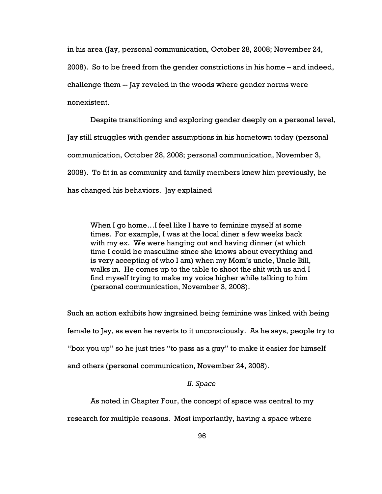in his area (Jay, personal communication, October 28, 2008; November 24, 2008). So to be freed from the gender constrictions in his home – and indeed, challenge them -- Jay reveled in the woods where gender norms were nonexistent.

Despite transitioning and exploring gender deeply on a personal level, Jay still struggles with gender assumptions in his hometown today (personal communication, October 28, 2008; personal communication, November 3, 2008). To fit in as community and family members knew him previously, he has changed his behaviors. Jay explained

When I go home…I feel like I have to feminize myself at some times. For example, I was at the local diner a few weeks back with my ex. We were hanging out and having dinner (at which time I could be masculine since she knows about everything and is very accepting of who I am) when my Mom's uncle, Uncle Bill, walks in. He comes up to the table to shoot the shit with us and I find myself trying to make my voice higher while talking to him (personal communication, November 3, 2008).

Such an action exhibits how ingrained being feminine was linked with being female to Jay, as even he reverts to it unconsciously. As he says, people try to "box you up" so he just tries "to pass as a guy" to make it easier for himself and others (personal communication, November 24, 2008).

### II. Space

As noted in Chapter Four, the concept of space was central to my

research for multiple reasons. Most importantly, having a space where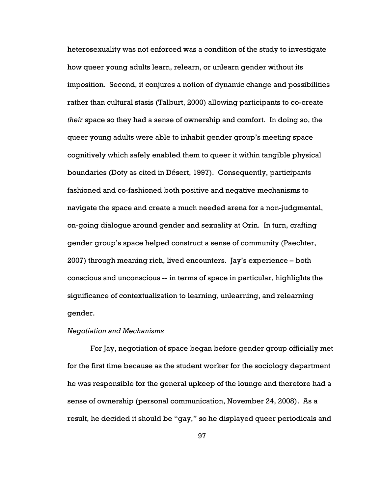heterosexuality was not enforced was a condition of the study to investigate how queer young adults learn, relearn, or unlearn gender without its imposition. Second, it conjures a notion of dynamic change and possibilities rather than cultural stasis (Talburt, 2000) allowing participants to co-create their space so they had a sense of ownership and comfort. In doing so, the queer young adults were able to inhabit gender group's meeting space cognitively which safely enabled them to queer it within tangible physical boundaries (Doty as cited in Désert, 1997). Consequently, participants fashioned and co-fashioned both positive and negative mechanisms to navigate the space and create a much needed arena for a non-judgmental, on-going dialogue around gender and sexuality at Orin. In turn, crafting gender group's space helped construct a sense of community (Paechter, 2007) through meaning rich, lived encounters. Jay's experience – both conscious and unconscious -- in terms of space in particular, highlights the significance of contextualization to learning, unlearning, and relearning gender.

# Negotiation and Mechanisms

For Jay, negotiation of space began before gender group officially met for the first time because as the student worker for the sociology department he was responsible for the general upkeep of the lounge and therefore had a sense of ownership (personal communication, November 24, 2008). As a result, he decided it should be "gay," so he displayed queer periodicals and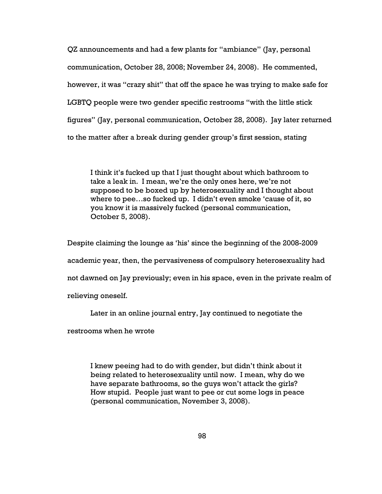QZ announcements and had a few plants for "ambiance" (Jay, personal communication, October 28, 2008; November 24, 2008). He commented, however, it was "crazy shit" that off the space he was trying to make safe for LGBTQ people were two gender specific restrooms "with the little stick figures" (Jay, personal communication, October 28, 2008). Jay later returned to the matter after a break during gender group's first session, stating

I think it's fucked up that I just thought about which bathroom to take a leak in. I mean, we're the only ones here, we're not supposed to be boxed up by heterosexuality and I thought about where to pee…so fucked up. I didn't even smoke 'cause of it, so you know it is massively fucked (personal communication, October 5, 2008).

Despite claiming the lounge as 'his' since the beginning of the 2008-2009 academic year, then, the pervasiveness of compulsory heterosexuality had not dawned on Jay previously; even in his space, even in the private realm of relieving oneself.

Later in an online journal entry, Jay continued to negotiate the

restrooms when he wrote

I knew peeing had to do with gender, but didn't think about it being related to heterosexuality until now. I mean, why do we have separate bathrooms, so the guys won't attack the girls? How stupid. People just want to pee or cut some logs in peace (personal communication, November 3, 2008).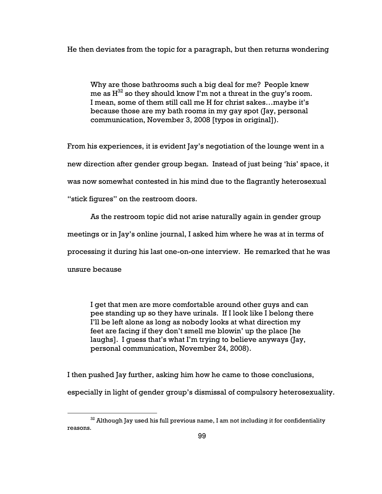He then deviates from the topic for a paragraph, but then returns wondering

Why are those bathrooms such a big deal for me? People knew me as  $H^{32}$  so they should know I'm not a threat in the guy's room. I mean, some of them still call me H for christ sakes…maybe it's because those are my bath rooms in my gay spot (Jay, personal communication, November 3, 2008 [typos in original]).

From his experiences, it is evident Jay's negotiation of the lounge went in a new direction after gender group began. Instead of just being 'his' space, it was now somewhat contested in his mind due to the flagrantly heterosexual "stick figures" on the restroom doors.

As the restroom topic did not arise naturally again in gender group

meetings or in Jay's online journal, I asked him where he was at in terms of

processing it during his last one-on-one interview. He remarked that he was

unsure because

 $\overline{a}$ 

I get that men are more comfortable around other guys and can pee standing up so they have urinals. If I look like I belong there I'll be left alone as long as nobody looks at what direction my feet are facing if they don't smell me blowin' up the place [he laughs]. I guess that's what I'm trying to believe anyways (Jay, personal communication, November 24, 2008).

I then pushed Jay further, asking him how he came to those conclusions,

especially in light of gender group's dismissal of compulsory heterosexuality.

 $32$  Although Jay used his full previous name, I am not including it for confidentiality reasons.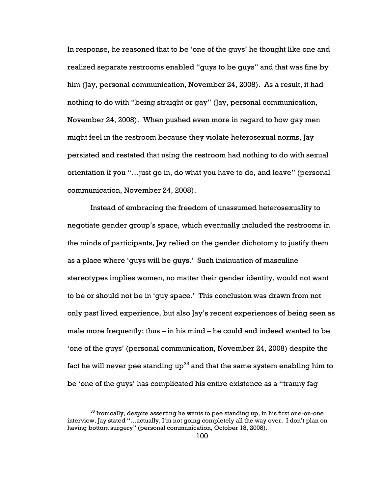In response, he reasoned that to be 'one of the guys' he thought like one and realized separate restrooms enabled "guys to be guys" and that was fine by him (Jay, personal communication, November 24, 2008). As a result, it had nothing to do with "being straight or gay" (Jay, personal communication, November 24, 2008). When pushed even more in regard to how gay men might feel in the restroom because they violate heterosexual norms, Jay persisted and restated that using the restroom had nothing to do with sexual orientation if you "…just go in, do what you have to do, and leave" (personal communication, November 24, 2008).

Instead of embracing the freedom of unassumed heterosexuality to negotiate gender group's space, which eventually included the restrooms in the minds of participants, Jay relied on the gender dichotomy to justify them as a place where 'guys will be guys.' Such insinuation of masculine stereotypes implies women, no matter their gender identity, would not want to be or should not be in 'guy space.' This conclusion was drawn from not only past lived experience, but also Jay's recent experiences of being seen as male more frequently; thus – in his mind – he could and indeed wanted to be 'one of the guys' (personal communication, November 24, 2008) despite the fact he will never pee standing  $up<sup>33</sup>$  and that the same system enabling him to be 'one of the guys' has complicated his entire existence as a "tranny fag

 $33$  Ironically, despite asserting he wants to pee standing up, in his first one-on-one interview, Jay stated "…actually, I'm not going completely all the way over. I don't plan on having bottom surgery" (personal communication, October 18, 2008).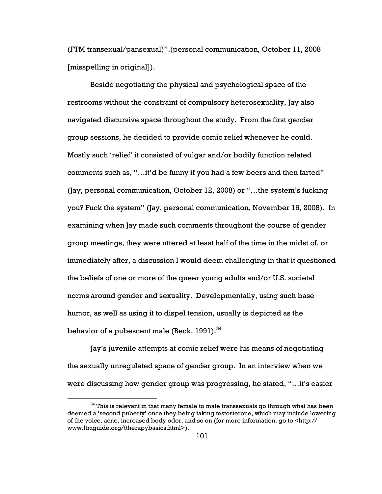(FTM transexual/pansexual)".(personal communication, October 11, 2008 [misspelling in original]).

Beside negotiating the physical and psychological space of the restrooms without the constraint of compulsory heterosexuality, Jay also navigated discursive space throughout the study. From the first gender group sessions, he decided to provide comic relief whenever he could. Mostly such 'relief' it consisted of vulgar and/or bodily function related comments such as, "…it'd be funny if you had a few beers and then farted" (Jay, personal communication, October 12, 2008) or "…the system's fucking you? Fuck the system" (Jay, personal communication, November 16, 2008). In examining when Jay made such comments throughout the course of gender group meetings, they were uttered at least half of the time in the midst of, or immediately after, a discussion I would deem challenging in that it questioned the beliefs of one or more of the queer young adults and/or U.S. societal norms around gender and sexuality. Developmentally, using such base humor, as well as using it to dispel tension, usually is depicted as the behavior of a pubescent male (Beck, 1991).<sup>34</sup>

Jay's juvenile attempts at comic relief were his means of negotiating the sexually unregulated space of gender group. In an interview when we were discussing how gender group was progressing, he stated, "…it's easier

 $34$  This is relevant in that many female to male transsexuals go through what has been deemed a 'second puberty' once they being taking testosterone, which may include lowering of the voice, acne, increased body odor, and so on (for more information, go to <http:// www.ftmguide.org/ttherapybasics.html>).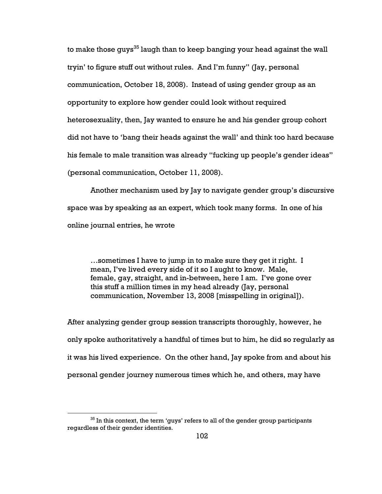to make those guys<sup>35</sup> laugh than to keep banging your head against the wall tryin' to figure stuff out without rules. And I'm funny" (Jay, personal communication, October 18, 2008). Instead of using gender group as an opportunity to explore how gender could look without required heterosexuality, then, Jay wanted to ensure he and his gender group cohort did not have to 'bang their heads against the wall' and think too hard because his female to male transition was already "fucking up people's gender ideas" (personal communication, October 11, 2008).

Another mechanism used by Jay to navigate gender group's discursive space was by speaking as an expert, which took many forms. In one of his online journal entries, he wrote

…sometimes I have to jump in to make sure they get it right. I mean, I've lived every side of it so I aught to know. Male, female, gay, straight, and in-between, here I am. I've gone over this stuff a million times in my head already (Jay, personal communication, November 13, 2008 [misspelling in original]).

After analyzing gender group session transcripts thoroughly, however, he only spoke authoritatively a handful of times but to him, he did so regularly as it was his lived experience. On the other hand, Jay spoke from and about his personal gender journey numerous times which he, and others, may have

 $35$  In this context, the term 'guys' refers to all of the gender group participants regardless of their gender identities.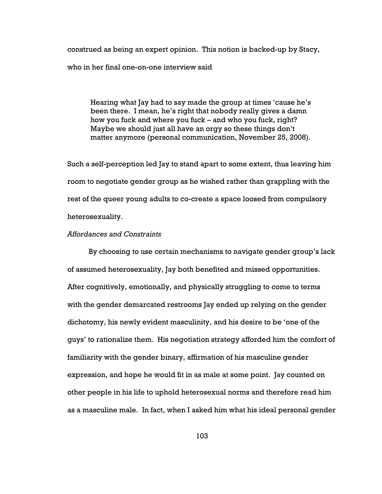construed as being an expert opinion. This notion is backed-up by Stacy, who in her final one-on-one interview said

Hearing what Jay had to say made the group at times 'cause he's been there. I mean, he's right that nobody really gives a damn how you fuck and where you fuck – and who you fuck, right? Maybe we should just all have an orgy so these things don't matter anymore (personal communication, November 25, 2008).

Such a self-perception led Jay to stand apart to some extent, thus leaving him room to negotiate gender group as he wished rather than grappling with the rest of the queer young adults to co-create a space loosed from compulsory heterosexuality.

## Affordances and Constraints

By choosing to use certain mechanisms to navigate gender group's lack of assumed heterosexuality, Jay both benefited and missed opportunities. After cognitively, emotionally, and physically struggling to come to terms with the gender demarcated restrooms Jay ended up relying on the gender dichotomy, his newly evident masculinity, and his desire to be 'one of the guys' to rationalize them. His negotiation strategy afforded him the comfort of familiarity with the gender binary, affirmation of his masculine gender expression, and hope he would fit in as male at some point. Jay counted on other people in his life to uphold heterosexual norms and therefore read him as a masculine male. In fact, when I asked him what his ideal personal gender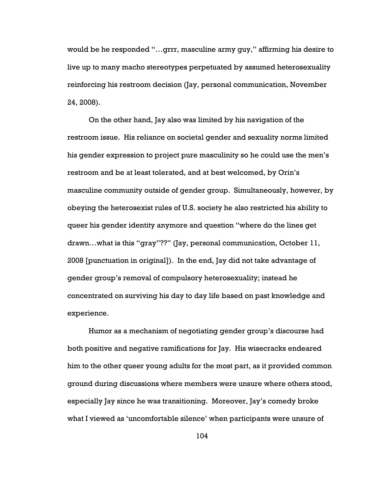would be he responded "…grrr, masculine army guy," affirming his desire to live up to many macho stereotypes perpetuated by assumed heterosexuality reinforcing his restroom decision (Jay, personal communication, November 24, 2008).

On the other hand, Jay also was limited by his navigation of the restroom issue. His reliance on societal gender and sexuality norms limited his gender expression to project pure masculinity so he could use the men's restroom and be at least tolerated, and at best welcomed, by Orin's masculine community outside of gender group. Simultaneously, however, by obeying the heterosexist rules of U.S. society he also restricted his ability to queer his gender identity anymore and question "where do the lines get drawn…what is this "gray"??" (Jay, personal communication, October 11, 2008 [punctuation in original]). In the end, Jay did not take advantage of gender group's removal of compulsory heterosexuality; instead he concentrated on surviving his day to day life based on past knowledge and experience.

Humor as a mechanism of negotiating gender group's discourse had both positive and negative ramifications for Jay. His wisecracks endeared him to the other queer young adults for the most part, as it provided common ground during discussions where members were unsure where others stood, especially Jay since he was transitioning. Moreover, Jay's comedy broke what I viewed as 'uncomfortable silence' when participants were unsure of

104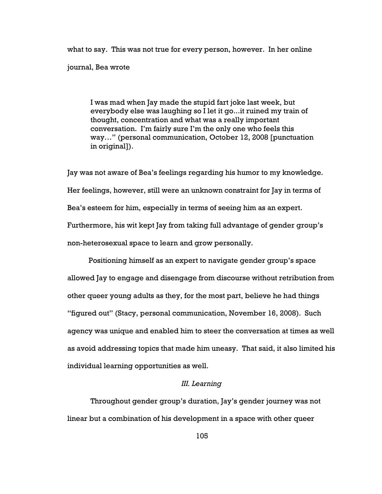what to say. This was not true for every person, however. In her online journal, Bea wrote

I was mad when Jay made the stupid fart joke last week, but everybody else was laughing so I let it go...it ruined my train of thought, concentration and what was a really important conversation. I'm fairly sure I'm the only one who feels this way…" (personal communication, October 12, 2008 [punctuation in original]).

Jay was not aware of Bea's feelings regarding his humor to my knowledge. Her feelings, however, still were an unknown constraint for Jay in terms of Bea's esteem for him, especially in terms of seeing him as an expert. Furthermore, his wit kept Jay from taking full advantage of gender group's non-heterosexual space to learn and grow personally.

Positioning himself as an expert to navigate gender group's space allowed Jay to engage and disengage from discourse without retribution from other queer young adults as they, for the most part, believe he had things "figured out" (Stacy, personal communication, November 16, 2008). Such agency was unique and enabled him to steer the conversation at times as well as avoid addressing topics that made him uneasy. That said, it also limited his individual learning opportunities as well.

## III. Learning

Throughout gender group's duration, Jay's gender journey was not linear but a combination of his development in a space with other queer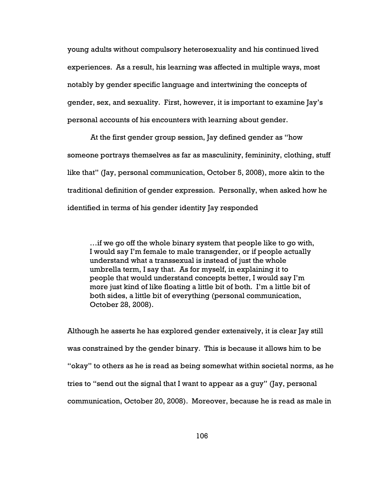young adults without compulsory heterosexuality and his continued lived experiences. As a result, his learning was affected in multiple ways, most notably by gender specific language and intertwining the concepts of gender, sex, and sexuality. First, however, it is important to examine Jay's personal accounts of his encounters with learning about gender.

At the first gender group session, Jay defined gender as "how someone portrays themselves as far as masculinity, femininity, clothing, stuff like that" (Jay, personal communication, October 5, 2008), more akin to the traditional definition of gender expression. Personally, when asked how he identified in terms of his gender identity Jay responded

…if we go off the whole binary system that people like to go with, I would say I'm female to male transgender, or if people actually understand what a transsexual is instead of just the whole umbrella term, I say that. As for myself, in explaining it to people that would understand concepts better, I would say I'm more just kind of like floating a little bit of both. I'm a little bit of both sides, a little bit of everything (personal communication, October 28, 2008).

Although he asserts he has explored gender extensively, it is clear Jay still was constrained by the gender binary. This is because it allows him to be "okay" to others as he is read as being somewhat within societal norms, as he tries to "send out the signal that I want to appear as a guy" (Jay, personal communication, October 20, 2008). Moreover, because he is read as male in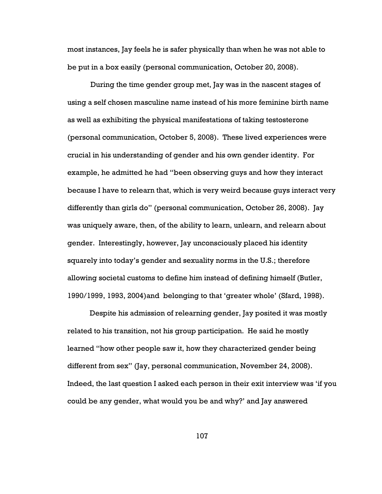most instances, Jay feels he is safer physically than when he was not able to be put in a box easily (personal communication, October 20, 2008).

During the time gender group met, Jay was in the nascent stages of using a self chosen masculine name instead of his more feminine birth name as well as exhibiting the physical manifestations of taking testosterone (personal communication, October 5, 2008). These lived experiences were crucial in his understanding of gender and his own gender identity. For example, he admitted he had "been observing guys and how they interact because I have to relearn that, which is very weird because guys interact very differently than girls do" (personal communication, October 26, 2008). Jay was uniquely aware, then, of the ability to learn, unlearn, and relearn about gender. Interestingly, however, Jay unconsciously placed his identity squarely into today's gender and sexuality norms in the U.S.; therefore allowing societal customs to define him instead of defining himself (Butler, 1990/1999, 1993, 2004)and belonging to that 'greater whole' (Sfard, 1998).

Despite his admission of relearning gender, Jay posited it was mostly related to his transition, not his group participation. He said he mostly learned "how other people saw it, how they characterized gender being different from sex" (Jay, personal communication, November 24, 2008). Indeed, the last question I asked each person in their exit interview was 'if you could be any gender, what would you be and why?' and Jay answered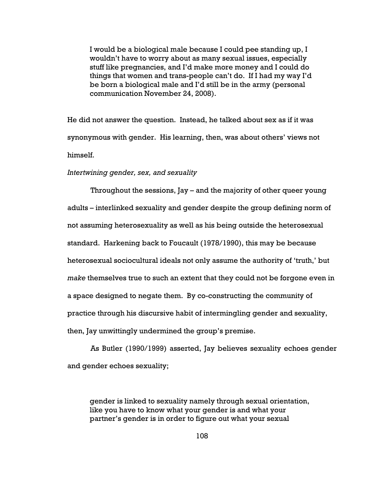I would be a biological male because I could pee standing up, I wouldn't have to worry about as many sexual issues, especially stuff like pregnancies, and I'd make more money and I could do things that women and trans-people can't do. If I had my way I'd be born a biological male and I'd still be in the army (personal communication November 24, 2008).

He did not answer the question. Instead, he talked about sex as if it was synonymous with gender. His learning, then, was about others' views not himself.

Intertwining gender, sex, and sexuality

Throughout the sessions, Jay – and the majority of other queer young adults – interlinked sexuality and gender despite the group defining norm of not assuming heterosexuality as well as his being outside the heterosexual standard. Harkening back to Foucault (1978/1990), this may be because heterosexual sociocultural ideals not only assume the authority of 'truth,' but make themselves true to such an extent that they could not be forgone even in a space designed to negate them. By co-constructing the community of practice through his discursive habit of intermingling gender and sexuality, then, Jay unwittingly undermined the group's premise.

As Butler (1990/1999) asserted, Jay believes sexuality echoes gender and gender echoes sexuality;

gender is linked to sexuality namely through sexual orientation, like you have to know what your gender is and what your partner's gender is in order to figure out what your sexual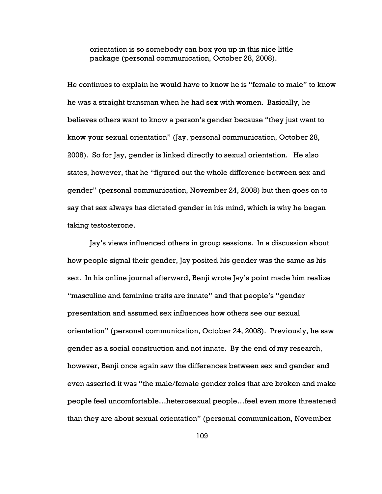orientation is so somebody can box you up in this nice little package (personal communication, October 28, 2008).

He continues to explain he would have to know he is "female to male" to know he was a straight transman when he had sex with women. Basically, he believes others want to know a person's gender because "they just want to know your sexual orientation" (Jay, personal communication, October 28, 2008). So for Jay, gender is linked directly to sexual orientation. He also states, however, that he "figured out the whole difference between sex and gender" (personal communication, November 24, 2008) but then goes on to say that sex always has dictated gender in his mind, which is why he began taking testosterone.

Jay's views influenced others in group sessions. In a discussion about how people signal their gender, Jay posited his gender was the same as his sex. In his online journal afterward, Benji wrote Jay's point made him realize "masculine and feminine traits are innate" and that people's "gender presentation and assumed sex influences how others see our sexual orientation" (personal communication, October 24, 2008). Previously, he saw gender as a social construction and not innate. By the end of my research, however, Benji once again saw the differences between sex and gender and even asserted it was "the male/female gender roles that are broken and make people feel uncomfortable…heterosexual people…feel even more threatened than they are about sexual orientation" (personal communication, November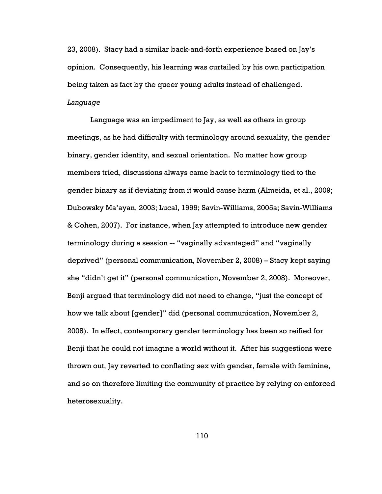23, 2008). Stacy had a similar back-and-forth experience based on Jay's opinion. Consequently, his learning was curtailed by his own participation being taken as fact by the queer young adults instead of challenged. Language

Language was an impediment to Jay, as well as others in group meetings, as he had difficulty with terminology around sexuality, the gender binary, gender identity, and sexual orientation. No matter how group members tried, discussions always came back to terminology tied to the gender binary as if deviating from it would cause harm (Almeida, et al., 2009; Dubowsky Ma'ayan, 2003; Lucal, 1999; Savin-Williams, 2005a; Savin-Williams & Cohen, 2007). For instance, when Jay attempted to introduce new gender terminology during a session -- "vaginally advantaged" and "vaginally deprived" (personal communication, November 2, 2008) – Stacy kept saying she "didn't get it" (personal communication, November 2, 2008). Moreover, Benji argued that terminology did not need to change, "just the concept of how we talk about [gender]" did (personal communication, November 2, 2008). In effect, contemporary gender terminology has been so reified for Benji that he could not imagine a world without it. After his suggestions were thrown out, Jay reverted to conflating sex with gender, female with feminine, and so on therefore limiting the community of practice by relying on enforced heterosexuality.

110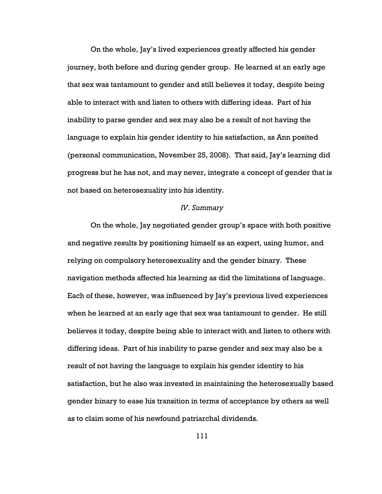On the whole, Jay's lived experiences greatly affected his gender journey, both before and during gender group. He learned at an early age that sex was tantamount to gender and still believes it today, despite being able to interact with and listen to others with differing ideas. Part of his inability to parse gender and sex may also be a result of not having the language to explain his gender identity to his satisfaction, as Ann posited (personal communication, November 25, 2008). That said, Jay's learning did progress but he has not, and may never, integrate a concept of gender that is not based on heterosexuality into his identity.

### IV. Summary

On the whole, Jay negotiated gender group's space with both positive and negative results by positioning himself as an expert, using humor, and relying on compulsory heterosexuality and the gender binary. These navigation methods affected his learning as did the limitations of language. Each of these, however, was influenced by Jay's previous lived experiences when he learned at an early age that sex was tantamount to gender. He still believes it today, despite being able to interact with and listen to others with differing ideas. Part of his inability to parse gender and sex may also be a result of not having the language to explain his gender identity to his satisfaction, but he also was invested in maintaining the heterosexually based gender binary to ease his transition in terms of acceptance by others as well as to claim some of his newfound patriarchal dividends.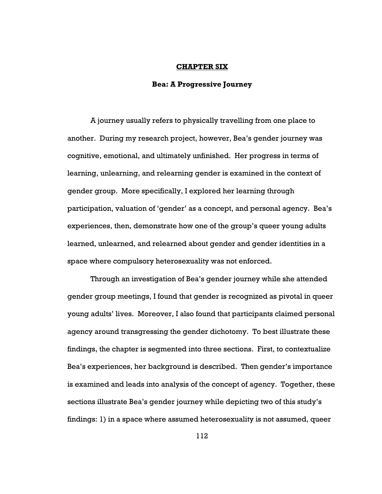## CHAPTER SIX

## Bea: A Progressive Journey

A journey usually refers to physically travelling from one place to another. During my research project, however, Bea's gender journey was cognitive, emotional, and ultimately unfinished. Her progress in terms of learning, unlearning, and relearning gender is examined in the context of gender group. More specifically, I explored her learning through participation, valuation of 'gender' as a concept, and personal agency. Bea's experiences, then, demonstrate how one of the group's queer young adults learned, unlearned, and relearned about gender and gender identities in a space where compulsory heterosexuality was not enforced.

Through an investigation of Bea's gender journey while she attended gender group meetings, I found that gender is recognized as pivotal in queer young adults' lives. Moreover, I also found that participants claimed personal agency around transgressing the gender dichotomy. To best illustrate these findings, the chapter is segmented into three sections. First, to contextualize Bea's experiences, her background is described. Then gender's importance is examined and leads into analysis of the concept of agency. Together, these sections illustrate Bea's gender journey while depicting two of this study's findings: 1) in a space where assumed heterosexuality is not assumed, queer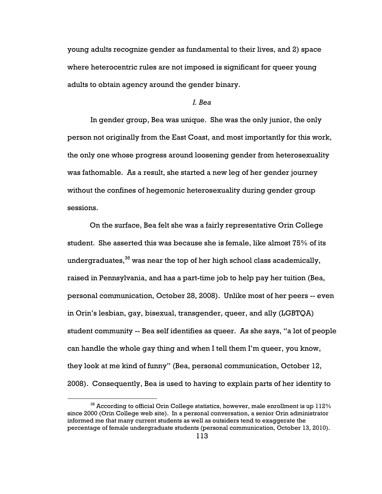young adults recognize gender as fundamental to their lives, and 2) space where heterocentric rules are not imposed is significant for queer young adults to obtain agency around the gender binary.

#### I. Bea

In gender group, Bea was unique. She was the only junior, the only person not originally from the East Coast, and most importantly for this work, the only one whose progress around loosening gender from heterosexuality was fathomable. As a result, she started a new leg of her gender journey without the confines of hegemonic heterosexuality during gender group sessions.

On the surface, Bea felt she was a fairly representative Orin College student. She asserted this was because she is female, like almost 75% of its undergraduates,  $36$  was near the top of her high school class academically, raised in Pennsylvania, and has a part-time job to help pay her tuition (Bea, personal communication, October 28, 2008). Unlike most of her peers -- even in Orin's lesbian, gay, bisexual, transgender, queer, and ally (LGBTQA) student community -- Bea self identifies as queer. As she says, "a lot of people can handle the whole gay thing and when I tell them I'm queer, you know, they look at me kind of funny" (Bea, personal communication, October 12, 2008). Consequently, Bea is used to having to explain parts of her identity to

 $36$  According to official Orin College statistics, however, male enrollment is up 112% since 2000 (Orin College web site). In a personal conversation, a senior Orin administrator informed me that many current students as well as outsiders tend to exaggerate the percentage of female undergraduate students (personal communication, October 13, 2010).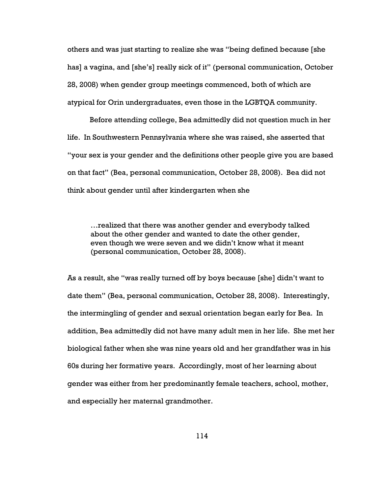others and was just starting to realize she was "being defined because [she has] a vagina, and [she's] really sick of it" (personal communication, October 28, 2008) when gender group meetings commenced, both of which are atypical for Orin undergraduates, even those in the LGBTQA community.

Before attending college, Bea admittedly did not question much in her life. In Southwestern Pennsylvania where she was raised, she asserted that "your sex is your gender and the definitions other people give you are based on that fact" (Bea, personal communication, October 28, 2008). Bea did not think about gender until after kindergarten when she

…realized that there was another gender and everybody talked about the other gender and wanted to date the other gender, even though we were seven and we didn't know what it meant (personal communication, October 28, 2008).

As a result, she "was really turned off by boys because [she] didn't want to date them" (Bea, personal communication, October 28, 2008). Interestingly, the intermingling of gender and sexual orientation began early for Bea. In addition, Bea admittedly did not have many adult men in her life. She met her biological father when she was nine years old and her grandfather was in his 60s during her formative years. Accordingly, most of her learning about gender was either from her predominantly female teachers, school, mother, and especially her maternal grandmother.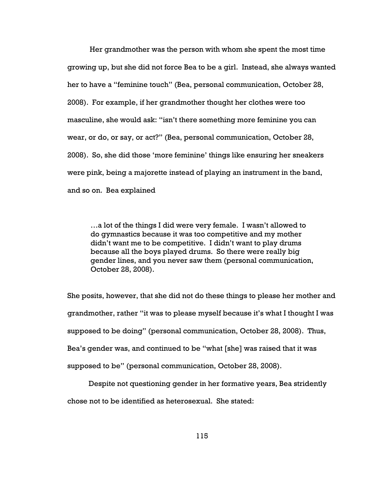Her grandmother was the person with whom she spent the most time growing up, but she did not force Bea to be a girl. Instead, she always wanted her to have a "feminine touch" (Bea, personal communication, October 28, 2008). For example, if her grandmother thought her clothes were too masculine, she would ask: "isn't there something more feminine you can wear, or do, or say, or act?" (Bea, personal communication, October 28, 2008). So, she did those 'more feminine' things like ensuring her sneakers were pink, being a majorette instead of playing an instrument in the band, and so on. Bea explained

…a lot of the things I did were very female. I wasn't allowed to do gymnastics because it was too competitive and my mother didn't want me to be competitive. I didn't want to play drums because all the boys played drums. So there were really big gender lines, and you never saw them (personal communication, October 28, 2008).

She posits, however, that she did not do these things to please her mother and grandmother, rather "it was to please myself because it's what I thought I was supposed to be doing" (personal communication, October 28, 2008). Thus, Bea's gender was, and continued to be "what [she] was raised that it was supposed to be" (personal communication, October 28, 2008).

Despite not questioning gender in her formative years, Bea stridently chose not to be identified as heterosexual. She stated: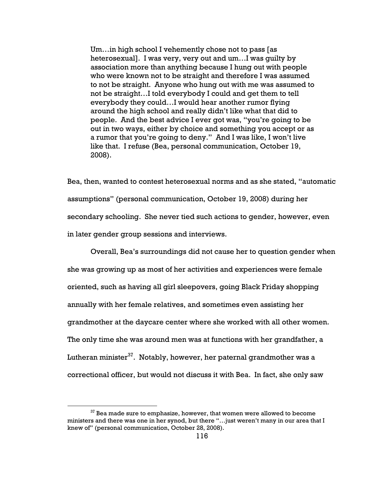Um…in high school I vehemently chose not to pass [as heterosexual]. I was very, very out and um…I was guilty by association more than anything because I hung out with people who were known not to be straight and therefore I was assumed to not be straight. Anyone who hung out with me was assumed to not be straight…I told everybody I could and get them to tell everybody they could…I would hear another rumor flying around the high school and really didn't like what that did to people. And the best advice I ever got was, "you're going to be out in two ways, either by choice and something you accept or as a rumor that you're going to deny." And I was like, I won't live like that. I refuse (Bea, personal communication, October 19, 2008).

Bea, then, wanted to contest heterosexual norms and as she stated, "automatic assumptions" (personal communication, October 19, 2008) during her secondary schooling. She never tied such actions to gender, however, even in later gender group sessions and interviews.

Overall, Bea's surroundings did not cause her to question gender when she was growing up as most of her activities and experiences were female oriented, such as having all girl sleepovers, going Black Friday shopping annually with her female relatives, and sometimes even assisting her grandmother at the daycare center where she worked with all other women. The only time she was around men was at functions with her grandfather, a Lutheran minister $37$ . Notably, however, her paternal grandmother was a correctional officer, but would not discuss it with Bea. In fact, she only saw

 $37$  Bea made sure to emphasize, however, that women were allowed to become ministers and there was one in her synod, but there "…just weren't many in our area that I knew of" (personal communication, October 28, 2008).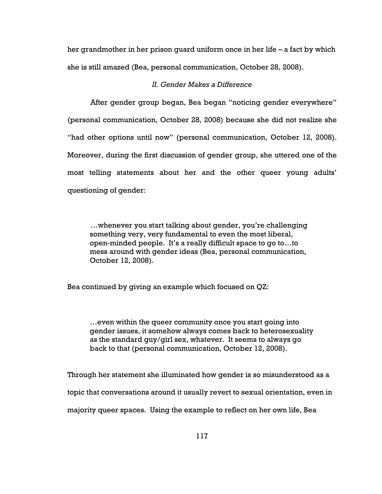her grandmother in her prison guard uniform once in her life – a fact by which she is still amazed (Bea, personal communication, October 28, 2008).

# II. Gender Makes a Difference

After gender group began, Bea began "noticing gender everywhere" (personal communication, October 28, 2008) because she did not realize she "had other options until now" (personal communication, October 12, 2008). Moreover, during the first discussion of gender group, she uttered one of the most telling statements about her and the other queer young adults' questioning of gender:

…whenever you start talking about gender, you're challenging something very, very fundamental to even the most liberal, open-minded people. It's a really difficult space to go to…to mess around with gender ideas (Bea, personal communication, October 12, 2008).

Bea continued by giving an example which focused on QZ:

…even within the queer community once you start going into gender issues, it somehow always comes back to heterosexuality as the standard guy/girl sex, whatever. It seems to always go back to that (personal communication, October 12, 2008).

Through her statement she illuminated how gender is so misunderstood as a topic that conversations around it usually revert to sexual orientation, even in majority queer spaces. Using the example to reflect on her own life, Bea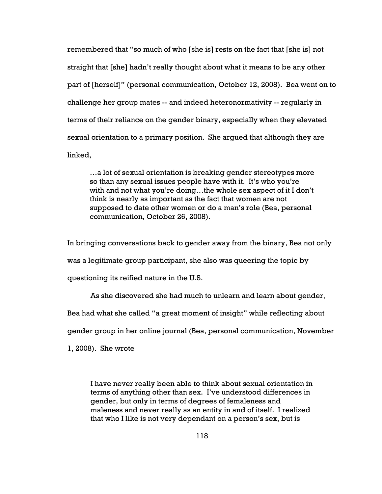remembered that "so much of who [she is] rests on the fact that [she is] not straight that [she] hadn't really thought about what it means to be any other part of [herself]" (personal communication, October 12, 2008). Bea went on to challenge her group mates -- and indeed heteronormativity -- regularly in terms of their reliance on the gender binary, especially when they elevated sexual orientation to a primary position. She argued that although they are linked,

…a lot of sexual orientation is breaking gender stereotypes more so than any sexual issues people have with it. It's who you're with and not what you're doing…the whole sex aspect of it I don't think is nearly as important as the fact that women are not supposed to date other women or do a man's role (Bea, personal communication, October 26, 2008).

In bringing conversations back to gender away from the binary, Bea not only

was a legitimate group participant, she also was queering the topic by

questioning its reified nature in the U.S.

As she discovered she had much to unlearn and learn about gender,

Bea had what she called "a great moment of insight" while reflecting about

gender group in her online journal (Bea, personal communication, November

1, 2008). She wrote

I have never really been able to think about sexual orientation in terms of anything other than sex. I've understood differences in gender, but only in terms of degrees of femaleness and maleness and never really as an entity in and of itself. I realized that who I like is not very dependant on a person's sex, but is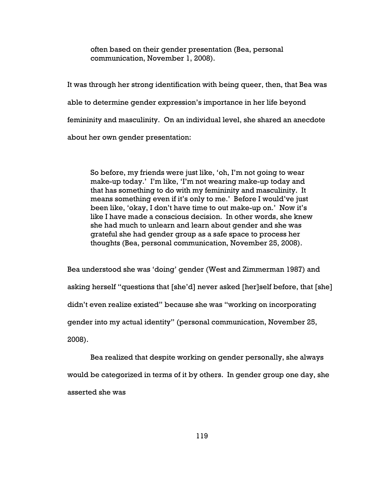often based on their gender presentation (Bea, personal communication, November 1, 2008).

It was through her strong identification with being queer, then, that Bea was able to determine gender expression's importance in her life beyond femininity and masculinity. On an individual level, she shared an anecdote about her own gender presentation:

So before, my friends were just like, 'oh, I'm not going to wear make-up today.' I'm like, 'I'm not wearing make-up today and that has something to do with my femininity and masculinity. It means something even if it's only to me.' Before I would've just been like, 'okay, I don't have time to out make-up on.' Now it's like I have made a conscious decision. In other words, she knew she had much to unlearn and learn about gender and she was grateful she had gender group as a safe space to process her thoughts (Bea, personal communication, November 25, 2008).

Bea understood she was 'doing' gender (West and Zimmerman 1987) and asking herself "questions that [she'd] never asked [her]self before, that [she] didn't even realize existed" because she was "working on incorporating gender into my actual identity" (personal communication, November 25, 2008).

Bea realized that despite working on gender personally, she always would be categorized in terms of it by others. In gender group one day, she asserted she was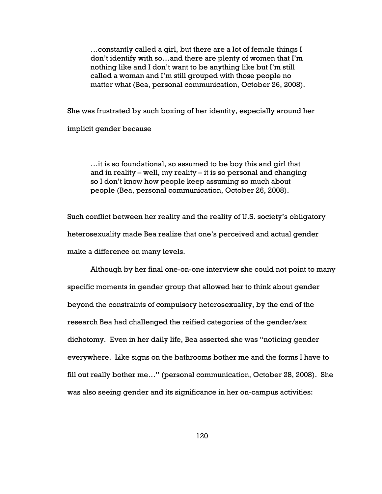…constantly called a girl, but there are a lot of female things I don't identify with so…and there are plenty of women that I'm nothing like and I don't want to be anything like but I'm still called a woman and I'm still grouped with those people no matter what (Bea, personal communication, October 26, 2008).

She was frustrated by such boxing of her identity, especially around her implicit gender because

…it is so foundational, so assumed to be boy this and girl that and in reality – well, my reality – it is so personal and changing so I don't know how people keep assuming so much about people (Bea, personal communication, October 26, 2008).

Such conflict between her reality and the reality of U.S. society's obligatory heterosexuality made Bea realize that one's perceived and actual gender make a difference on many levels.

Although by her final one-on-one interview she could not point to many specific moments in gender group that allowed her to think about gender beyond the constraints of compulsory heterosexuality, by the end of the research Bea had challenged the reified categories of the gender/sex dichotomy. Even in her daily life, Bea asserted she was "noticing gender everywhere. Like signs on the bathrooms bother me and the forms I have to fill out really bother me…" (personal communication, October 28, 2008). She was also seeing gender and its significance in her on-campus activities: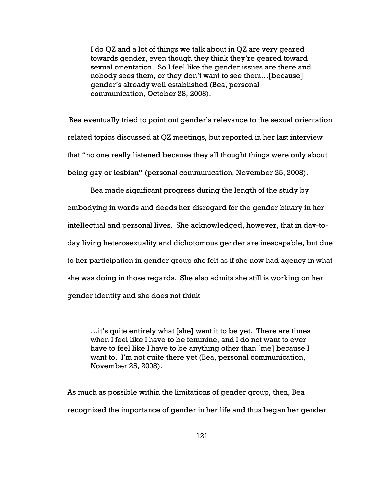I do QZ and a lot of things we talk about in QZ are very geared towards gender, even though they think they're geared toward sexual orientation. So I feel like the gender issues are there and nobody sees them, or they don't want to see them…[because] gender's already well established (Bea, personal communication, October 28, 2008).

 Bea eventually tried to point out gender's relevance to the sexual orientation related topics discussed at QZ meetings, but reported in her last interview that "no one really listened because they all thought things were only about being gay or lesbian" (personal communication, November 25, 2008).

Bea made significant progress during the length of the study by embodying in words and deeds her disregard for the gender binary in her intellectual and personal lives. She acknowledged, however, that in day-today living heterosexuality and dichotomous gender are inescapable, but due to her participation in gender group she felt as if she now had agency in what she was doing in those regards. She also admits she still is working on her gender identity and she does not think

…it's quite entirely what [she] want it to be yet. There are times when I feel like I have to be feminine, and I do not want to ever have to feel like I have to be anything other than [me] because I want to. I'm not quite there yet (Bea, personal communication, November 25, 2008).

As much as possible within the limitations of gender group, then, Bea recognized the importance of gender in her life and thus began her gender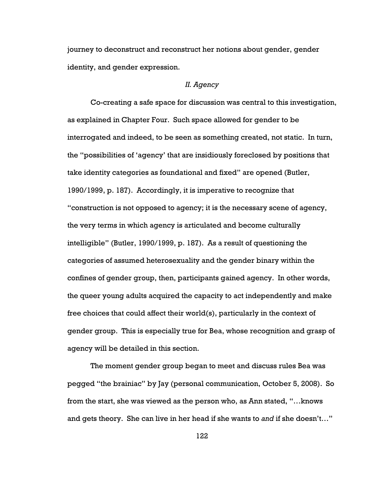journey to deconstruct and reconstruct her notions about gender, gender identity, and gender expression.

# II. Agency

Co-creating a safe space for discussion was central to this investigation, as explained in Chapter Four. Such space allowed for gender to be interrogated and indeed, to be seen as something created, not static. In turn, the "possibilities of 'agency' that are insidiously foreclosed by positions that take identity categories as foundational and fixed" are opened (Butler, 1990/1999, p. 187). Accordingly, it is imperative to recognize that "construction is not opposed to agency; it is the necessary scene of agency, the very terms in which agency is articulated and become culturally intelligible" (Butler, 1990/1999, p. 187). As a result of questioning the categories of assumed heterosexuality and the gender binary within the confines of gender group, then, participants gained agency. In other words, the queer young adults acquired the capacity to act independently and make free choices that could affect their world(s), particularly in the context of gender group. This is especially true for Bea, whose recognition and grasp of agency will be detailed in this section.

The moment gender group began to meet and discuss rules Bea was pegged "the brainiac" by Jay (personal communication, October 5, 2008). So from the start, she was viewed as the person who, as Ann stated, "…knows and gets theory. She can live in her head if she wants to and if she doesn't…"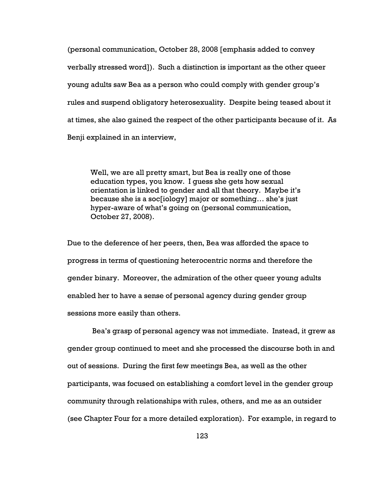(personal communication, October 28, 2008 [emphasis added to convey verbally stressed word]). Such a distinction is important as the other queer young adults saw Bea as a person who could comply with gender group's rules and suspend obligatory heterosexuality. Despite being teased about it at times, she also gained the respect of the other participants because of it. As Benji explained in an interview,

Well, we are all pretty smart, but Bea is really one of those education types, you know. I guess she gets how sexual orientation is linked to gender and all that theory. Maybe it's because she is a soc[iology] major or something… she's just hyper-aware of what's going on (personal communication, October 27, 2008).

Due to the deference of her peers, then, Bea was afforded the space to progress in terms of questioning heterocentric norms and therefore the gender binary. Moreover, the admiration of the other queer young adults enabled her to have a sense of personal agency during gender group sessions more easily than others.

 Bea's grasp of personal agency was not immediate. Instead, it grew as gender group continued to meet and she processed the discourse both in and out of sessions. During the first few meetings Bea, as well as the other participants, was focused on establishing a comfort level in the gender group community through relationships with rules, others, and me as an outsider (see Chapter Four for a more detailed exploration). For example, in regard to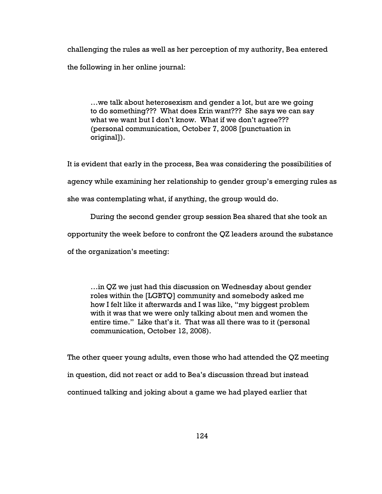challenging the rules as well as her perception of my authority, Bea entered the following in her online journal:

…we talk about heterosexism and gender a lot, but are we going to do something??? What does Erin want??? She says we can say what we want but I don't know. What if we don't agree??? (personal communication, October 7, 2008 [punctuation in original]).

It is evident that early in the process, Bea was considering the possibilities of agency while examining her relationship to gender group's emerging rules as

she was contemplating what, if anything, the group would do.

During the second gender group session Bea shared that she took an

opportunity the week before to confront the QZ leaders around the substance

of the organization's meeting:

…in QZ we just had this discussion on Wednesday about gender roles within the [LGBTQ] community and somebody asked me how I felt like it afterwards and I was like, "my biggest problem with it was that we were only talking about men and women the entire time." Like that's it. That was all there was to it (personal communication, October 12, 2008).

The other queer young adults, even those who had attended the QZ meeting in question, did not react or add to Bea's discussion thread but instead continued talking and joking about a game we had played earlier that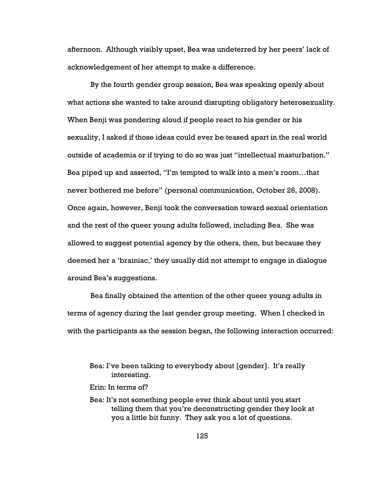afternoon. Although visibly upset, Bea was undeterred by her peers' lack of acknowledgement of her attempt to make a difference.

By the fourth gender group session, Bea was speaking openly about what actions she wanted to take around disrupting obligatory heterosexuality. When Benji was pondering aloud if people react to his gender or his sexuality, I asked if those ideas could ever be teased apart in the real world outside of academia or if trying to do so was just "intellectual masturbation." Bea piped up and asserted, "I'm tempted to walk into a men's room…that never bothered me before" (personal communication, October 26, 2008). Once again, however, Benji took the conversation toward sexual orientation and the rest of the queer young adults followed, including Bea. She was allowed to suggest potential agency by the others, then, but because they deemed her a 'brainiac,' they usually did not attempt to engage in dialogue around Bea's suggestions.

Bea finally obtained the attention of the other queer young adults in terms of agency during the last gender group meeting. When I checked in with the participants as the session began, the following interaction occurred:

Bea: I've been talking to everybody about [gender]. It's really interesting.

Erin: In terms of?

Bea: It's not something people ever think about until you start telling them that you're deconstructing gender they look at you a little bit funny. They ask you a lot of questions.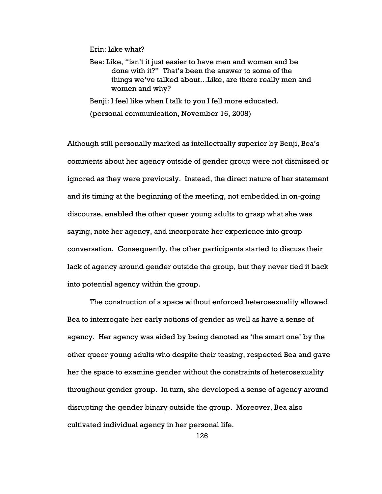Erin: Like what?

Bea: Like, "isn't it just easier to have men and women and be done with it?" That's been the answer to some of the things we've talked about…Like, are there really men and women and why?

Benji: I feel like when I talk to you I fell more educated. (personal communication, November 16, 2008)

Although still personally marked as intellectually superior by Benji, Bea's comments about her agency outside of gender group were not dismissed or ignored as they were previously. Instead, the direct nature of her statement and its timing at the beginning of the meeting, not embedded in on-going discourse, enabled the other queer young adults to grasp what she was saying, note her agency, and incorporate her experience into group conversation. Consequently, the other participants started to discuss their lack of agency around gender outside the group, but they never tied it back into potential agency within the group.

The construction of a space without enforced heterosexuality allowed Bea to interrogate her early notions of gender as well as have a sense of agency. Her agency was aided by being denoted as 'the smart one' by the other queer young adults who despite their teasing, respected Bea and gave her the space to examine gender without the constraints of heterosexuality throughout gender group. In turn, she developed a sense of agency around disrupting the gender binary outside the group. Moreover, Bea also cultivated individual agency in her personal life.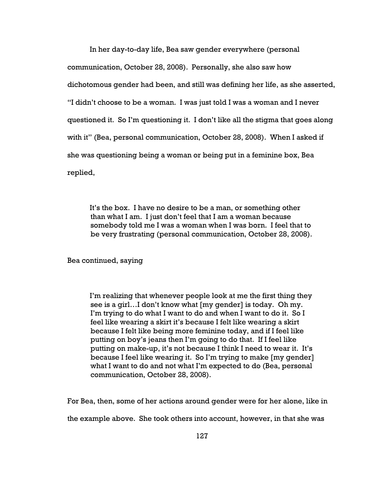In her day-to-day life, Bea saw gender everywhere (personal communication, October 28, 2008). Personally, she also saw how dichotomous gender had been, and still was defining her life, as she asserted, "I didn't choose to be a woman. I was just told I was a woman and I never questioned it. So I'm questioning it. I don't like all the stigma that goes along with it" (Bea, personal communication, October 28, 2008). When I asked if she was questioning being a woman or being put in a feminine box, Bea replied,

It's the box. I have no desire to be a man, or something other than what I am. I just don't feel that I am a woman because somebody told me I was a woman when I was born. I feel that to be very frustrating (personal communication, October 28, 2008).

Bea continued, saying

I'm realizing that whenever people look at me the first thing they see is a girl…I don't know what [my gender] is today. Oh my. I'm trying to do what I want to do and when I want to do it. So I feel like wearing a skirt it's because I felt like wearing a skirt because I felt like being more feminine today, and if I feel like putting on boy's jeans then I'm going to do that. If I feel like putting on make-up, it's not because I think I need to wear it. It's because I feel like wearing it. So I'm trying to make [my gender] what I want to do and not what I'm expected to do (Bea, personal communication, October 28, 2008).

For Bea, then, some of her actions around gender were for her alone, like in the example above. She took others into account, however, in that she was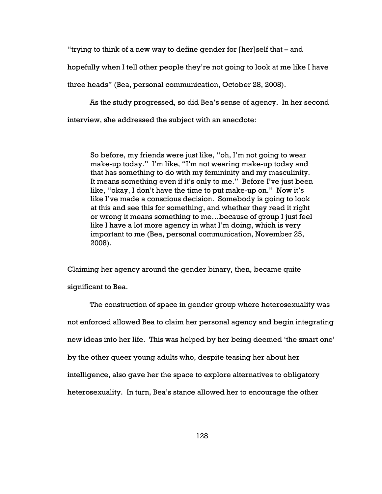"trying to think of a new way to define gender for [her]self that – and

hopefully when I tell other people they're not going to look at me like I have

three heads" (Bea, personal communication, October 28, 2008).

As the study progressed, so did Bea's sense of agency. In her second interview, she addressed the subject with an anecdote:

So before, my friends were just like, "oh, I'm not going to wear make-up today." I'm like, "I'm not wearing make-up today and that has something to do with my femininity and my masculinity. It means something even if it's only to me." Before I've just been like, "okay, I don't have the time to put make-up on." Now it's like I've made a conscious decision. Somebody is going to look at this and see this for something, and whether they read it right or wrong it means something to me…because of group I just feel like I have a lot more agency in what I'm doing, which is very important to me (Bea, personal communication, November 25, 2008).

Claiming her agency around the gender binary, then, became quite significant to Bea.

The construction of space in gender group where heterosexuality was not enforced allowed Bea to claim her personal agency and begin integrating new ideas into her life. This was helped by her being deemed 'the smart one' by the other queer young adults who, despite teasing her about her intelligence, also gave her the space to explore alternatives to obligatory heterosexuality. In turn, Bea's stance allowed her to encourage the other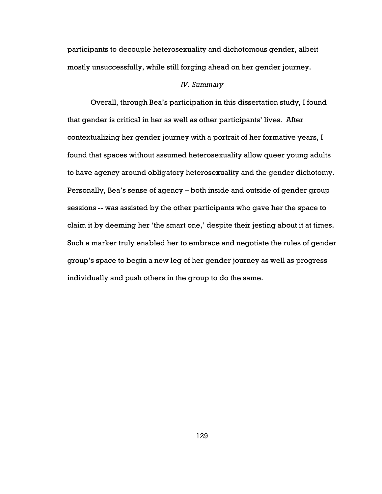participants to decouple heterosexuality and dichotomous gender, albeit mostly unsuccessfully, while still forging ahead on her gender journey.

## IV. Summary

Overall, through Bea's participation in this dissertation study, I found that gender is critical in her as well as other participants' lives. After contextualizing her gender journey with a portrait of her formative years, I found that spaces without assumed heterosexuality allow queer young adults to have agency around obligatory heterosexuality and the gender dichotomy. Personally, Bea's sense of agency – both inside and outside of gender group sessions -- was assisted by the other participants who gave her the space to claim it by deeming her 'the smart one,' despite their jesting about it at times. Such a marker truly enabled her to embrace and negotiate the rules of gender group's space to begin a new leg of her gender journey as well as progress individually and push others in the group to do the same.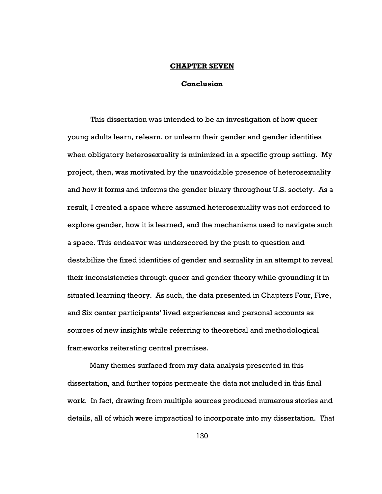## CHAPTER SEVEN

## Conclusion

This dissertation was intended to be an investigation of how queer young adults learn, relearn, or unlearn their gender and gender identities when obligatory heterosexuality is minimized in a specific group setting. My project, then, was motivated by the unavoidable presence of heterosexuality and how it forms and informs the gender binary throughout U.S. society. As a result, I created a space where assumed heterosexuality was not enforced to explore gender, how it is learned, and the mechanisms used to navigate such a space. This endeavor was underscored by the push to question and destabilize the fixed identities of gender and sexuality in an attempt to reveal their inconsistencies through queer and gender theory while grounding it in situated learning theory. As such, the data presented in Chapters Four, Five, and Six center participants' lived experiences and personal accounts as sources of new insights while referring to theoretical and methodological frameworks reiterating central premises.

Many themes surfaced from my data analysis presented in this dissertation, and further topics permeate the data not included in this final work. In fact, drawing from multiple sources produced numerous stories and details, all of which were impractical to incorporate into my dissertation. That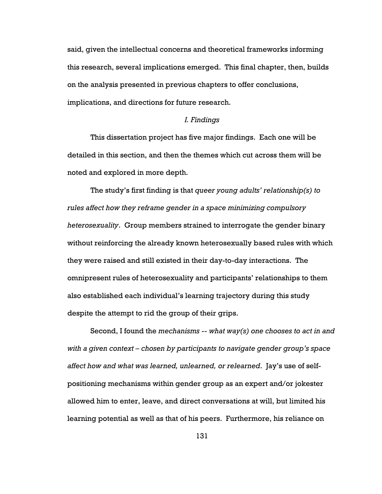said, given the intellectual concerns and theoretical frameworks informing this research, several implications emerged. This final chapter, then, builds on the analysis presented in previous chapters to offer conclusions, implications, and directions for future research.

## I. Findings

This dissertation project has five major findings. Each one will be detailed in this section, and then the themes which cut across them will be noted and explored in more depth.

The study's first finding is that queer young adults' relationship(s) to rules affect how they reframe gender in a space minimizing compulsory heterosexuality. Group members strained to interrogate the gender binary without reinforcing the already known heterosexually based rules with which they were raised and still existed in their day-to-day interactions. The omnipresent rules of heterosexuality and participants' relationships to them also established each individual's learning trajectory during this study despite the attempt to rid the group of their grips.

Second, I found the mechanisms  $-$  what way(s) one chooses to act in and with a given context – chosen by participants to navigate gender group's space affect how and what was learned, unlearned, or relearned. Jay's use of selfpositioning mechanisms within gender group as an expert and/or jokester allowed him to enter, leave, and direct conversations at will, but limited his learning potential as well as that of his peers. Furthermore, his reliance on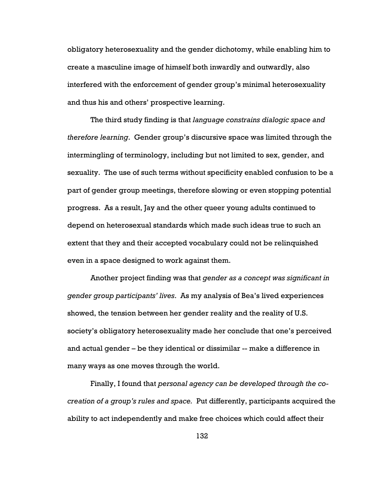obligatory heterosexuality and the gender dichotomy, while enabling him to create a masculine image of himself both inwardly and outwardly, also interfered with the enforcement of gender group's minimal heterosexuality and thus his and others' prospective learning.

The third study finding is that language constrains dialogic space and therefore learning. Gender group's discursive space was limited through the intermingling of terminology, including but not limited to sex, gender, and sexuality. The use of such terms without specificity enabled confusion to be a part of gender group meetings, therefore slowing or even stopping potential progress. As a result, Jay and the other queer young adults continued to depend on heterosexual standards which made such ideas true to such an extent that they and their accepted vocabulary could not be relinquished even in a space designed to work against them.

Another project finding was that gender as a concept was significant in gender group participants' lives. As my analysis of Bea's lived experiences showed, the tension between her gender reality and the reality of U.S. society's obligatory heterosexuality made her conclude that one's perceived and actual gender – be they identical or dissimilar -- make a difference in many ways as one moves through the world.

Finally, I found that personal agency can be developed through the cocreation of a group's rules and space. Put differently, participants acquired the ability to act independently and make free choices which could affect their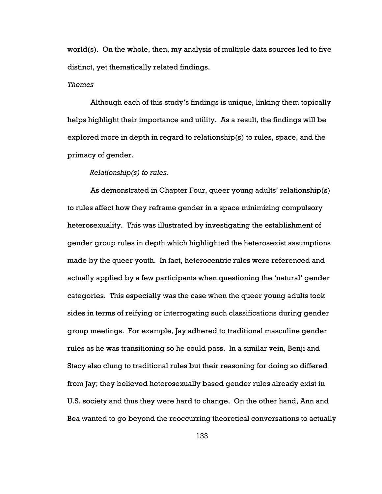world(s). On the whole, then, my analysis of multiple data sources led to five distinct, yet thematically related findings.

#### Themes

Although each of this study's findings is unique, linking them topically helps highlight their importance and utility. As a result, the findings will be explored more in depth in regard to relationship(s) to rules, space, and the primacy of gender.

## Relationship(s) to rules.

As demonstrated in Chapter Four, queer young adults' relationship(s) to rules affect how they reframe gender in a space minimizing compulsory heterosexuality. This was illustrated by investigating the establishment of gender group rules in depth which highlighted the heterosexist assumptions made by the queer youth. In fact, heterocentric rules were referenced and actually applied by a few participants when questioning the 'natural' gender categories. This especially was the case when the queer young adults took sides in terms of reifying or interrogating such classifications during gender group meetings. For example, Jay adhered to traditional masculine gender rules as he was transitioning so he could pass. In a similar vein, Benji and Stacy also clung to traditional rules but their reasoning for doing so differed from Jay; they believed heterosexually based gender rules already exist in U.S. society and thus they were hard to change. On the other hand, Ann and Bea wanted to go beyond the reoccurring theoretical conversations to actually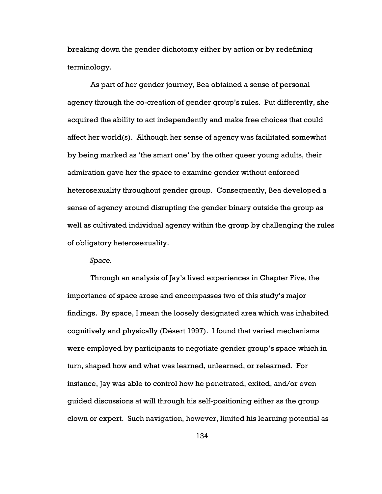breaking down the gender dichotomy either by action or by redefining terminology.

As part of her gender journey, Bea obtained a sense of personal agency through the co-creation of gender group's rules. Put differently, she acquired the ability to act independently and make free choices that could affect her world(s). Although her sense of agency was facilitated somewhat by being marked as 'the smart one' by the other queer young adults, their admiration gave her the space to examine gender without enforced heterosexuality throughout gender group. Consequently, Bea developed a sense of agency around disrupting the gender binary outside the group as well as cultivated individual agency within the group by challenging the rules of obligatory heterosexuality.

## Space.

Through an analysis of Jay's lived experiences in Chapter Five, the importance of space arose and encompasses two of this study's major findings. By space, I mean the loosely designated area which was inhabited cognitively and physically (Désert 1997). I found that varied mechanisms were employed by participants to negotiate gender group's space which in turn, shaped how and what was learned, unlearned, or relearned. For instance, Jay was able to control how he penetrated, exited, and/or even guided discussions at will through his self-positioning either as the group clown or expert. Such navigation, however, limited his learning potential as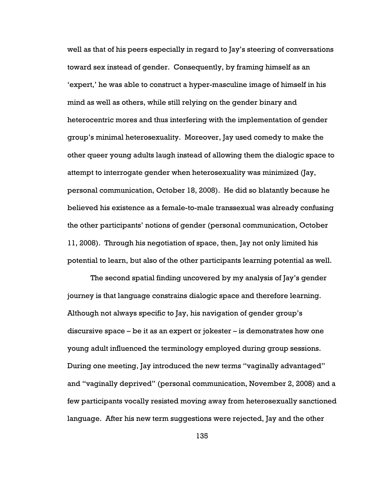well as that of his peers especially in regard to Jay's steering of conversations toward sex instead of gender. Consequently, by framing himself as an 'expert,' he was able to construct a hyper-masculine image of himself in his mind as well as others, while still relying on the gender binary and heterocentric mores and thus interfering with the implementation of gender group's minimal heterosexuality. Moreover, Jay used comedy to make the other queer young adults laugh instead of allowing them the dialogic space to attempt to interrogate gender when heterosexuality was minimized (Jay, personal communication, October 18, 2008). He did so blatantly because he believed his existence as a female-to-male transsexual was already confusing the other participants' notions of gender (personal communication, October 11, 2008). Through his negotiation of space, then, Jay not only limited his potential to learn, but also of the other participants learning potential as well.

The second spatial finding uncovered by my analysis of Jay's gender journey is that language constrains dialogic space and therefore learning. Although not always specific to Jay, his navigation of gender group's discursive space – be it as an expert or jokester – is demonstrates how one young adult influenced the terminology employed during group sessions. During one meeting, Jay introduced the new terms "vaginally advantaged" and "vaginally deprived" (personal communication, November 2, 2008) and a few participants vocally resisted moving away from heterosexually sanctioned language. After his new term suggestions were rejected, Jay and the other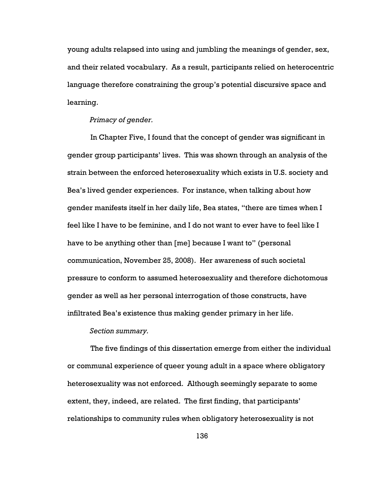young adults relapsed into using and jumbling the meanings of gender, sex, and their related vocabulary. As a result, participants relied on heterocentric language therefore constraining the group's potential discursive space and learning.

## Primacy of gender.

In Chapter Five, I found that the concept of gender was significant in gender group participants' lives. This was shown through an analysis of the strain between the enforced heterosexuality which exists in U.S. society and Bea's lived gender experiences. For instance, when talking about how gender manifests itself in her daily life, Bea states, "there are times when I feel like I have to be feminine, and I do not want to ever have to feel like I have to be anything other than [me] because I want to" (personal communication, November 25, 2008). Her awareness of such societal pressure to conform to assumed heterosexuality and therefore dichotomous gender as well as her personal interrogation of those constructs, have infiltrated Bea's existence thus making gender primary in her life.

Section summary.

The five findings of this dissertation emerge from either the individual or communal experience of queer young adult in a space where obligatory heterosexuality was not enforced. Although seemingly separate to some extent, they, indeed, are related. The first finding, that participants' relationships to community rules when obligatory heterosexuality is not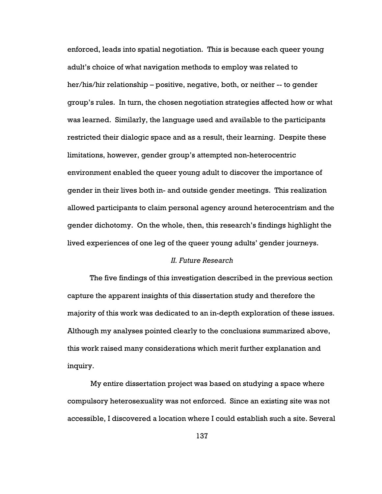enforced, leads into spatial negotiation. This is because each queer young adult's choice of what navigation methods to employ was related to her/his/hir relationship – positive, negative, both, or neither -- to gender group's rules. In turn, the chosen negotiation strategies affected how or what was learned. Similarly, the language used and available to the participants restricted their dialogic space and as a result, their learning. Despite these limitations, however, gender group's attempted non-heterocentric environment enabled the queer young adult to discover the importance of gender in their lives both in- and outside gender meetings. This realization allowed participants to claim personal agency around heterocentrism and the gender dichotomy. On the whole, then, this research's findings highlight the lived experiences of one leg of the queer young adults' gender journeys.

## II. Future Research

The five findings of this investigation described in the previous section capture the apparent insights of this dissertation study and therefore the majority of this work was dedicated to an in-depth exploration of these issues. Although my analyses pointed clearly to the conclusions summarized above, this work raised many considerations which merit further explanation and inquiry.

My entire dissertation project was based on studying a space where compulsory heterosexuality was not enforced. Since an existing site was not accessible, I discovered a location where I could establish such a site. Several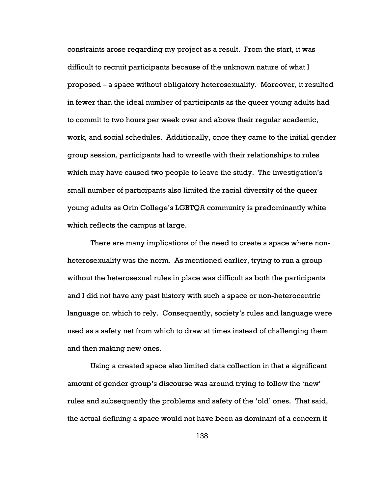constraints arose regarding my project as a result. From the start, it was difficult to recruit participants because of the unknown nature of what I proposed – a space without obligatory heterosexuality. Moreover, it resulted in fewer than the ideal number of participants as the queer young adults had to commit to two hours per week over and above their regular academic, work, and social schedules. Additionally, once they came to the initial gender group session, participants had to wrestle with their relationships to rules which may have caused two people to leave the study. The investigation's small number of participants also limited the racial diversity of the queer young adults as Orin College's LGBTQA community is predominantly white which reflects the campus at large.

There are many implications of the need to create a space where nonheterosexuality was the norm. As mentioned earlier, trying to run a group without the heterosexual rules in place was difficult as both the participants and I did not have any past history with such a space or non-heterocentric language on which to rely. Consequently, society's rules and language were used as a safety net from which to draw at times instead of challenging them and then making new ones.

Using a created space also limited data collection in that a significant amount of gender group's discourse was around trying to follow the 'new' rules and subsequently the problems and safety of the 'old' ones. That said, the actual defining a space would not have been as dominant of a concern if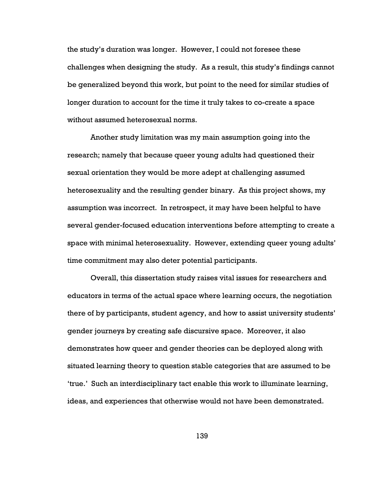the study's duration was longer. However, I could not foresee these challenges when designing the study. As a result, this study's findings cannot be generalized beyond this work, but point to the need for similar studies of longer duration to account for the time it truly takes to co-create a space without assumed heterosexual norms.

Another study limitation was my main assumption going into the research; namely that because queer young adults had questioned their sexual orientation they would be more adept at challenging assumed heterosexuality and the resulting gender binary. As this project shows, my assumption was incorrect. In retrospect, it may have been helpful to have several gender-focused education interventions before attempting to create a space with minimal heterosexuality. However, extending queer young adults' time commitment may also deter potential participants.

Overall, this dissertation study raises vital issues for researchers and educators in terms of the actual space where learning occurs, the negotiation there of by participants, student agency, and how to assist university students' gender journeys by creating safe discursive space. Moreover, it also demonstrates how queer and gender theories can be deployed along with situated learning theory to question stable categories that are assumed to be 'true.' Such an interdisciplinary tact enable this work to illuminate learning, ideas, and experiences that otherwise would not have been demonstrated.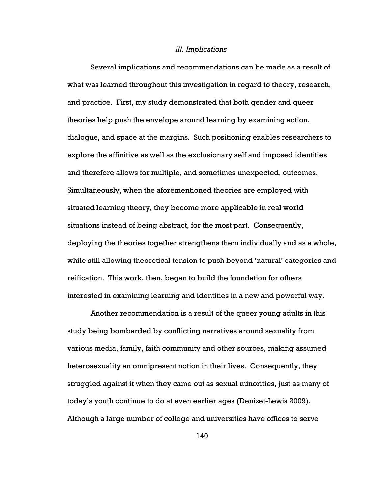#### III. Implications

Several implications and recommendations can be made as a result of what was learned throughout this investigation in regard to theory, research, and practice. First, my study demonstrated that both gender and queer theories help push the envelope around learning by examining action, dialogue, and space at the margins. Such positioning enables researchers to explore the affinitive as well as the exclusionary self and imposed identities and therefore allows for multiple, and sometimes unexpected, outcomes. Simultaneously, when the aforementioned theories are employed with situated learning theory, they become more applicable in real world situations instead of being abstract, for the most part. Consequently, deploying the theories together strengthens them individually and as a whole, while still allowing theoretical tension to push beyond 'natural' categories and reification. This work, then, began to build the foundation for others interested in examining learning and identities in a new and powerful way.

Another recommendation is a result of the queer young adults in this study being bombarded by conflicting narratives around sexuality from various media, family, faith community and other sources, making assumed heterosexuality an omnipresent notion in their lives. Consequently, they struggled against it when they came out as sexual minorities, just as many of today's youth continue to do at even earlier ages (Denizet-Lewis 2009). Although a large number of college and universities have offices to serve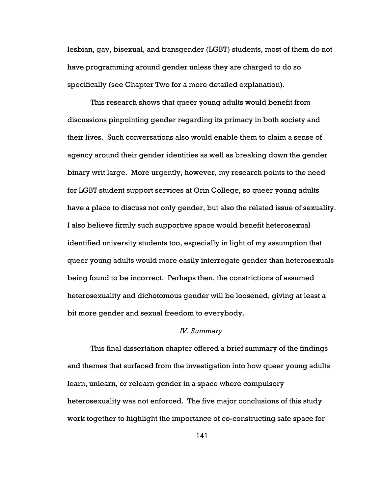lesbian, gay, bisexual, and transgender (LGBT) students, most of them do not have programming around gender unless they are charged to do so specifically (see Chapter Two for a more detailed explanation).

This research shows that queer young adults would benefit from discussions pinpointing gender regarding its primacy in both society and their lives. Such conversations also would enable them to claim a sense of agency around their gender identities as well as breaking down the gender binary writ large. More urgently, however, my research points to the need for LGBT student support services at Orin College, so queer young adults have a place to discuss not only gender, but also the related issue of sexuality. I also believe firmly such supportive space would benefit heterosexual identified university students too, especially in light of my assumption that queer young adults would more easily interrogate gender than heterosexuals being found to be incorrect. Perhaps then, the constrictions of assumed heterosexuality and dichotomous gender will be loosened, giving at least a bit more gender and sexual freedom to everybody.

## IV. Summary

This final dissertation chapter offered a brief summary of the findings and themes that surfaced from the investigation into how queer young adults learn, unlearn, or relearn gender in a space where compulsory heterosexuality was not enforced. The five major conclusions of this study work together to highlight the importance of co-constructing safe space for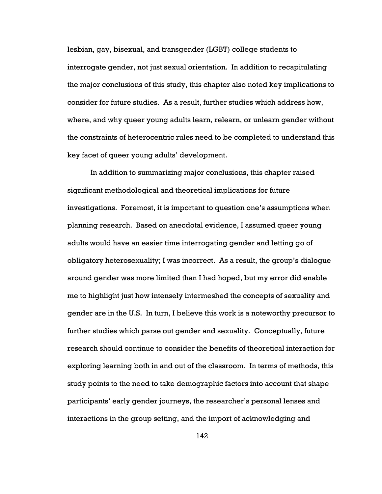lesbian, gay, bisexual, and transgender (LGBT) college students to interrogate gender, not just sexual orientation. In addition to recapitulating the major conclusions of this study, this chapter also noted key implications to consider for future studies. As a result, further studies which address how, where, and why queer young adults learn, relearn, or unlearn gender without the constraints of heterocentric rules need to be completed to understand this key facet of queer young adults' development.

In addition to summarizing major conclusions, this chapter raised significant methodological and theoretical implications for future investigations. Foremost, it is important to question one's assumptions when planning research. Based on anecdotal evidence, I assumed queer young adults would have an easier time interrogating gender and letting go of obligatory heterosexuality; I was incorrect. As a result, the group's dialogue around gender was more limited than I had hoped, but my error did enable me to highlight just how intensely intermeshed the concepts of sexuality and gender are in the U.S. In turn, I believe this work is a noteworthy precursor to further studies which parse out gender and sexuality. Conceptually, future research should continue to consider the benefits of theoretical interaction for exploring learning both in and out of the classroom. In terms of methods, this study points to the need to take demographic factors into account that shape participants' early gender journeys, the researcher's personal lenses and interactions in the group setting, and the import of acknowledging and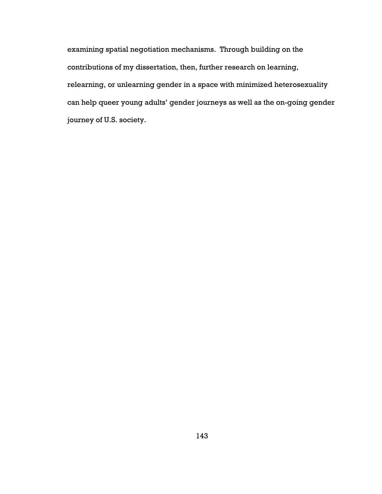examining spatial negotiation mechanisms. Through building on the contributions of my dissertation, then, further research on learning, relearning, or unlearning gender in a space with minimized heterosexuality can help queer young adults' gender journeys as well as the on-going gender journey of U.S. society.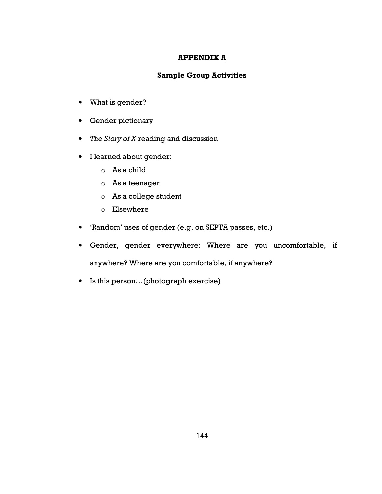# APPENDIX A

# Sample Group Activities

- What is gender?
- Gender pictionary
- The Story of X reading and discussion
- I learned about gender:
	- o As a child
	- o As a teenager
	- o As a college student
	- o Elsewhere
- 'Random' uses of gender (e.g. on SEPTA passes, etc.)
- Gender, gender everywhere: Where are you uncomfortable, if anywhere? Where are you comfortable, if anywhere?
- Is this person…(photograph exercise)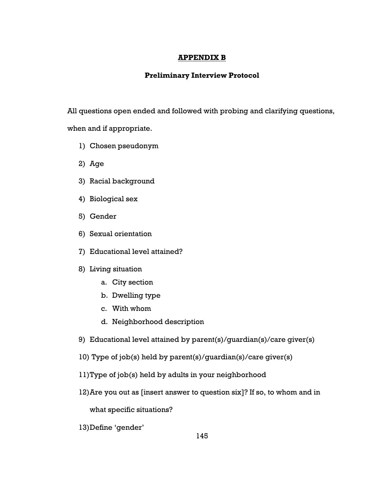## APPENDIX B

## Preliminary Interview Protocol

All questions open ended and followed with probing and clarifying questions, when and if appropriate.

- 1) Chosen pseudonym
- 2) Age
- 3) Racial background
- 4) Biological sex
- 5) Gender
- 6) Sexual orientation
- 7) Educational level attained?

## 8) Living situation

- a. City section
- b. Dwelling type
- c. With whom
- d. Neighborhood description
- 9) Educational level attained by parent(s)/guardian(s)/care giver(s)
- 10) Type of job(s) held by parent(s)/guardian(s)/care giver(s)
- 11)Type of job(s) held by adults in your neighborhood
- 12)Are you out as [insert answer to question six]? If so, to whom and in

what specific situations?

13)Define 'gender'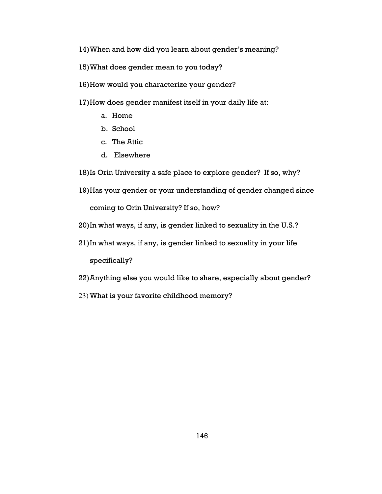- 14)When and how did you learn about gender's meaning?
- 15)What does gender mean to you today?
- 16)How would you characterize your gender?
- 17)How does gender manifest itself in your daily life at:
	- a. Home
	- b. School
	- c. The Attic
	- d. Elsewhere

18)Is Orin University a safe place to explore gender? If so, why?

19)Has your gender or your understanding of gender changed since

coming to Orin University? If so, how?

- 20)In what ways, if any, is gender linked to sexuality in the U.S.?
- 21)In what ways, if any, is gender linked to sexuality in your life specifically?
- 22)Anything else you would like to share, especially about gender?
- 23) What is your favorite childhood memory?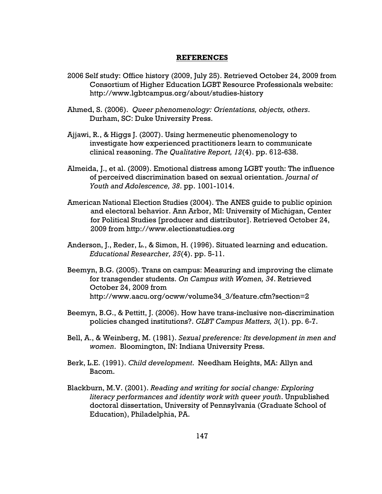#### REFERENCES

- 2006 Self study: Office history (2009, July 25). Retrieved October 24, 2009 from Consortium of Higher Education LGBT Resource Professionals website: http://www.lgbtcampus.org/about/studies-history
- Ahmed, S. (2006). Queer phenomenology: Orientations, objects, others. Durham, SC: Duke University Press.
- Ajjawi, R., & Higgs J. (2007). Using hermeneutic phenomenology to investigate how experienced practitioners learn to communicate clinical reasoning. The Qualitative Report, 12(4). pp. 612-638.
- Almeida, J., et al. (2009). Emotional distress among LGBT youth: The influence of perceived discrimination based on sexual orientation. Journal of Youth and Adolescence, 38. pp. 1001-1014.
- American National Election Studies (2004). The ANES guide to public opinion and electoral behavior. Ann Arbor, MI: University of Michigan, Center for Political Studies [producer and distributor]. Retrieved October 24, 2009 from http://www.electionstudies.org
- Anderson, J., Reder, L., & Simon, H. (1996). Situated learning and education. Educational Researcher, 25(4). pp. 5-11.
- Beemyn, B.G. (2005). Trans on campus: Measuring and improving the climate for transgender students. On Campus with Women, 34. Retrieved October 24, 2009 from http://www.aacu.org/ocww/volume34\_3/feature.cfm?section=2
- Beemyn, B.G., & Pettitt, J. (2006). How have trans-inclusive non-discrimination policies changed institutions?. GLBT Campus Matters, 3(1). pp. 6-7.
- Bell, A., & Weinberg, M. (1981). Sexual preference: Its development in men and women. Bloomington, IN: Indiana University Press.
- Berk, L.E. (1991). Child development. Needham Heights, MA: Allyn and Bacom.
- Blackburn, M.V. (2001). Reading and writing for social change: Exploring literacy performances and identity work with queer youth. Unpublished doctoral dissertation, University of Pennsylvania (Graduate School of Education), Philadelphia, PA.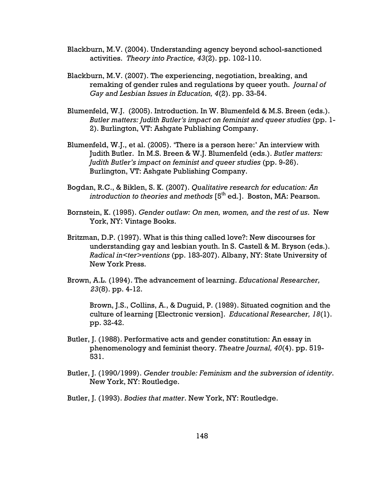- Blackburn, M.V. (2004). Understanding agency beyond school-sanctioned activities. Theory into Practice, 43(2). pp. 102-110.
- Blackburn, M.V. (2007). The experiencing, negotiation, breaking, and remaking of gender rules and regulations by queer youth. Journal of Gay and Lesbian Issues in Education, 4(2). pp. 33-54.
- Blumenfeld, W.J. (2005). Introduction. In W. Blumenfeld & M.S. Breen (eds.). Butler matters: Judith Butler's impact on feminist and queer studies (pp. 1- 2). Burlington, VT: Ashgate Publishing Company.
- Blumenfeld, W.J., et al. (2005). 'There is a person here:' An interview with Judith Butler. In M.S. Breen & W.J. Blumenfeld (eds.). Butler matters: Judith Butler's impact on feminist and queer studies (pp. 9-26). Burlington, VT: Ashgate Publishing Company.
- Bogdan, R.C., & Biklen, S. K. (2007). Qualitative research for education: An introduction to theories and methods  $[5<sup>th</sup>$  ed.]. Boston, MA: Pearson.
- Bornstein, K. (1995). Gender outlaw: On men, women, and the rest of us. New York, NY: Vintage Books.
- Britzman, D.P. (1997). What is this thing called love?: New discourses for understanding gay and lesbian youth. In S. Castell & M. Bryson (eds.). Radical in<ter>ventions (pp. 183-207). Albany, NY: State University of New York Press.
- Brown, A.L. (1994). The advancement of learning. Educational Researcher, 23(8). pp. 4-12.

Brown, J.S., Collins, A., & Duguid, P. (1989). Situated cognition and the culture of learning [Electronic version]. Educational Researcher, 18(1). pp. 32-42.

- Butler, J. (1988). Performative acts and gender constitution: An essay in phenomenology and feminist theory. Theatre Journal, 40(4). pp. 519- 531.
- Butler, J. (1990/1999). Gender trouble: Feminism and the subversion of identity. New York, NY: Routledge.
- Butler, J. (1993). Bodies that matter. New York, NY: Routledge.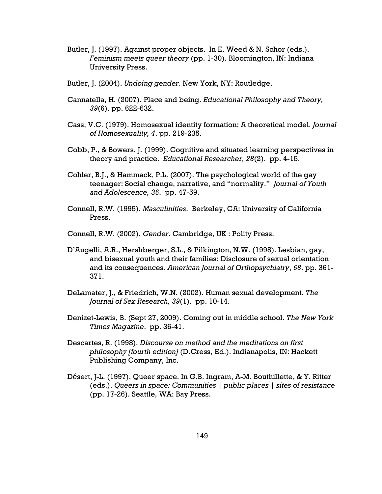- Butler, J. (1997). Against proper objects. In E. Weed & N. Schor (eds.). Feminism meets queer theory (pp. 1-30). Bloomington, IN: Indiana University Press.
- Butler, J. (2004). Undoing gender. New York, NY: Routledge.
- Cannatella, H. (2007). Place and being. Educational Philosophy and Theory, 39(6). pp. 622-632.
- Cass, V.C. (1979). Homosexual identity formation: A theoretical model. Journal of Homosexuality, 4. pp. 219-235.
- Cobb, P., & Bowers, J. (1999). Cognitive and situated learning perspectives in theory and practice. Educational Researcher, 28(2). pp. 4-15.
- Cohler, B.J., & Hammack, P.L. (2007). The psychological world of the gay teenager: Social change, narrative, and "normality." Journal of Youth and Adolescence, 36. pp. 47-59.
- Connell, R.W. (1995). Masculinities. Berkeley, CA: University of California Press.
- Connell, R.W. (2002). Gender. Cambridge, UK : Polity Press.
- D'Augelli, A.R., Hershberger, S.L., & Pilkington, N.W. (1998). Lesbian, gay, and bisexual youth and their families: Disclosure of sexual orientation and its consequences. American Journal of Orthopsychiatry, 68. pp. 361- 371.
- DeLamater, J., & Friedrich, W.N. (2002). Human sexual development. The Journal of Sex Research, 39(1). pp. 10-14.
- Denizet-Lewis, B. (Sept 27, 2009). Coming out in middle school. The New York Times Magazine. pp. 36-41.
- Descartes, R. (1998). Discourse on method and the meditations on first philosophy [fourth edition] (D.Cress, Ed.). Indianapolis, IN: Hackett Publishing Company, Inc.
- Désert, J-L. (1997). Queer space. In G.B. Ingram, A-M. Bouthillette, & Y. Ritter (eds.). Queers in space: Communities | public places | sites of resistance (pp. 17-26). Seattle, WA: Bay Press.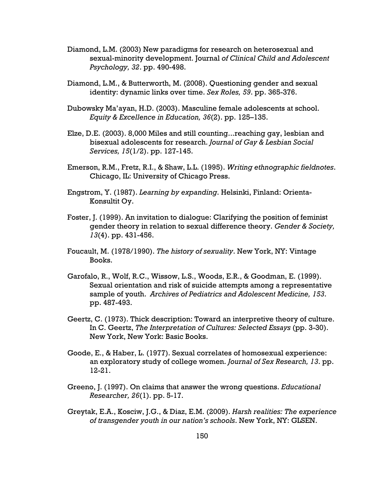- Diamond, L.M. (2003) New paradigms for research on heterosexual and sexual-minority development. Journal of Clinical Child and Adolescent Psychology, 32. pp. 490-498.
- Diamond, L.M., & Butterworth, M. (2008). Questioning gender and sexual identity: dynamic links over time. Sex Roles, 59. pp. 365-376.
- Dubowsky Ma'ayan, H.D. (2003). Masculine female adolescents at school. Equity & Excellence in Education, 36(2). pp. 125–135.
- Elze, D.E. (2003). 8,000 Miles and still counting...reaching gay, lesbian and bisexual adolescents for research. Journal of Gay & Lesbian Social Services, 15(1/2). pp. 127-145.
- Emerson, R.M., Fretz, R.I., & Shaw, L.L. (1995). Writing ethnographic fieldnotes. Chicago, IL: University of Chicago Press.
- Engstrom, Y. (1987). Learning by expanding. Helsinki, Finland: Orienta-Konsultit Oy.
- Foster, J. (1999). An invitation to dialogue: Clarifying the position of feminist gender theory in relation to sexual difference theory. Gender & Society, 13(4). pp. 431-456.
- Foucault, M. (1978/1990). The history of sexuality. New York, NY: Vintage Books.
- Garofalo, R., Wolf, R.C., Wissow, L.S., Woods, E.R., & Goodman, E. (1999). Sexual orientation and risk of suicide attempts among a representative sample of youth. Archives of Pediatrics and Adolescent Medicine, 153. pp. 487-493.
- Geertz, C. (1973). Thick description: Toward an interpretive theory of culture. In C. Geertz, The Interpretation of Cultures: Selected Essays (pp. 3-30). New York, New York: Basic Books.
- Goode, E., & Haber, L. (1977). Sexual correlates of homosexual experience: an exploratory study of college women. Journal of Sex Research, 13. pp. 12-21.
- Greeno, J. (1997). On claims that answer the wrong questions. Educational Researcher, 26(1). pp. 5-17.
- Greytak, E.A., Kosciw, J.G., & Diaz, E.M. (2009). Harsh realities: The experience of transgender youth in our nation's schools. New York, NY: GLSEN.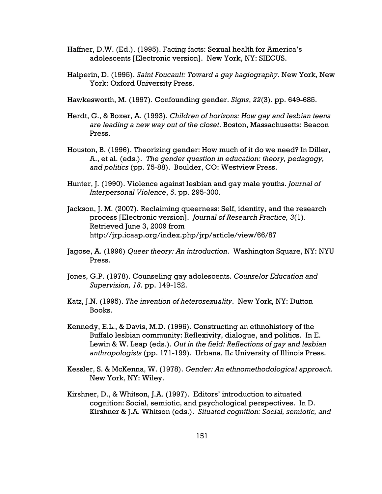- Haffner, D.W. (Ed.). (1995). Facing facts: Sexual health for America's adolescents [Electronic version]. New York, NY: SIECUS.
- Halperin, D. (1995). Saint Foucault: Toward a gay hagiography. New York, New York: Oxford University Press.
- Hawkesworth, M. (1997). Confounding gender. Signs, 22(3). pp. 649-685.
- Herdt, G., & Boxer, A. (1993). Children of horizons: How gay and lesbian teens are leading a new way out of the closet. Boston, Massachusetts: Beacon Press.
- Houston, B. (1996). Theorizing gender: How much of it do we need? In Diller, A., et al. (eds.). The gender question in education: theory, pedagogy, and politics (pp. 75-88). Boulder, CO: Westview Press.
- Hunter, J. (1990). Violence against lesbian and gay male youths. Journal of Interpersonal Violence, 5. pp. 295-300.
- Jackson, J. M. (2007). Reclaiming queerness: Self, identity, and the research process [Electronic version]. Journal of Research Practice, 3(1). Retrieved June 3, 2009 from http://jrp.icaap.org/index.php/jrp/article/view/66/87
- Jagose, A. (1996) Queer theory: An introduction. Washington Square, NY: NYU Press.
- Jones, G.P. (1978). Counseling gay adolescents. Counselor Education and Supervision, 18. pp. 149-152.
- Katz, J.N. (1995). The invention of heterosexuality. New York, NY: Dutton Books.
- Kennedy, E.L., & Davis, M.D. (1996). Constructing an ethnohistory of the Buffalo lesbian community: Reflexivity, dialogue, and politics. In E. Lewin & W. Leap (eds.). Out in the field: Reflections of gay and lesbian anthropologists (pp. 171-199). Urbana, IL: University of Illinois Press.
- Kessler, S. & McKenna, W. (1978). Gender: An ethnomethodological approach. New York, NY: Wiley.
- Kirshner, D., & Whitson, J.A. (1997). Editors' introduction to situated cognition: Social, semiotic, and psychological perspectives. In D. Kirshner & J.A. Whitson (eds.). Situated cognition: Social, semiotic, and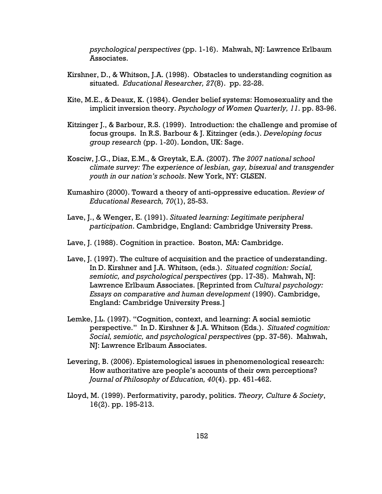psychological perspectives (pp. 1-16). Mahwah, NJ: Lawrence Erlbaum Associates.

- Kirshner, D., & Whitson, J.A. (1998). Obstacles to understanding cognition as situated. Educational Researcher, 27(8). pp. 22-28.
- Kite, M.E., & Deaux, K. (1984). Gender belief systems: Homosexuality and the implicit inversion theory. Psychology of Women Quarterly, 11. pp. 83-96.
- Kitzinger J., & Barbour, R.S. (1999). Introduction: the challenge and promise of focus groups. In R.S. Barbour & J. Kitzinger (eds.). Developing focus group research (pp. 1-20). London, UK: Sage.
- Kosciw, J.G., Diaz, E.M., & Greytak, E.A. (2007). The 2007 national school climate survey: The experience of lesbian, gay, bisexual and transgender youth in our nation's schools. New York, NY: GLSEN.
- Kumashiro (2000). Toward a theory of anti-oppressive education. Review of Educational Research, 70(1), 25-53.
- Lave, J., & Wenger, E. (1991). Situated learning: Legitimate peripheral participation. Cambridge, England: Cambridge University Press.
- Lave, J. (1988). Cognition in practice. Boston, MA: Cambridge.
- Lave, J. (1997). The culture of acquisition and the practice of understanding. In D. Kirshner and J.A. Whitson, (eds.). Situated cognition: Social, semiotic, and psychological perspectives (pp. 17-35). Mahwah, NJ: Lawrence Erlbaum Associates. [Reprinted from Cultural psychology: Essays on comparative and human development (1990). Cambridge, England: Cambridge University Press.]
- Lemke, J.L. (1997). "Cognition, context, and learning: A social semiotic perspective." In D. Kirshner & J.A. Whitson (Eds.). Situated cognition: Social, semiotic, and psychological perspectives (pp. 37-56). Mahwah, NJ: Lawrence Erlbaum Associates.
- Levering, B. (2006). Epistemological issues in phenomenological research: How authoritative are people's accounts of their own perceptions? Journal of Philosophy of Education, 40(4). pp. 451-462.
- Lloyd, M. (1999). Performativity, parody, politics. Theory, Culture & Society, 16(2). pp. 195-213.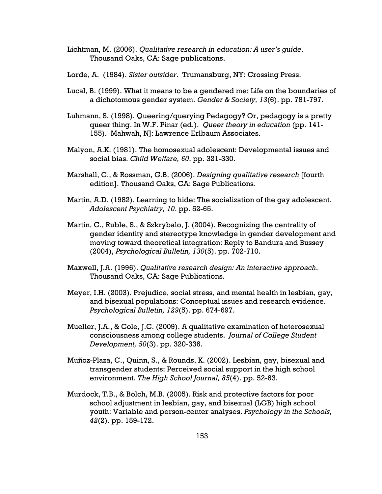- Lichtman, M. (2006). Qualitative research in education: A user's guide. Thousand Oaks, CA: Sage publications.
- Lorde, A. (1984). Sister outsider. Trumansburg, NY: Crossing Press.
- Lucal, B. (1999). What it means to be a gendered me: Life on the boundaries of a dichotomous gender system. Gender & Society, 13(6). pp. 781-797.
- Luhmann, S. (1998). Queering/querying Pedagogy? Or, pedagogy is a pretty queer thing. In W.F. Pinar (ed.). Queer theory in education (pp. 141- 155). Mahwah, NJ: Lawrence Erlbaum Associates.
- Malyon, A.K. (1981). The homosexual adolescent: Developmental issues and social bias. Child Welfare, 60. pp. 321-330.
- Marshall, C., & Rossman, G.B. (2006). Designing qualitative research [fourth edition]. Thousand Oaks, CA: Sage Publications.
- Martin, A.D. (1982). Learning to hide: The socialization of the gay adolescent. Adolescent Psychiatry, 10. pp. 52-65.
- Martin, C., Ruble, S., & Szkrybalo, J. (2004). Recognizing the centrality of gender identity and stereotype knowledge in gender development and moving toward theoretical integration: Reply to Bandura and Bussey (2004), Psychological Bulletin, 130(5). pp. 702-710.
- Maxwell, J.A. (1996). Qualitative research design: An interactive approach. Thousand Oaks, CA: Sage Publications.
- Meyer, I.H. (2003). Prejudice, social stress, and mental health in lesbian, gay, and bisexual populations: Conceptual issues and research evidence. Psychological Bulletin, 129(5). pp. 674-697.
- Mueller, J.A., & Cole, J.C. (2009). A qualitative examination of heterosexual consciousness among college students. Journal of College Student Development, 50(3). pp. 320-336.
- Muñoz-Plaza, C., Quinn, S., & Rounds, K. (2002). Lesbian, gay, bisexual and transgender students: Perceived social support in the high school environment. The High School Journal, 85(4). pp. 52-63.
- Murdock, T.B., & Bolch, M.B. (2005). Risk and protective factors for poor school adjustment in lesbian, gay, and bisexual (LGB) high school youth: Variable and person-center analyses. Psychology in the Schools, 42(2). pp. 159-172.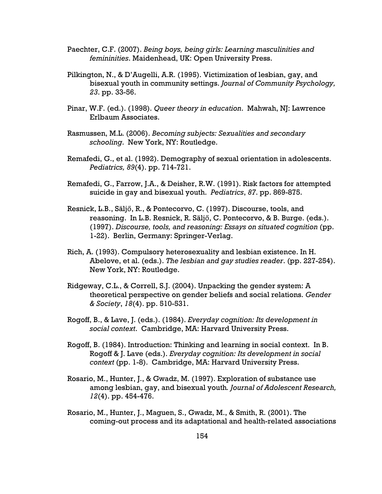- Paechter, C.F. (2007). Being boys, being girls: Learning masculinities and femininities. Maidenhead, UK: Open University Press.
- Pilkington, N., & D'Augelli, A.R. (1995). Victimization of lesbian, gay, and bisexual youth in community settings. Journal of Community Psychology, 23. pp. 33-56.
- Pinar, W.F. (ed.). (1998). Queer theory in education. Mahwah, NJ: Lawrence Erlbaum Associates.
- Rasmussen, M.L. (2006). Becoming subjects: Sexualities and secondary schooling. New York, NY: Routledge.
- Remafedi, G., et al. (1992). Demography of sexual orientation in adolescents. Pediatrics, 89(4). pp. 714-721.
- Remafedi, G., Farrow, J.A., & Deisher, R.W. (1991). Risk factors for attempted suicide in gay and bisexual youth. Pediatrics, 87. pp. 869-875.
- Resnick, L.B., Säljő, R., & Pontecorvo, C. (1997). Discourse, tools, and reasoning. In L.B. Resnick, R. Säljő, C. Pontecorvo, & B. Burge. (eds.). (1997). Discourse, tools, and reasoning: Essays on situated cognition (pp. 1-22). Berlin, Germany: Springer-Verlag.
- Rich, A. (1993). Compulsory heterosexuality and lesbian existence. In H. Abelove, et al. (eds.). The lesbian and gay studies reader. (pp. 227-254). New York, NY: Routledge.
- Ridgeway, C.L., & Correll, S.J. (2004). Unpacking the gender system: A theoretical perspective on gender beliefs and social relations. Gender & Society, 18(4). pp. 510-531.
- Rogoff, B., & Lave, J. (eds.). (1984). Everyday cognition: Its development in social context. Cambridge, MA: Harvard University Press.
- Rogoff, B. (1984). Introduction: Thinking and learning in social context. In B. Rogoff & J. Lave (eds.). Everyday cognition: Its development in social context (pp. 1-8). Cambridge, MA: Harvard University Press.
- Rosario, M., Hunter, J., & Gwadz, M. (1997). Exploration of substance use among lesbian, gay, and bisexual youth. Journal of Adolescent Research, 12(4). pp. 454-476.
- Rosario, M., Hunter, J., Maguen, S., Gwadz, M., & Smith, R. (2001). The coming-out process and its adaptational and health-related associations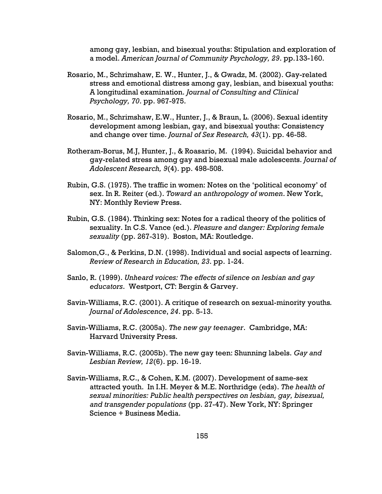among gay, lesbian, and bisexual youths: Stipulation and exploration of a model. American Journal of Community Psychology, 29. pp.133-160.

- Rosario, M., Schrimshaw, E. W., Hunter, J., & Gwadz, M. (2002). Gay-related stress and emotional distress among gay, lesbian, and bisexual youths: A longitudinal examination. Journal of Consulting and Clinical Psychology, 70. pp. 967-975.
- Rosario, M., Schrimshaw, E.W., Hunter, J., & Braun, L. (2006). Sexual identity development among lesbian, gay, and bisexual youths: Consistency and change over time. Journal of Sex Research, 43(1). pp. 46-58.
- Rotheram-Borus, M.J, Hunter, J., & Roasario, M. (1994). Suicidal behavior and gay-related stress among gay and bisexual male adolescents. Journal of Adolescent Research, 9(4). pp. 498-508.
- Rubin, G.S. (1975). The traffic in women: Notes on the 'political economy' of sex. In R. Reiter (ed.). Toward an anthropology of women. New York, NY: Monthly Review Press.
- Rubin, G.S. (1984). Thinking sex: Notes for a radical theory of the politics of sexuality. In C.S. Vance (ed.). Pleasure and danger: Exploring female sexuality (pp. 267-319). Boston, MA: Routledge.
- Salomon,G., & Perkins, D.N. (1998). Individual and social aspects of learning. Review of Research in Education, 23. pp. 1-24.
- Sanlo, R. (1999). Unheard voices: The effects of silence on lesbian and gay educators. Westport, CT: Bergin & Garvey.
- Savin-Williams, R.C. (2001). A critique of research on sexual-minority youths. Journal of Adolescence, 24. pp. 5-13.
- Savin-Williams, R.C. (2005a). The new gay teenager. Cambridge, MA: Harvard University Press.
- Savin-Williams, R.C. (2005b). The new gay teen: Shunning labels. Gay and Lesbian Review, 12(6). pp. 16-19.
- Savin-Williams, R.C., & Cohen, K.M. (2007). Development of same-sex attracted youth. In I.H. Meyer & M.E. Northridge (eds). The health of sexual minorities: Public health perspectives on lesbian, gay, bisexual, and transgender populations (pp. 27-47). New York, NY: Springer Science + Business Media.